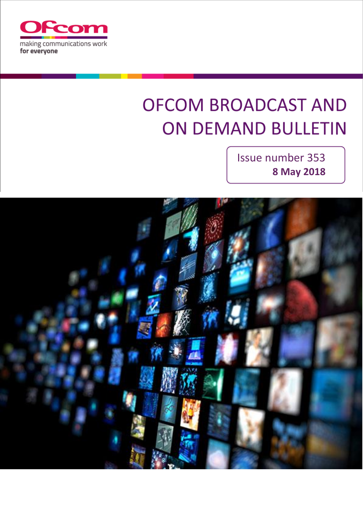

# **OFCOM BROADCAST AND ON DEMAND BULLETIN**

Issue number 353 **8 May 2018**

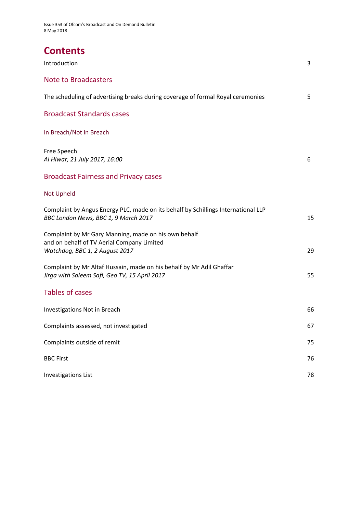# **Contents**

| Introduction                                                                                                                         | 3  |
|--------------------------------------------------------------------------------------------------------------------------------------|----|
| <b>Note to Broadcasters</b>                                                                                                          |    |
| The scheduling of advertising breaks during coverage of formal Royal ceremonies                                                      | 5  |
| <b>Broadcast Standards cases</b>                                                                                                     |    |
| In Breach/Not in Breach                                                                                                              |    |
| Free Speech<br>Al Hiwar, 21 July 2017, 16:00                                                                                         | 6  |
| <b>Broadcast Fairness and Privacy cases</b>                                                                                          |    |
| <b>Not Upheld</b>                                                                                                                    |    |
| Complaint by Angus Energy PLC, made on its behalf by Schillings International LLP<br>BBC London News, BBC 1, 9 March 2017            | 15 |
| Complaint by Mr Gary Manning, made on his own behalf<br>and on behalf of TV Aerial Company Limited<br>Watchdog, BBC 1, 2 August 2017 | 29 |
| Complaint by Mr Altaf Hussain, made on his behalf by Mr Adil Ghaffar<br>Jirga with Saleem Safi, Geo TV, 15 April 2017                | 55 |
| <b>Tables of cases</b>                                                                                                               |    |
| Investigations Not in Breach                                                                                                         | 66 |
| Complaints assessed, not investigated                                                                                                | 67 |
| Complaints outside of remit                                                                                                          | 75 |
| <b>BBC First</b>                                                                                                                     | 76 |
| <b>Investigations List</b>                                                                                                           | 78 |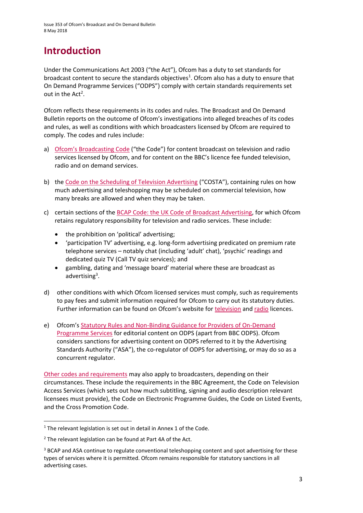# **Introduction**

Under the Communications Act 2003 ("the Act"), Ofcom has a duty to set standards for broadcast content to secure the standards objectives<sup>1</sup>. Ofcom also has a duty to ensure that On Demand Programme Services ("ODPS") comply with certain standards requirements set out in the  $Act^2$ .

Ofcom reflects these requirements in its codes and rules. The Broadcast and On Demand Bulletin reports on the outcome of Ofcom's investigations into alleged breaches of its codes and rules, as well as conditions with which broadcasters licensed by Ofcom are required to comply. The codes and rules include:

- a) [Ofcom's Broadcasting Code](http://stakeholders.ofcom.org.uk/broadcasting/broadcast-codes/broadcast-code/) ("the Code") for content broadcast on television and radio services licensed by Ofcom, and for content on the BBC's licence fee funded television, radio and on demand services.
- b) the [Code on the Scheduling of Television Advertising](https://www.ofcom.org.uk/__data/assets/pdf_file/0014/32162/costa-april-2016.pdf) ("COSTA"), containing rules on how much advertising and teleshopping may be scheduled on commercial television, how many breaks are allowed and when they may be taken.
- c) certain sections of th[e BCAP Code: the UK Code of Broadcast Advertising,](https://www.cap.org.uk/Advertising-Codes/Broadcast.aspx) for which Ofcom retains regulatory responsibility for television and radio services. These include:
	- the prohibition on 'political' advertising;
	- 'participation TV' advertising, e.g. long-form advertising predicated on premium rate telephone services – notably chat (including 'adult' chat), 'psychic' readings and dedicated quiz TV (Call TV quiz services); and
	- gambling, dating and 'message board' material where these are broadcast as advertising<sup>3</sup>.
- d) other conditions with which Ofcom licensed services must comply, such as requirements to pay fees and submit information required for Ofcom to carry out its statutory duties. Further information can be found on Ofcom's website for [television](http://licensing.ofcom.org.uk/tv-broadcast-licences/) and [radio](http://licensing.ofcom.org.uk/radio-broadcast-licensing/) licences.
- e) Ofcom's [Statutory Rules and Non-Binding Guidance for](http://stakeholders.ofcom.org.uk/binaries/broadcast/on-demand/rules-guidance/rules_and_guidance.pdf) Providers of On-Demand [Programme Services](http://stakeholders.ofcom.org.uk/binaries/broadcast/on-demand/rules-guidance/rules_and_guidance.pdf) for editorial content on ODPS (apart from BBC ODPS). Ofcom considers sanctions for advertising content on ODPS referred to it by the Advertising Standards Authority ("ASA"), the co-regulator of ODPS for advertising, or may do so as a concurrent regulator.

[Other codes and requirements](http://stakeholders.ofcom.org.uk/broadcasting/broadcast-codes/) may also apply to broadcasters, depending on their circumstances. These include the requirements in the BBC Agreement, the Code on Television Access Services (which sets out how much subtitling, signing and audio description relevant licensees must provide), the Code on Electronic Programme Guides, the Code on Listed Events, and the Cross Promotion Code.

1

<sup>&</sup>lt;sup>1</sup> The relevant legislation is set out in detail in Annex 1 of the Code.

 $2$  The relevant legislation can be found at Part 4A of the Act.

<sup>&</sup>lt;sup>3</sup> BCAP and ASA continue to regulate conventional teleshopping content and spot advertising for these types of services where it is permitted. Ofcom remains responsible for statutory sanctions in all advertising cases.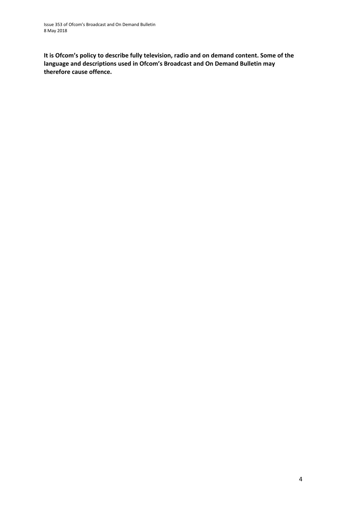**It is Ofcom's policy to describe fully television, radio and on demand content. Some of the language and descriptions used in Ofcom's Broadcast and On Demand Bulletin may therefore cause offence.**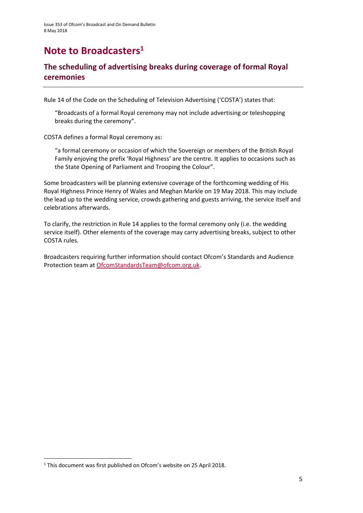# **Note to Broadcasters<sup>1</sup>**

### **The scheduling of advertising breaks during coverage of formal Royal ceremonies**

Rule 14 of the Code on the Scheduling of Television Advertising ('COSTA') states that:

"Broadcasts of a formal Royal ceremony may not include advertising or teleshopping breaks during the ceremony".

COSTA defines a formal Royal ceremony as:

"a formal ceremony or occasion of which the Sovereign or members of the British Royal Family enjoying the prefix 'Royal Highness' are the centre. It applies to occasions such as the State Opening of Parliament and Trooping the Colour".

Some broadcasters will be planning extensive coverage of the forthcoming wedding of His Royal Highness Prince Henry of Wales and Meghan Markle on 19 May 2018. This may include the lead up to the wedding service, crowds gathering and guests arriving, the service itself and celebrations afterwards.

To clarify, the restriction in Rule 14 applies to the formal ceremony only (i.e. the wedding service itself). Other elements of the coverage may carry advertising breaks, subject to other COSTA rules.

Broadcasters requiring further information should contact Ofcom's Standards and Audience Protection team at [OfcomStandardsTeam@ofcom.org.uk.](mailto:OfcomStandardsTeam@ofcom.org.uk)

**.** 

<sup>&</sup>lt;sup>1</sup> This document was first published on Ofcom's website on 25 April 2018.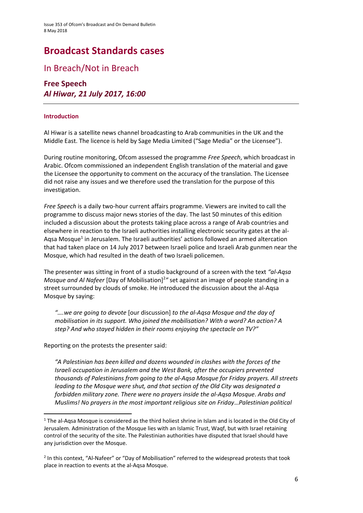# **Broadcast Standards cases**

### In Breach/Not in Breach

**Free Speech** *Al Hiwar, 21 July 2017, 16:00* 

#### **Introduction**

Al Hiwar is a satellite news channel broadcasting to Arab communities in the UK and the Middle East. The licence is held by Sage Media Limited ("Sage Media" or the Licensee").

During routine monitoring, Ofcom assessed the programme *Free Speech*, which broadcast in Arabic. Ofcom commissioned an independent English translation of the material and gave the Licensee the opportunity to comment on the accuracy of the translation. The Licensee did not raise any issues and we therefore used the translation for the purpose of this investigation.

*Free Speech* is a daily two-hour current affairs programme. Viewers are invited to call the programme to discuss major news stories of the day. The last 50 minutes of this edition included a discussion about the protests taking place across a range of Arab countries and elsewhere in reaction to the Israeli authorities installing electronic security gates at the al-Aqsa Mosque<sup>1</sup> in Jerusalem. The Israeli authorities' actions followed an armed altercation that had taken place on 14 July 2017 between Israeli police and Israeli Arab gunmen near the Mosque, which had resulted in the death of two Israeli policemen.

The presenter was sitting in front of a studio background of a screen with the text *"al-Aqsa*  Mosque and Al Nafeer [Day of Mobilisation]<sup>2</sup>" set against an image of people standing in a street surrounded by clouds of smoke. He introduced the discussion about the al-Aqsa Mosque by saying:

*"….we are going to devote* [our discussion] *to the al-Aqsa Mosque and the day of mobilisation in its support. Who joined the mobilisation? With a word? An action? A step? And who stayed hidden in their rooms enjoying the spectacle on TV?"*

Reporting on the protests the presenter said:

**.** 

*"A Palestinian has been killed and dozens wounded in clashes with the forces of the Israeli occupation in Jerusalem and the West Bank, after the occupiers prevented thousands of Palestinians from going to the al-Aqsa Mosque for Friday prayers. All streets leading to the Mosque were shut, and that section of the Old City was designated a forbidden military zone. There were no prayers inside the al-Aqsa Mosque*. *Arabs and Muslims! No prayers in the most important religious site on Friday*…*Palestinian political* 

<sup>&</sup>lt;sup>1</sup> The al-Aqsa Mosque is considered as the third holiest shrine in Islam and is located in the Old City of Jerusalem. Administration of the Mosque lies with an Islamic Trust, Waqf, but with Israel retaining control of the security of the site. The Palestinian authorities have disputed that Israel should have any jurisdiction over the Mosque.

<sup>&</sup>lt;sup>2</sup> In this context, "Al-Nafeer" or "Day of Mobilisation" referred to the widespread protests that took place in reaction to events at the al-Aqsa Mosque.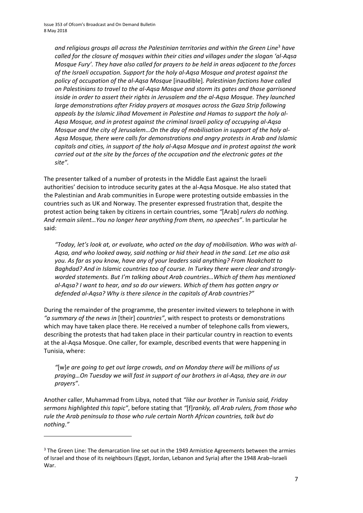*and religious groups all across the Palestinian territories and within the Green Line*<sup>3</sup> *have called for the closure of mosques within their cities and villages under the slogan 'al-Aqsa Mosque Fury'. They have also called for prayers to be held in areas adjacent to the forces of the Israeli occupation. Support for the holy al-Aqsa Mosque and protest against the policy of occupation of the al-Aqsa Mosque* [inaudible]*. Palestinian factions have called on Palestinians to travel to the al-Aqsa Mosque and storm its gates and those garrisoned inside in order to assert their rights in Jerusalem and the al-Aqsa Mosque. They launched large demonstrations after Friday prayers at mosques across the Gaza Strip following appeals by the Islamic Jihad Movement in Palestine and Hamas to support the holy al-Aqsa Mosque, and in protest against the criminal Israeli policy of occupying al-Aqsa Mosque and the city of Jerusalem…On the day of mobilisation in support of the holy al-Aqsa Mosque, there were calls for demonstrations and angry protests in Arab and Islamic capitals and cities, in support of the holy al-Aqsa Mosque and in protest against the work carried out at the site by the forces of the occupation and the electronic gates at the site".*

The presenter talked of a number of protests in the Middle East against the Israeli authorities' decision to introduce security gates at the al-Aqsa Mosque. He also stated that the Palestinian and Arab communities in Europe were protesting outside embassies in the countries such as UK and Norway. The presenter expressed frustration that, despite the protest action being taken by citizens in certain countries, some *"*[Arab] *rulers do nothing. And remain silent…You no longer hear anything from them, no speeches"*. In particular he said:

*"Today, let's look at, or evaluate, who acted on the day of mobilisation. Who was with al-Aqsa, and who looked away, said nothing or hid their head in the sand. Let me also ask you. As far as you know, have any of your leaders said anything? From Noakchott to Baghdad? And in Islamic countries too of course. In Turkey there were clear and stronglyworded statements. But I'm talking about Arab countries…Which of them has mentioned al-Aqsa? I want to hear, and so do our viewers. Which of them has gotten angry or defended al-Aqsa? Why is there silence in the capitals of Arab countries?"*

During the remainder of the programme, the presenter invited viewers to telephone in with *"a summary of the news in* [their] *countries"*, with respect to protests or demonstrations which may have taken place there. He received a number of telephone calls from viewers, describing the protests that had taken place in their particular country in reaction to events at the al-Aqsa Mosque. One caller, for example, described events that were happening in Tunisia, where:

*"*[w]*e are going to get out large crowds, and on Monday there will be millions of us praying…On Tuesday we will fast in support of our brothers in al-Aqsa, they are in our prayers"*.

Another caller, Muhammad from Libya, noted that *"like our brother in Tunisia said, Friday sermons highlighted this topic"*, before stating that *"*[f]*rankly, all Arab rulers, from those who rule the Arab peninsula to those who rule certain North African countries, talk but do nothing*.*"*

**.** 

<sup>&</sup>lt;sup>3</sup> The Green Line: The demarcation line set out in the 1949 Armistice Agreements between the armies of Israel and those of its neighbours (Egypt, Jordan, Lebanon and Syria) after the 1948 Arab–Israeli War.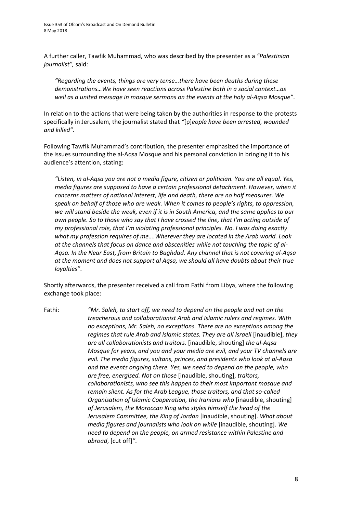A further caller, Tawfik Muhammad, who was described by the presenter as a *"Palestinian journalist",* said:

*"Regarding the events, things are very tense…there have been deaths during these demonstrations…We have seen reactions across Palestine both in a social context…as well as a united message in mosque sermons on the events at the holy al-Aqsa Mosque"*.

In relation to the actions that were being taken by the authorities in response to the protests specifically in Jerusalem, the journalist stated that *"*[p]*eople have been arrested, wounded and killed"*.

Following Tawfik Muhammad's contribution, the presenter emphasized the importance of the issues surrounding the al-Aqsa Mosque and his personal conviction in bringing it to his audience's attention, stating:

*"Listen, in al-Aqsa you are not a media figure, citizen or politician. You are all equal. Yes, media figures are supposed to have a certain professional detachment. However, when it concerns matters of national interest, life and death, there are no half measures. We speak on behalf of those who are weak. When it comes to people's rights, to oppression, we will stand beside the weak, even if it is in South America, and the same applies to our own people. So to those who say that I have crossed the line, that I'm acting outside of my professional role, that I'm violating professional principles. No. I was doing exactly what my profession requires of me….Wherever they are located in the Arab world. Look at the channels that focus on dance and obscenities while not touching the topic of al-Aqsa. In the Near East, from Britain to Baghdad. Any channel that is not covering al-Aqsa at the moment and does not support al Aqsa, we should all have doubts about their true loyalties"*.

Shortly afterwards, the presenter received a call from Fathi from Libya, where the following exchange took place:

Fathi: *"Mr. Saleh, to start off, we need to depend on the people and not on the treacherous and collaborationist Arab and Islamic rulers and regimes. With no exceptions, Mr. Saleh, no exceptions. There are no exceptions among the regimes that rule Arab and Islamic states. They are all Israeli* [inaudible], *they are all collaborationists and traitors.* [inaudible, shouting] *the al-Aqsa Mosque for years, and you and your media are evil, and your TV channels are evil. The media figures, sultans, princes, and presidents who look at al-Aqsa and the events ongoing there. Yes, we need to depend on the people, who are free, energised. Not on those* [inaudible, shouting], *traitors, collaborationists, who see this happen to their most important mosque and remain silent. As for the Arab League, those traitors, and that so-called Organisation of Islamic Cooperation, the Iranians who* [inaudible, shouting] *of Jerusalem, the Moroccan King who styles himself the head of the Jerusalem Committee, the King of Jordan* [inaudible, shouting]. *What about media figures and journalists who look on while* [inaudible, shouting]. *We need to depend on the people, on armed resistance within Palestine and abroad*, [cut off]*"*.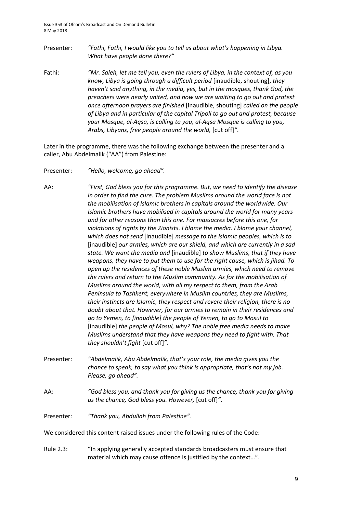- Presenter: *"Fathi, Fathi, I would like you to tell us about what's happening in Libya. What have people done there?"*
- Fathi: *"Mr. Saleh, let me tell you, even the rulers of Libya, in the context of, as you know, Libya is going through a difficult period* [inaudible, shouting], *they haven't said anything, in the media, yes, but in the mosques, thank God, the preachers were nearly united, and now we are waiting to go out and protest once afternoon prayers are finished* [inaudible, shouting] *called on the people of Libya and in particular of the capital Tripoli to go out and protest, because your Mosque, al-Aqsa, is calling to you, al-Aqsa Mosque is calling to you, Arabs, Libyans, free people around the world,* [cut off]*"*.

Later in the programme, there was the following exchange between the presenter and a caller, Abu Abdelmalik ("AA") from Palestine:

Presenter: *"Hello, welcome, go ahead".* 

AA: *"First, God bless you for this programme. But, we need to identify the disease in order to find the cure. The problem Muslims around the world face is not the mobilisation of Islamic brothers in capitals around the worldwide. Our Islamic brothers have mobilised in capitals around the world for many years and for other reasons than this one. For massacres before this one, for violations of rights by the Zionists. I blame the media. I blame your channel, which does not send* [inaudible] *message to the Islamic peoples, which is to*  [inaudible] *our armies, which are our shield, and which are currently in a sad state. We want the media and* [inaudible] *to show Muslims, that if they have weapons, they have to put them to use for the right cause, which is jihad. To open up the residences of these noble Muslim armies, which need to remove the rulers and return to the Muslim community. As for the mobilisation of Muslims around the world, with all my respect to them, from the Arab Peninsula to Tashkent, everywhere in Muslim countries, they are Muslims, their instincts are Islamic, they respect and revere their religion, there is no doubt about that. However, for our armies to remain in their residences and go to Yemen, to [inaudible] the people of Yemen, to go to Mosul to*  [inaudible] *the people of Mosul, why? The noble free media needs to make Muslims understand that they have weapons they need to fight with. That they shouldn't fight* [cut off]*"*.

- Presenter: *"Abdelmalik, Abu Abdelmalik, that's your role, the media gives you the chance to speak, to say what you think is appropriate, that's not my job. Please, go ahead".*
- AA*: "God bless you, and thank you for giving us the chance, thank you for giving us the chance, God bless you. However,* [cut off]*"*.

Presenter: *"Thank you, Abdullah from Palestine".*

We considered this content raised issues under the following rules of the Code:

Rule 2.3: "In applying generally accepted standards broadcasters must ensure that material which may cause offence is justified by the context…".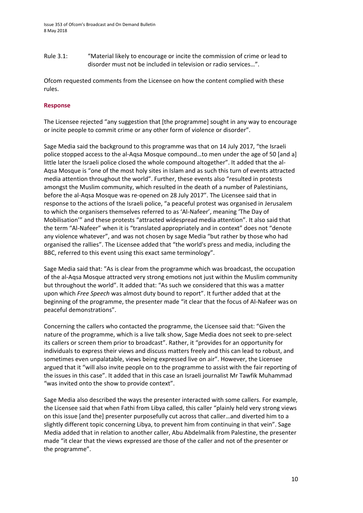Rule 3.1: "Material likely to encourage or incite the commission of crime or lead to disorder must not be included in television or radio services…".

Ofcom requested comments from the Licensee on how the content complied with these rules.

#### **Response**

The Licensee rejected "any suggestion that [the programme] sought in any way to encourage or incite people to commit crime or any other form of violence or disorder".

Sage Media said the background to this programme was that on 14 July 2017, "the Israeli police stopped access to the al-Aqsa Mosque compound…to men under the age of 50 [and a] little later the Israeli police closed the whole compound altogether". It added that the al-Aqsa Mosque is "one of the most holy sites in Islam and as such this turn of events attracted media attention throughout the world". Further, these events also "resulted in protests amongst the Muslim community, which resulted in the death of a number of Palestinians, before the al-Aqsa Mosque was re-opened on 28 July 2017". The Licensee said that in response to the actions of the Israeli police, "a peaceful protest was organised in Jerusalem to which the organisers themselves referred to as 'Al-Nafeer', meaning 'The Day of Mobilisation'" and these protests "attracted widespread media attention". It also said that the term "Al-Nafeer" when it is "translated appropriately and in context" does not "denote any violence whatever", and was not chosen by sage Media "but rather by those who had organised the rallies". The Licensee added that "the world's press and media, including the BBC, referred to this event using this exact same terminology".

Sage Media said that: "As is clear from the programme which was broadcast, the occupation of the al-Aqsa Mosque attracted very strong emotions not just within the Muslim community but throughout the world". It added that: "As such we considered that this was a matter upon which *Free Speech* was almost duty bound to report". It further added that at the beginning of the programme, the presenter made "it clear that the focus of Al-Nafeer was on peaceful demonstrations".

Concerning the callers who contacted the programme, the Licensee said that: "Given the nature of the programme, which is a live talk show, Sage Media does not seek to pre-select its callers or screen them prior to broadcast". Rather, it "provides for an opportunity for individuals to express their views and discuss matters freely and this can lead to robust, and sometimes even unpalatable, views being expressed live on air". However, the Licensee argued that it "will also invite people on to the programme to assist with the fair reporting of the issues in this case". It added that in this case an Israeli journalist Mr Tawfik Muhammad "was invited onto the show to provide context".

Sage Media also described the ways the presenter interacted with some callers. For example, the Licensee said that when Fathi from Libya called, this caller "plainly held very strong views on this issue [and the] presenter purposefully cut across that caller…and diverted him to a slightly different topic concerning Libya, to prevent him from continuing in that vein". Sage Media added that in relation to another caller, Abu Abdelmalik from Palestine, the presenter made "it clear that the views expressed are those of the caller and not of the presenter or the programme".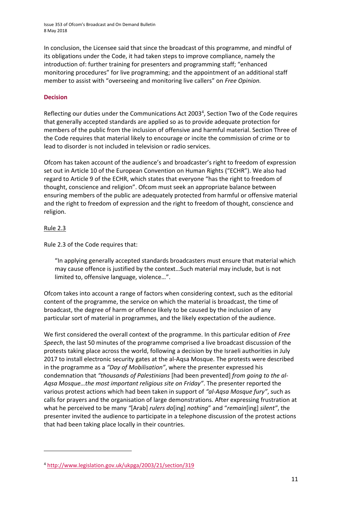Issue 353 of Ofcom's Broadcast and On Demand Bulletin 8 May 2018

In conclusion, the Licensee said that since the broadcast of this programme, and mindful of its obligations under the Code, it had taken steps to improve compliance, namely the introduction of: further training for presenters and programming staff; "enhanced monitoring procedures" for live programming; and the appointment of an additional staff member to assist with "overseeing and monitoring live callers" on *Free Opinion.*

#### **Decision**

Reflecting our duties under the Communications Act 2003<sup>4</sup>, Section Two of the Code requires that generally accepted standards are applied so as to provide adequate protection for members of the public from the inclusion of offensive and harmful material. Section Three of the Code requires that material likely to encourage or incite the commission of crime or to lead to disorder is not included in television or radio services.

Ofcom has taken account of the audience's and broadcaster's right to freedom of expression set out in Article 10 of the European Convention on Human Rights ("ECHR"). We also had regard to Article 9 of the ECHR, which states that everyone "has the right to freedom of thought, conscience and religion". Ofcom must seek an appropriate balance between ensuring members of the public are adequately protected from harmful or offensive material and the right to freedom of expression and the right to freedom of thought, conscience and religion.

#### Rule 2.3

**.** 

Rule 2.3 of the Code requires that:

"In applying generally accepted standards broadcasters must ensure that material which may cause offence is justified by the context…Such material may include, but is not limited to, offensive language, violence…".

Ofcom takes into account a range of factors when considering context, such as the editorial content of the programme, the service on which the material is broadcast, the time of broadcast, the degree of harm or offence likely to be caused by the inclusion of any particular sort of material in programmes, and the likely expectation of the audience.

We first considered the overall context of the programme. In this particular edition of *Free Speech*, the last 50 minutes of the programme comprised a live broadcast discussion of the protests taking place across the world, following a decision by the Israeli authorities in July 2017 to install electronic security gates at the al-Aqsa Mosque. The protests were described in the programme as a *"Day of Mobilisation"*, where the presenter expressed his condemnation that *"thousands of Palestinians* [had been prevented] *from going to the al-Aqsa Mosque…the most important religious site on Friday"*. The presenter reported the various protest actions which had been taken in support of *"al-Aqsa Mosque fury"*, such as calls for prayers and the organisation of large demonstrations. After expressing frustration at what he perceived to be many *"*[Arab] *rulers do*[ing] *nothing*" and "*remain*[ing] *silent"*, the presenter invited the audience to participate in a telephone discussion of the protest actions that had been taking place locally in their countries.

<sup>4</sup> <http://www.legislation.gov.uk/ukpga/2003/21/section/319>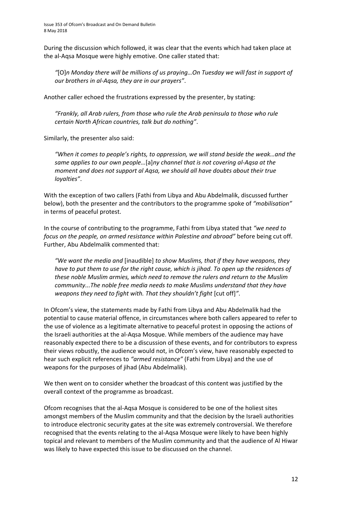During the discussion which followed, it was clear that the events which had taken place at the al-Aqsa Mosque were highly emotive. One caller stated that:

*"*[O]*n Monday there will be millions of us praying…On Tuesday we will fast in support of our brothers in al-Aqsa, they are in our prayers"*.

Another caller echoed the frustrations expressed by the presenter, by stating:

*"Frankly, all Arab rulers, from those who rule the Arab peninsula to those who rule certain North African countries, talk but do nothing"*.

Similarly, the presenter also said:

*"When it comes to people's rights, to oppression, we will stand beside the weak…and the same applies to our own people…*[a]*ny channel that is not covering al-Aqsa at the moment and does not support al Aqsa, we should all have doubts about their true loyalties"*.

With the exception of two callers (Fathi from Libya and Abu Abdelmalik, discussed further below), both the presenter and the contributors to the programme spoke of *"mobilisation"* in terms of peaceful protest.

In the course of contributing to the programme, Fathi from Libya stated that *"we need to focus on the people, on armed resistance within Palestine and abroad"* before being cut off. Further, Abu Abdelmalik commented that:

*"We want the media and* [inaudible] *to show Muslims, that if they have weapons, they have to put them to use for the right cause, which is jihad. To open up the residences of these noble Muslim armies, which need to remove the rulers and return to the Muslim community...The noble free media needs to make Muslims understand that they have weapons they need to fight with. That they shouldn't fight* [cut off]*"*.

In Ofcom's view, the statements made by Fathi from Libya and Abu Abdelmalik had the potential to cause material offence, in circumstances where both callers appeared to refer to the use of violence as a legitimate alternative to peaceful protest in opposing the actions of the Israeli authorities at the al-Aqsa Mosque. While members of the audience may have reasonably expected there to be a discussion of these events, and for contributors to express their views robustly, the audience would not, in Ofcom's view, have reasonably expected to hear such explicit references to *"armed resistance"* (Fathi from Libya) and the use of weapons for the purposes of jihad (Abu Abdelmalik).

We then went on to consider whether the broadcast of this content was justified by the overall context of the programme as broadcast.

Ofcom recognises that the al-Aqsa Mosque is considered to be one of the holiest sites amongst members of the Muslim community and that the decision by the Israeli authorities to introduce electronic security gates at the site was extremely controversial. We therefore recognised that the events relating to the al-Aqsa Mosque were likely to have been highly topical and relevant to members of the Muslim community and that the audience of Al Hiwar was likely to have expected this issue to be discussed on the channel.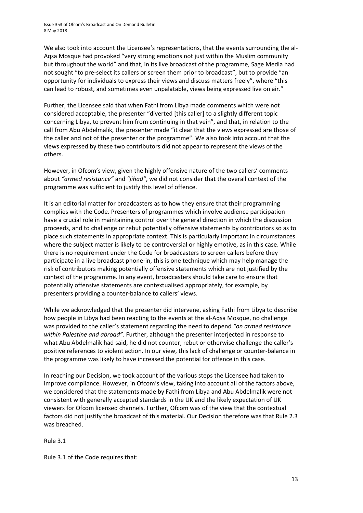We also took into account the Licensee's representations, that the events surrounding the al-Aqsa Mosque had provoked "very strong emotions not just within the Muslim community but throughout the world" and that, in its live broadcast of the programme, Sage Media had not sought "to pre-select its callers or screen them prior to broadcast", but to provide "an opportunity for individuals to express their views and discuss matters freely", where "this can lead to robust, and sometimes even unpalatable, views being expressed live on air."

Further, the Licensee said that when Fathi from Libya made comments which were not considered acceptable, the presenter "diverted [this caller] to a slightly different topic concerning Libya, to prevent him from continuing in that vein", and that, in relation to the call from Abu Abdelmalik, the presenter made "it clear that the views expressed are those of the caller and not of the presenter or the programme". We also took into account that the views expressed by these two contributors did not appear to represent the views of the others.

However, in Ofcom's view, given the highly offensive nature of the two callers' comments about *"armed resistance"* and *"jihad"*, we did not consider that the overall context of the programme was sufficient to justify this level of offence.

It is an editorial matter for broadcasters as to how they ensure that their programming complies with the Code. Presenters of programmes which involve audience participation have a crucial role in maintaining control over the general direction in which the discussion proceeds, and to challenge or rebut potentially offensive statements by contributors so as to place such statements in appropriate context. This is particularly important in circumstances where the subject matter is likely to be controversial or highly emotive, as in this case. While there is no requirement under the Code for broadcasters to screen callers before they participate in a live broadcast phone-in, this is one technique which may help manage the risk of contributors making potentially offensive statements which are not justified by the context of the programme. In any event, broadcasters should take care to ensure that potentially offensive statements are contextualised appropriately, for example, by presenters providing a counter-balance to callers' views.

While we acknowledged that the presenter did intervene, asking Fathi from Libya to describe how people in Libya had been reacting to the events at the al-Aqsa Mosque, no challenge was provided to the caller's statement regarding the need to depend *"on armed resistance within Palestine and abroad".* Further, although the presenter interjected in response to what Abu Abdelmalik had said, he did not counter, rebut or otherwise challenge the caller's positive references to violent action. In our view, this lack of challenge or counter-balance in the programme was likely to have increased the potential for offence in this case.

In reaching our Decision, we took account of the various steps the Licensee had taken to improve compliance. However, in Ofcom's view, taking into account all of the factors above, we considered that the statements made by Fathi from Libya and Abu Abdelmalik were not consistent with generally accepted standards in the UK and the likely expectation of UK viewers for Ofcom licensed channels. Further, Ofcom was of the view that the contextual factors did not justify the broadcast of this material. Our Decision therefore was that Rule 2.3 was breached.

#### Rule 3.1

Rule 3.1 of the Code requires that: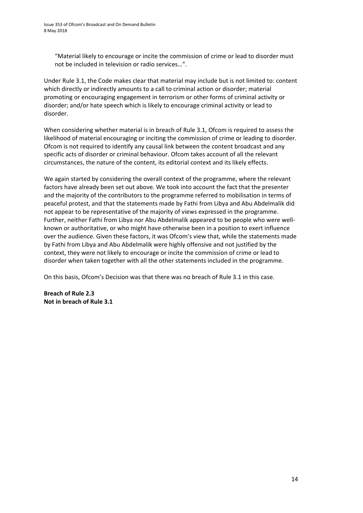"Material likely to encourage or incite the commission of crime or lead to disorder must not be included in television or radio services…".

Under Rule 3.1, the Code makes clear that material may include but is not limited to: content which directly or indirectly amounts to a call to criminal action or disorder; material promoting or encouraging engagement in terrorism or other forms of criminal activity or disorder; and/or hate speech which is likely to encourage criminal activity or lead to disorder.

When considering whether material is in breach of Rule 3.1, Ofcom is required to assess the likelihood of material encouraging or inciting the commission of crime or leading to disorder. Ofcom is not required to identify any causal link between the content broadcast and any specific acts of disorder or criminal behaviour. Ofcom takes account of all the relevant circumstances, the nature of the content, its editorial context and its likely effects.

We again started by considering the overall context of the programme, where the relevant factors have already been set out above. We took into account the fact that the presenter and the majority of the contributors to the programme referred to mobilisation in terms of peaceful protest, and that the statements made by Fathi from Libya and Abu Abdelmalik did not appear to be representative of the majority of views expressed in the programme. Further, neither Fathi from Libya nor Abu Abdelmalik appeared to be people who were wellknown or authoritative, or who might have otherwise been in a position to exert influence over the audience. Given these factors, it was Ofcom's view that, while the statements made by Fathi from Libya and Abu Abdelmalik were highly offensive and not justified by the context, they were not likely to encourage or incite the commission of crime or lead to disorder when taken together with all the other statements included in the programme.

On this basis, Ofcom's Decision was that there was no breach of Rule 3.1 in this case.

**Breach of Rule 2.3 Not in breach of Rule 3.1**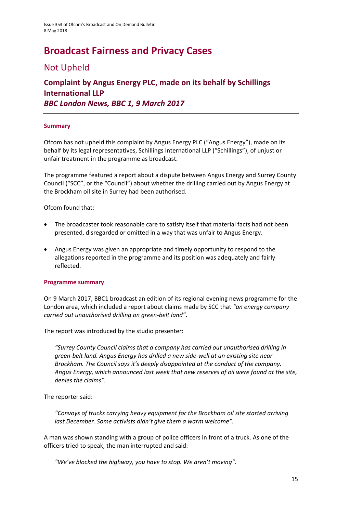# **Broadcast Fairness and Privacy Cases**

### Not Upheld

### **Complaint by Angus Energy PLC, made on its behalf by Schillings International LLP**  *BBC London News, BBC 1, 9 March 2017*

#### **Summary**

Ofcom has not upheld this complaint by Angus Energy PLC ("Angus Energy"), made on its behalf by its legal representatives, Schillings International LLP ("Schillings"), of unjust or unfair treatment in the programme as broadcast.

The programme featured a report about a dispute between Angus Energy and Surrey County Council ("SCC", or the "Council") about whether the drilling carried out by Angus Energy at the Brockham oil site in Surrey had been authorised.

Ofcom found that:

- The broadcaster took reasonable care to satisfy itself that material facts had not been presented, disregarded or omitted in a way that was unfair to Angus Energy.
- Angus Energy was given an appropriate and timely opportunity to respond to the allegations reported in the programme and its position was adequately and fairly reflected.

#### **Programme summary**

On 9 March 2017, BBC1 broadcast an edition of its regional evening news programme for the London area, which included a report about claims made by SCC that *"an energy company carried out unauthorised drilling on green-belt land"*.

The report was introduced by the studio presenter:

*"Surrey County Council claims that a company has carried out unauthorised drilling in green-belt land. Angus Energy has drilled a new side-well at an existing site near Brockham. The Council says it's deeply disappointed at the conduct of the company. Angus Energy, which announced last week that new reserves of oil were found at the site, denies the claims".*

The reporter said:

*"Convoys of trucks carrying heavy equipment for the Brockham oil site started arriving last December. Some activists didn't give them a warm welcome".*

A man was shown standing with a group of police officers in front of a truck. As one of the officers tried to speak, the man interrupted and said:

*"We've blocked the highway, you have to stop. We aren't moving".*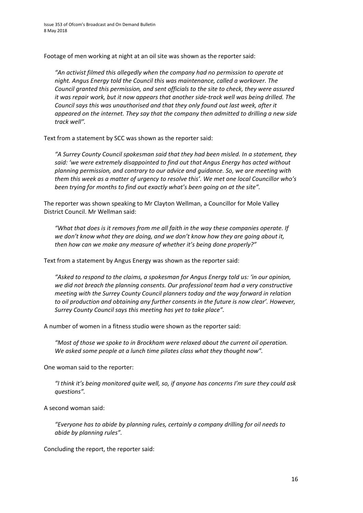Footage of men working at night at an oil site was shown as the reporter said:

*"An activist filmed this allegedly when the company had no permission to operate at night. Angus Energy told the Council this was maintenance, called a workover. The Council granted this permission, and sent officials to the site to check, they were assured it was repair work, but it now appears that another side-track well was being drilled. The Council says this was unauthorised and that they only found out last week, after it appeared on the internet. They say that the company then admitted to drilling a new side track well".*

Text from a statement by SCC was shown as the reporter said:

*"A Surrey County Council spokesman said that they had been misled. In a statement, they said: 'we were extremely disappointed to find out that Angus Energy has acted without planning permission, and contrary to our advice and guidance. So, we are meeting with them this week as a matter of urgency to resolve this'. We met one local Councillor who's been trying for months to find out exactly what's been going on at the site".*

The reporter was shown speaking to Mr Clayton Wellman, a Councillor for Mole Valley District Council. Mr Wellman said:

*"What that does is it removes from me all faith in the way these companies operate. If we don't know what they are doing, and we don't know how they are going about it, then how can we make any measure of whether it's being done properly?"*

Text from a statement by Angus Energy was shown as the reporter said:

*"Asked to respond to the claims, a spokesman for Angus Energy told us: 'in our opinion, we did not breach the planning consents. Our professional team had a very constructive meeting with the Surrey County Council planners today and the way forward in relation to oil production and obtaining any further consents in the future is now clear'. However, Surrey County Council says this meeting has yet to take place".*

A number of women in a fitness studio were shown as the reporter said:

*"Most of those we spoke to in Brockham were relaxed about the current oil operation. We asked some people at a lunch time pilates class what they thought now".*

One woman said to the reporter:

*"I think it's being monitored quite well, so, if anyone has concerns I'm sure they could ask questions".*

A second woman said:

*"Everyone has to abide by planning rules, certainly a company drilling for oil needs to abide by planning rules".*

Concluding the report, the reporter said: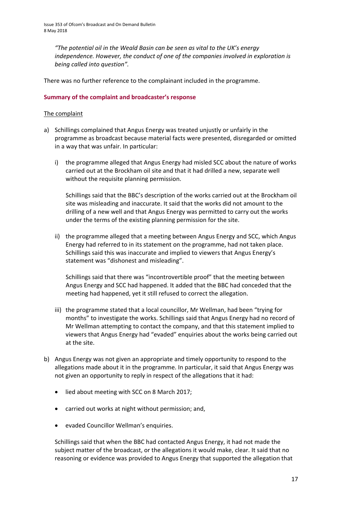*"The potential oil in the Weald Basin can be seen as vital to the UK's energy independence. However, the conduct of one of the companies involved in exploration is being called into question".*

There was no further reference to the complainant included in the programme.

#### **Summary of the complaint and broadcaster's response**

#### The complaint

- a) Schillings complained that Angus Energy was treated unjustly or unfairly in the programme as broadcast because material facts were presented, disregarded or omitted in a way that was unfair. In particular:
	- i) the programme alleged that Angus Energy had misled SCC about the nature of works carried out at the Brockham oil site and that it had drilled a new, separate well without the requisite planning permission.

Schillings said that the BBC's description of the works carried out at the Brockham oil site was misleading and inaccurate. It said that the works did not amount to the drilling of a new well and that Angus Energy was permitted to carry out the works under the terms of the existing planning permission for the site.

ii) the programme alleged that a meeting between Angus Energy and SCC, which Angus Energy had referred to in its statement on the programme, had not taken place. Schillings said this was inaccurate and implied to viewers that Angus Energy's statement was "dishonest and misleading".

Schillings said that there was "incontrovertible proof" that the meeting between Angus Energy and SCC had happened. It added that the BBC had conceded that the meeting had happened, yet it still refused to correct the allegation.

- iii) the programme stated that a local councillor, Mr Wellman, had been "trying for months" to investigate the works. Schillings said that Angus Energy had no record of Mr Wellman attempting to contact the company, and that this statement implied to viewers that Angus Energy had "evaded" enquiries about the works being carried out at the site.
- b) Angus Energy was not given an appropriate and timely opportunity to respond to the allegations made about it in the programme. In particular, it said that Angus Energy was not given an opportunity to reply in respect of the allegations that it had:
	- lied about meeting with SCC on 8 March 2017;
	- carried out works at night without permission; and,
	- evaded Councillor Wellman's enquiries.

Schillings said that when the BBC had contacted Angus Energy, it had not made the subject matter of the broadcast, or the allegations it would make, clear. It said that no reasoning or evidence was provided to Angus Energy that supported the allegation that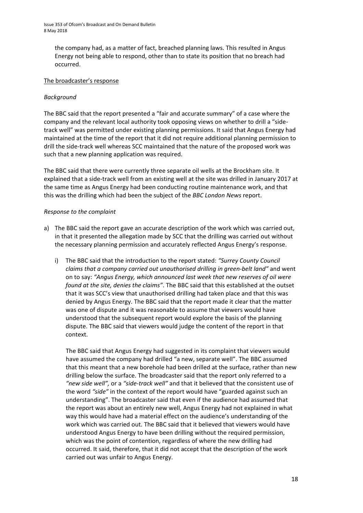the company had, as a matter of fact, breached planning laws. This resulted in Angus Energy not being able to respond, other than to state its position that no breach had occurred.

#### The broadcaster's response

#### *Background*

The BBC said that the report presented a "fair and accurate summary" of a case where the company and the relevant local authority took opposing views on whether to drill a "sidetrack well" was permitted under existing planning permissions. It said that Angus Energy had maintained at the time of the report that it did not require additional planning permission to drill the side-track well whereas SCC maintained that the nature of the proposed work was such that a new planning application was required.

The BBC said that there were currently three separate oil wells at the Brockham site. It explained that a side-track well from an existing well at the site was drilled in January 2017 at the same time as Angus Energy had been conducting routine maintenance work, and that this was the drilling which had been the subject of the *BBC London News* report.

#### *Response to the complaint*

- a) The BBC said the report gave an accurate description of the work which was carried out, in that it presented the allegation made by SCC that the drilling was carried out without the necessary planning permission and accurately reflected Angus Energy's response.
	- i) The BBC said that the introduction to the report stated: *"Surrey County Council claims that a company carried out unauthorised drilling in green-belt land"* and went on to say: *"Angus Energy, which announced last week that new reserves of oil were found at the site, denies the claims"*. The BBC said that this established at the outset that it was SCC's view that unauthorised drilling had taken place and that this was denied by Angus Energy. The BBC said that the report made it clear that the matter was one of dispute and it was reasonable to assume that viewers would have understood that the subsequent report would explore the basis of the planning dispute. The BBC said that viewers would judge the content of the report in that context.

The BBC said that Angus Energy had suggested in its complaint that viewers would have assumed the company had drilled "a new, separate well". The BBC assumed that this meant that a new borehole had been drilled at the surface, rather than new drilling below the surface. The broadcaster said that the report only referred to a *"new side well",* or a *"side-track well"* and that it believed that the consistent use of the word *"side"* in the context of the report would have "guarded against such an understanding". The broadcaster said that even if the audience had assumed that the report was about an entirely new well, Angus Energy had not explained in what way this would have had a material effect on the audience's understanding of the work which was carried out. The BBC said that it believed that viewers would have understood Angus Energy to have been drilling without the required permission, which was the point of contention, regardless of where the new drilling had occurred. It said, therefore, that it did not accept that the description of the work carried out was unfair to Angus Energy.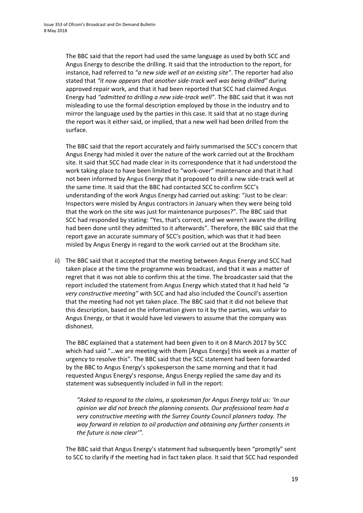The BBC said that the report had used the same language as used by both SCC and Angus Energy to describe the drilling. It said that the introduction to the report, for instance, had referred to *"a new side well at an existing site"*. The reporter had also stated that *"it now appears that another side-track well was being drilled"* during approved repair work, and that it had been reported that SCC had claimed Angus Energy had *"admitted to drilling a new side-track well"*. The BBC said that it was not misleading to use the formal description employed by those in the industry and to mirror the language used by the parties in this case. It said that at no stage during the report was it either said, or implied, that a new well had been drilled from the surface.

The BBC said that the report accurately and fairly summarised the SCC's concern that Angus Energy had misled it over the nature of the work carried out at the Brockham site. It said that SCC had made clear in its correspondence that it had understood the work taking place to have been limited to "work-over" maintenance and that it had not been informed by Angus Energy that it proposed to drill a new side-track well at the same time. It said that the BBC had contacted SCC to confirm SCC's understanding of the work Angus Energy had carried out asking: "Just to be clear: Inspectors were misled by Angus contractors in January when they were being told that the work on the site was just for maintenance purposes?". The BBC said that SCC had responded by stating: "Yes, that's correct, and we weren't aware the drilling had been done until they admitted to it afterwards". Therefore, the BBC said that the report gave an accurate summary of SCC's position, which was that it had been misled by Angus Energy in regard to the work carried out at the Brockham site.

ii) The BBC said that it accepted that the meeting between Angus Energy and SCC had taken place at the time the programme was broadcast, and that it was a matter of regret that it was not able to confirm this at the time. The broadcaster said that the report included the statement from Angus Energy which stated that it had held *"a very constructive meeting"* with SCC and had also included the Council's assertion that the meeting had not yet taken place. The BBC said that it did not believe that this description, based on the information given to it by the parties, was unfair to Angus Energy, or that it would have led viewers to assume that the company was dishonest.

The BBC explained that a statement had been given to it on 8 March 2017 by SCC which had said "…we are meeting with them [Angus Energy] this week as a matter of urgency to resolve this". The BBC said that the SCC statement had been forwarded by the BBC to Angus Energy's spokesperson the same morning and that it had requested Angus Energy's response, Angus Energy replied the same day and its statement was subsequently included in full in the report:

*"Asked to respond to the claims, a spokesman for Angus Energy told us: 'In our opinion we did not breach the planning consents. Our professional team had a very constructive meeting with the Surrey County Council planners today. The way forward in relation to oil production and obtaining any further consents in the future is now clear'".*

The BBC said that Angus Energy's statement had subsequently been "promptly" sent to SCC to clarify if the meeting had in fact taken place. It said that SCC had responded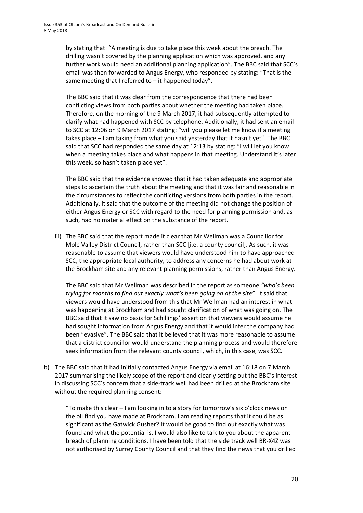by stating that: "A meeting is due to take place this week about the breach. The drilling wasn't covered by the planning application which was approved, and any further work would need an additional planning application". The BBC said that SCC's email was then forwarded to Angus Energy, who responded by stating: "That is the same meeting that I referred to – it happened today".

The BBC said that it was clear from the correspondence that there had been conflicting views from both parties about whether the meeting had taken place. Therefore, on the morning of the 9 March 2017, it had subsequently attempted to clarify what had happened with SCC by telephone. Additionally, it had sent an email to SCC at 12:06 on 9 March 2017 stating: "will you please let me know if a meeting takes place – I am taking from what you said yesterday that it hasn't yet". The BBC said that SCC had responded the same day at 12:13 by stating: "I will let you know when a meeting takes place and what happens in that meeting. Understand it's later this week, so hasn't taken place yet".

The BBC said that the evidence showed that it had taken adequate and appropriate steps to ascertain the truth about the meeting and that it was fair and reasonable in the circumstances to reflect the conflicting versions from both parties in the report. Additionally, it said that the outcome of the meeting did not change the position of either Angus Energy or SCC with regard to the need for planning permission and, as such, had no material effect on the substance of the report.

iii) The BBC said that the report made it clear that Mr Wellman was a Councillor for Mole Valley District Council, rather than SCC [i.e. a county council]. As such, it was reasonable to assume that viewers would have understood him to have approached SCC, the appropriate local authority, to address any concerns he had about work at the Brockham site and any relevant planning permissions, rather than Angus Energy.

The BBC said that Mr Wellman was described in the report as someone *"who's been trying for months to find out exactly what's been going on at the site"*. It said that viewers would have understood from this that Mr Wellman had an interest in what was happening at Brockham and had sought clarification of what was going on. The BBC said that it saw no basis for Schillings' assertion that viewers would assume he had sought information from Angus Energy and that it would infer the company had been "evasive". The BBC said that it believed that it was more reasonable to assume that a district councillor would understand the planning process and would therefore seek information from the relevant county council, which, in this case, was SCC.

b) The BBC said that it had initially contacted Angus Energy via email at 16:18 on 7 March 2017 summarising the likely scope of the report and clearly setting out the BBC's interest in discussing SCC's concern that a side-track well had been drilled at the Brockham site without the required planning consent:

"To make this clear – I am looking in to a story for tomorrow's six o'clock news on the oil find you have made at Brockham. I am reading reports that it could be as significant as the Gatwick Gusher? It would be good to find out exactly what was found and what the potential is. I would also like to talk to you about the apparent breach of planning conditions. I have been told that the side track well BR-X4Z was not authorised by Surrey County Council and that they find the news that you drilled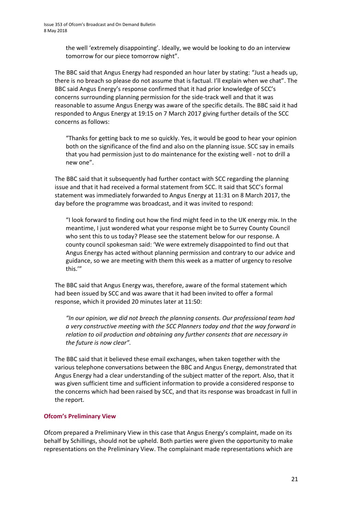the well 'extremely disappointing'. Ideally, we would be looking to do an interview tomorrow for our piece tomorrow night".

The BBC said that Angus Energy had responded an hour later by stating: "Just a heads up, there is no breach so please do not assume that is factual. I'll explain when we chat". The BBC said Angus Energy's response confirmed that it had prior knowledge of SCC's concerns surrounding planning permission for the side-track well and that it was reasonable to assume Angus Energy was aware of the specific details. The BBC said it had responded to Angus Energy at 19:15 on 7 March 2017 giving further details of the SCC concerns as follows:

"Thanks for getting back to me so quickly. Yes, it would be good to hear your opinion both on the significance of the find and also on the planning issue. SCC say in emails that you had permission just to do maintenance for the existing well - not to drill a new one".

The BBC said that it subsequently had further contact with SCC regarding the planning issue and that it had received a formal statement from SCC. It said that SCC's formal statement was immediately forwarded to Angus Energy at 11:31 on 8 March 2017, the day before the programme was broadcast, and it was invited to respond:

"I look forward to finding out how the find might feed in to the UK energy mix. In the meantime, I just wondered what your response might be to Surrey County Council who sent this to us today? Please see the statement below for our response. A county council spokesman said: 'We were extremely disappointed to find out that Angus Energy has acted without planning permission and contrary to our advice and guidance, so we are meeting with them this week as a matter of urgency to resolve this.'"

The BBC said that Angus Energy was, therefore, aware of the formal statement which had been issued by SCC and was aware that it had been invited to offer a formal response, which it provided 20 minutes later at 11:50:

*"In our opinion, we did not breach the planning consents. Our professional team had a very constructive meeting with the SCC Planners today and that the way forward in relation to oil production and obtaining any further consents that are necessary in the future is now clear".* 

The BBC said that it believed these email exchanges, when taken together with the various telephone conversations between the BBC and Angus Energy, demonstrated that Angus Energy had a clear understanding of the subject matter of the report. Also, that it was given sufficient time and sufficient information to provide a considered response to the concerns which had been raised by SCC, and that its response was broadcast in full in the report.

#### **Ofcom's Preliminary View**

Ofcom prepared a Preliminary View in this case that Angus Energy's complaint, made on its behalf by Schillings, should not be upheld. Both parties were given the opportunity to make representations on the Preliminary View. The complainant made representations which are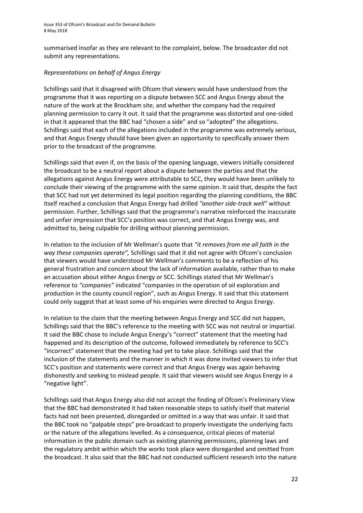summarised insofar as they are relevant to the complaint, below. The broadcaster did not submit any representations.

#### *Representations on behalf of Angus Energy*

Schillings said that it disagreed with Ofcom that viewers would have understood from the programme that it was reporting on a dispute between SCC and Angus Energy about the nature of the work at the Brockham site, and whether the company had the required planning permission to carry it out. It said that the programme was distorted and one-sided in that it appeared that the BBC had "chosen a side" and so "adopted" the allegations. Schillings said that each of the allegations included in the programme was extremely serious, and that Angus Energy should have been given an opportunity to specifically answer them prior to the broadcast of the programme.

Schillings said that even if, on the basis of the opening language, viewers initially considered the broadcast to be a neutral report about a dispute between the parties and that the allegations against Angus Energy were attributable to SCC, they would have been unlikely to conclude their viewing of the programme with the same opinion. It said that, despite the fact that SCC had not yet determined its legal position regarding the planning conditions, the BBC itself reached a conclusion that Angus Energy had drilled *"another side-track well"* without permission. Further, Schillings said that the programme's narrative reinforced the inaccurate and unfair impression that SCC's position was correct, and that Angus Energy was, and admitted to, being culpable for drilling without planning permission.

In relation to the inclusion of Mr Wellman's quote that *"it removes from me all faith in the way these companies operate",* Schillings said that it did not agree with Ofcom's conclusion that viewers would have understood Mr Wellman's comments to be a reflection of his general frustration and concern about the lack of information available, rather than to make an accusation about either Angus Energy or SCC. Schillings stated that Mr Wellman's reference to *"companies"* indicated "companies in the operation of oil exploration and production in the county council region", such as Angus Energy. It said that this statement could only suggest that at least some of his enquiries were directed to Angus Energy.

In relation to the claim that the meeting between Angus Energy and SCC did not happen, Schillings said that the BBC's reference to the meeting with SCC was not neutral or impartial. It said the BBC chose to include Angus Energy's "correct" statement that the meeting had happened and its description of the outcome, followed immediately by reference to SCC's "incorrect" statement that the meeting had yet to take place. Schillings said that the inclusion of the statements and the manner in which it was done invited viewers to infer that SCC's position and statements were correct and that Angus Energy was again behaving dishonestly and seeking to mislead people. It said that viewers would see Angus Energy in a "negative light".

Schillings said that Angus Energy also did not accept the finding of Ofcom's Preliminary View that the BBC had demonstrated it had taken reasonable steps to satisfy itself that material facts had not been presented, disregarded or omitted in a way that was unfair. It said that the BBC took no "palpable steps" pre-broadcast to properly investigate the underlying facts or the nature of the allegations levelled. As a consequence, critical pieces of material information in the public domain such as existing planning permissions, planning laws and the regulatory ambit within which the works took place were disregarded and omitted from the broadcast. It also said that the BBC had not conducted sufficient research into the nature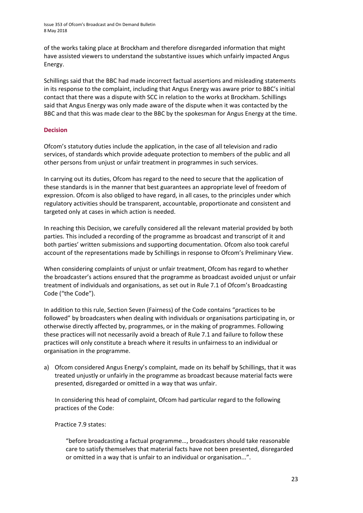Issue 353 of Ofcom's Broadcast and On Demand Bulletin 8 May 2018

of the works taking place at Brockham and therefore disregarded information that might have assisted viewers to understand the substantive issues which unfairly impacted Angus Energy.

Schillings said that the BBC had made incorrect factual assertions and misleading statements in its response to the complaint, including that Angus Energy was aware prior to BBC's initial contact that there was a dispute with SCC in relation to the works at Brockham. Schillings said that Angus Energy was only made aware of the dispute when it was contacted by the BBC and that this was made clear to the BBC by the spokesman for Angus Energy at the time.

#### **Decision**

Ofcom's statutory duties include the application, in the case of all television and radio services, of standards which provide adequate protection to members of the public and all other persons from unjust or unfair treatment in programmes in such services.

In carrying out its duties, Ofcom has regard to the need to secure that the application of these standards is in the manner that best guarantees an appropriate level of freedom of expression. Ofcom is also obliged to have regard, in all cases, to the principles under which regulatory activities should be transparent, accountable, proportionate and consistent and targeted only at cases in which action is needed.

In reaching this Decision, we carefully considered all the relevant material provided by both parties. This included a recording of the programme as broadcast and transcript of it and both parties' written submissions and supporting documentation. Ofcom also took careful account of the representations made by Schillings in response to Ofcom's Preliminary View.

When considering complaints of unjust or unfair treatment, Ofcom has regard to whether the broadcaster's actions ensured that the programme as broadcast avoided unjust or unfair treatment of individuals and organisations, as set out in Rule 7.1 of Ofcom's Broadcasting Code ("the Code").

In addition to this rule, Section Seven (Fairness) of the Code contains "practices to be followed" by broadcasters when dealing with individuals or organisations participating in, or otherwise directly affected by, programmes, or in the making of programmes. Following these practices will not necessarily avoid a breach of Rule 7.1 and failure to follow these practices will only constitute a breach where it results in unfairness to an individual or organisation in the programme.

a) Ofcom considered Angus Energy's complaint, made on its behalf by Schillings, that it was treated unjustly or unfairly in the programme as broadcast because material facts were presented, disregarded or omitted in a way that was unfair.

In considering this head of complaint, Ofcom had particular regard to the following practices of the Code:

Practice 7.9 states:

"before broadcasting a factual programme…, broadcasters should take reasonable care to satisfy themselves that material facts have not been presented, disregarded or omitted in a way that is unfair to an individual or organisation...".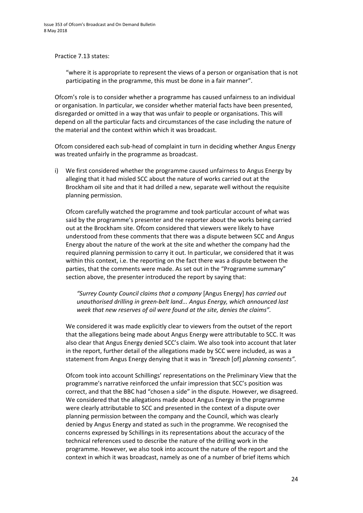Practice 7.13 states:

"where it is appropriate to represent the views of a person or organisation that is not participating in the programme, this must be done in a fair manner".

Ofcom's role is to consider whether a programme has caused unfairness to an individual or organisation. In particular, we consider whether material facts have been presented, disregarded or omitted in a way that was unfair to people or organisations. This will depend on all the particular facts and circumstances of the case including the nature of the material and the context within which it was broadcast.

Ofcom considered each sub-head of complaint in turn in deciding whether Angus Energy was treated unfairly in the programme as broadcast.

i) We first considered whether the programme caused unfairness to Angus Energy by alleging that it had misled SCC about the nature of works carried out at the Brockham oil site and that it had drilled a new, separate well without the requisite planning permission.

Ofcom carefully watched the programme and took particular account of what was said by the programme's presenter and the reporter about the works being carried out at the Brockham site. Ofcom considered that viewers were likely to have understood from these comments that there was a dispute between SCC and Angus Energy about the nature of the work at the site and whether the company had the required planning permission to carry it out. In particular, we considered that it was within this context, i.e. the reporting on the fact there was a dispute between the parties, that the comments were made. As set out in the "Programme summary" section above, the presenter introduced the report by saying that:

*"Surrey County Council claims that a company* [Angus Energy] *has carried out unauthorised drilling in green-belt land... Angus Energy, which announced last week that new reserves of oil were found at the site, denies the claims".*

We considered it was made explicitly clear to viewers from the outset of the report that the allegations being made about Angus Energy were attributable to SCC. It was also clear that Angus Energy denied SCC's claim. We also took into account that later in the report, further detail of the allegations made by SCC were included, as was a statement from Angus Energy denying that it was in *"breach* [of] *planning consents".*

Ofcom took into account Schillings' representations on the Preliminary View that the programme's narrative reinforced the unfair impression that SCC's position was correct, and that the BBC had "chosen a side" in the dispute. However, we disagreed. We considered that the allegations made about Angus Energy in the programme were clearly attributable to SCC and presented in the context of a dispute over planning permission between the company and the Council, which was clearly denied by Angus Energy and stated as such in the programme. We recognised the concerns expressed by Schillings in its representations about the accuracy of the technical references used to describe the nature of the drilling work in the programme. However, we also took into account the nature of the report and the context in which it was broadcast, namely as one of a number of brief items which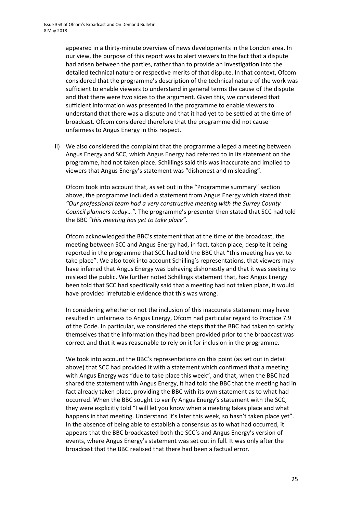appeared in a thirty-minute overview of news developments in the London area. In our view, the purpose of this report was to alert viewers to the fact that a dispute had arisen between the parties, rather than to provide an investigation into the detailed technical nature or respective merits of that dispute. In that context, Ofcom considered that the programme's description of the technical nature of the work was sufficient to enable viewers to understand in general terms the cause of the dispute and that there were two sides to the argument. Given this, we considered that sufficient information was presented in the programme to enable viewers to understand that there was a dispute and that it had yet to be settled at the time of broadcast. Ofcom considered therefore that the programme did not cause unfairness to Angus Energy in this respect.

ii) We also considered the complaint that the programme alleged a meeting between Angus Energy and SCC, which Angus Energy had referred to in its statement on the programme, had not taken place. Schillings said this was inaccurate and implied to viewers that Angus Energy's statement was "dishonest and misleading".

Ofcom took into account that, as set out in the "Programme summary" section above, the programme included a statement from Angus Energy which stated that: *"Our professional team had a very constructive meeting with the Surrey County Council planners today…".* The programme's presenter then stated that SCC had told the BBC *"this meeting has yet to take place".*

Ofcom acknowledged the BBC's statement that at the time of the broadcast, the meeting between SCC and Angus Energy had, in fact, taken place, despite it being reported in the programme that SCC had told the BBC that "this meeting has yet to take place". We also took into account Schilling's representations, that viewers may have inferred that Angus Energy was behaving dishonestly and that it was seeking to mislead the public. We further noted Schillings statement that, had Angus Energy been told that SCC had specifically said that a meeting had not taken place, it would have provided irrefutable evidence that this was wrong.

In considering whether or not the inclusion of this inaccurate statement may have resulted in unfairness to Angus Energy, Ofcom had particular regard to Practice 7.9 of the Code. In particular, we considered the steps that the BBC had taken to satisfy themselves that the information they had been provided prior to the broadcast was correct and that it was reasonable to rely on it for inclusion in the programme.

We took into account the BBC's representations on this point (as set out in detail above) that SCC had provided it with a statement which confirmed that a meeting with Angus Energy was "due to take place this week", and that, when the BBC had shared the statement with Angus Energy, it had told the BBC that the meeting had in fact already taken place, providing the BBC with its own statement as to what had occurred. When the BBC sought to verify Angus Energy's statement with the SCC, they were explicitly told "I will let you know when a meeting takes place and what happens in that meeting. Understand it's later this week, so hasn't taken place yet". In the absence of being able to establish a consensus as to what had occurred, it appears that the BBC broadcasted both the SCC's and Angus Energy's version of events, where Angus Energy's statement was set out in full. It was only after the broadcast that the BBC realised that there had been a factual error.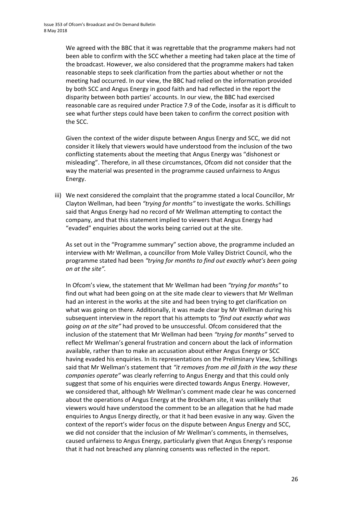We agreed with the BBC that it was regrettable that the programme makers had not been able to confirm with the SCC whether a meeting had taken place at the time of the broadcast. However, we also considered that the programme makers had taken reasonable steps to seek clarification from the parties about whether or not the meeting had occurred. In our view, the BBC had relied on the information provided by both SCC and Angus Energy in good faith and had reflected in the report the disparity between both parties' accounts. In our view, the BBC had exercised reasonable care as required under Practice 7.9 of the Code, insofar as it is difficult to see what further steps could have been taken to confirm the correct position with the SCC.

Given the context of the wider dispute between Angus Energy and SCC, we did not consider it likely that viewers would have understood from the inclusion of the two conflicting statements about the meeting that Angus Energy was "dishonest or misleading". Therefore, in all these circumstances, Ofcom did not consider that the way the material was presented in the programme caused unfairness to Angus Energy.

iii) We next considered the complaint that the programme stated a local Councillor, Mr Clayton Wellman, had been *"trying for months"* to investigate the works. Schillings said that Angus Energy had no record of Mr Wellman attempting to contact the company, and that this statement implied to viewers that Angus Energy had "evaded" enquiries about the works being carried out at the site.

As set out in the "Programme summary" section above, the programme included an interview with Mr Wellman, a councillor from Mole Valley District Council, who the programme stated had been *"trying for months to find out exactly what's been going on at the site".*

In Ofcom's view, the statement that Mr Wellman had been *"trying for months"* to find out what had been going on at the site made clear to viewers that Mr Wellman had an interest in the works at the site and had been trying to get clarification on what was going on there. Additionally, it was made clear by Mr Wellman during his subsequent interview in the report that his attempts to *"find out exactly what was going on at the site"* had proved to be unsuccessful. Ofcom considered that the inclusion of the statement that Mr Wellman had been *"trying for months"* served to reflect Mr Wellman's general frustration and concern about the lack of information available, rather than to make an accusation about either Angus Energy or SCC having evaded his enquiries. In its representations on the Preliminary View, Schillings said that Mr Wellman's statement that *"it removes from me all faith in the way these companies operate"* was clearly referring to Angus Energy and that this could only suggest that some of his enquiries were directed towards Angus Energy. However, we considered that, although Mr Wellman's comment made clear he was concerned about the operations of Angus Energy at the Brockham site, it was unlikely that viewers would have understood the comment to be an allegation that he had made enquiries to Angus Energy directly, or that it had been evasive in any way. Given the context of the report's wider focus on the dispute between Angus Energy and SCC, we did not consider that the inclusion of Mr Wellman's comments, in themselves, caused unfairness to Angus Energy, particularly given that Angus Energy's response that it had not breached any planning consents was reflected in the report.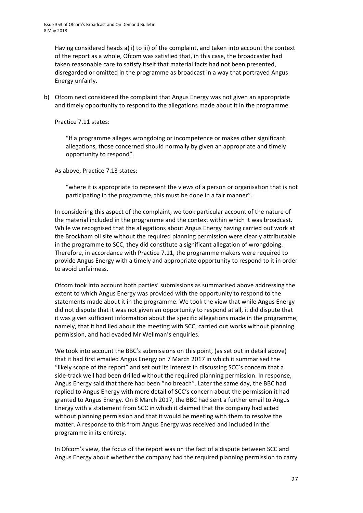Having considered heads a) i) to iii) of the complaint, and taken into account the context of the report as a whole, Ofcom was satisfied that, in this case, the broadcaster had taken reasonable care to satisfy itself that material facts had not been presented, disregarded or omitted in the programme as broadcast in a way that portrayed Angus Energy unfairly.

b) Ofcom next considered the complaint that Angus Energy was not given an appropriate and timely opportunity to respond to the allegations made about it in the programme.

Practice 7.11 states:

"If a programme alleges wrongdoing or incompetence or makes other significant allegations, those concerned should normally by given an appropriate and timely opportunity to respond".

As above, Practice 7.13 states:

"where it is appropriate to represent the views of a person or organisation that is not participating in the programme, this must be done in a fair manner".

In considering this aspect of the complaint, we took particular account of the nature of the material included in the programme and the context within which it was broadcast. While we recognised that the allegations about Angus Energy having carried out work at the Brockham oil site without the required planning permission were clearly attributable in the programme to SCC, they did constitute a significant allegation of wrongdoing. Therefore, in accordance with Practice 7.11, the programme makers were required to provide Angus Energy with a timely and appropriate opportunity to respond to it in order to avoid unfairness.

Ofcom took into account both parties' submissions as summarised above addressing the extent to which Angus Energy was provided with the opportunity to respond to the statements made about it in the programme. We took the view that while Angus Energy did not dispute that it was not given an opportunity to respond at all, it did dispute that it was given sufficient information about the specific allegations made in the programme; namely, that it had lied about the meeting with SCC, carried out works without planning permission, and had evaded Mr Wellman's enquiries.

We took into account the BBC's submissions on this point, (as set out in detail above) that it had first emailed Angus Energy on 7 March 2017 in which it summarised the "likely scope of the report" and set out its interest in discussing SCC's concern that a side-track well had been drilled without the required planning permission. In response, Angus Energy said that there had been "no breach". Later the same day, the BBC had replied to Angus Energy with more detail of SCC's concern about the permission it had granted to Angus Energy. On 8 March 2017, the BBC had sent a further email to Angus Energy with a statement from SCC in which it claimed that the company had acted without planning permission and that it would be meeting with them to resolve the matter. A response to this from Angus Energy was received and included in the programme in its entirety.

In Ofcom's view, the focus of the report was on the fact of a dispute between SCC and Angus Energy about whether the company had the required planning permission to carry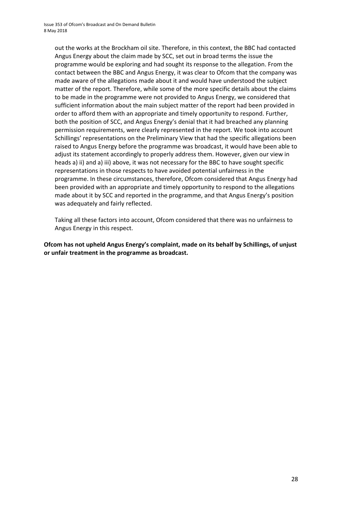out the works at the Brockham oil site. Therefore, in this context, the BBC had contacted Angus Energy about the claim made by SCC, set out in broad terms the issue the programme would be exploring and had sought its response to the allegation. From the contact between the BBC and Angus Energy, it was clear to Ofcom that the company was made aware of the allegations made about it and would have understood the subject matter of the report. Therefore, while some of the more specific details about the claims to be made in the programme were not provided to Angus Energy, we considered that sufficient information about the main subject matter of the report had been provided in order to afford them with an appropriate and timely opportunity to respond. Further, both the position of SCC, and Angus Energy's denial that it had breached any planning permission requirements, were clearly represented in the report. We took into account Schillings' representations on the Preliminary View that had the specific allegations been raised to Angus Energy before the programme was broadcast, it would have been able to adjust its statement accordingly to properly address them. However, given our view in heads a) ii) and a) iii) above, it was not necessary for the BBC to have sought specific representations in those respects to have avoided potential unfairness in the programme. In these circumstances, therefore, Ofcom considered that Angus Energy had been provided with an appropriate and timely opportunity to respond to the allegations made about it by SCC and reported in the programme, and that Angus Energy's position was adequately and fairly reflected.

Taking all these factors into account, Ofcom considered that there was no unfairness to Angus Energy in this respect.

**Ofcom has not upheld Angus Energy's complaint, made on its behalf by Schillings, of unjust or unfair treatment in the programme as broadcast.**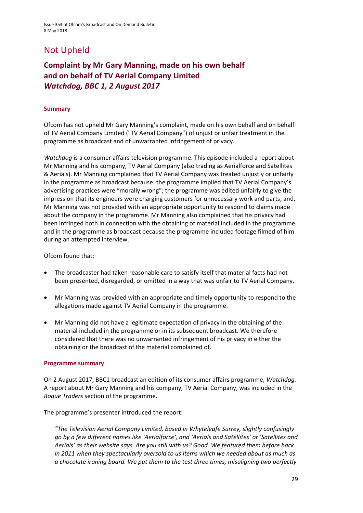## Not Upheld

### **Complaint by Mr Gary Manning, made on his own behalf and on behalf of TV Aerial Company Limited** *Watchdog, BBC 1, 2 August 2017*

#### **Summary**

Ofcom has not upheld Mr Gary Manning's complaint, made on his own behalf and on behalf of TV Aerial Company Limited ("TV Aerial Company") of unjust or unfair treatment in the programme as broadcast and of unwarranted infringement of privacy.

*Watchdog* is a consumer affairs television programme. This episode included a report about Mr Manning and his company, TV Aerial Company (also trading as Aerialforce and Satellites & Aerials). Mr Manning complained that TV Aerial Company was treated unjustly or unfairly in the programme as broadcast because: the programme implied that TV Aerial Company's advertising practices were "morally wrong"; the programme was edited unfairly to give the impression that its engineers were charging customers for unnecessary work and parts; and, Mr Manning was not provided with an appropriate opportunity to respond to claims made about the company in the programme. Mr Manning also complained that his privacy had been infringed both in connection with the obtaining of material included in the programme and in the programme as broadcast because the programme included footage filmed of him during an attempted interview.

Ofcom found that:

- The broadcaster had taken reasonable care to satisfy itself that material facts had not been presented, disregarded, or omitted in a way that was unfair to TV Aerial Company.
- Mr Manning was provided with an appropriate and timely opportunity to respond to the allegations made against TV Aerial Company in the programme.
- Mr Manning did not have a legitimate expectation of privacy in the obtaining of the material included in the programme or in its subsequent broadcast. We therefore considered that there was no unwarranted infringement of his privacy in either the obtaining or the broadcast of the material complained of.

#### **Programme summary**

On 2 August 2017, BBC1 broadcast an edition of its consumer affairs programme, *Watchdog.*  A report about Mr Gary Manning and his company, TV Aerial Company, was included in the *Rogue Traders* section of the programme.

The programme's presenter introduced the report:

*"The Television Aerial Company Limited, based in Whyteleafe Surrey, slightly confusingly go by a few different names like 'Aerialforce', and 'Aerials and Satellites' or 'Satellites and Aerials' as their website says. Are you still with us? Good. We featured them before back in 2011 when they spectacularly oversold to us items which we needed about as much as a chocolate ironing board. We put them to the test three times, misaligning two perfectly*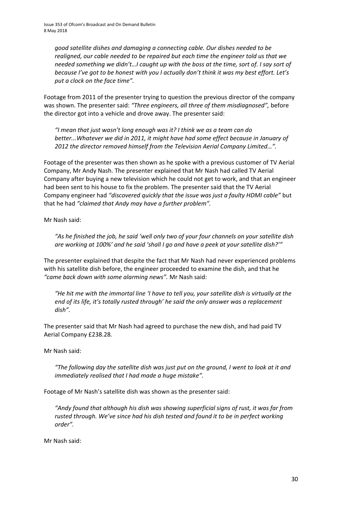*good satellite dishes and damaging a connecting cable. Our dishes needed to be realigned, our cable needed to be repaired but each time the engineer told us that we needed something we didn't…I caught up with the boss at the time, sort of. I say sort of because I've got to be honest with you I actually don't think it was my best effort. Let's put a clock on the face time".*

Footage from 2011 of the presenter trying to question the previous director of the company was shown. The presenter said: *"Three engineers, all three of them misdiagnosed",* before the director got into a vehicle and drove away. The presenter said:

*"I mean that just wasn't long enough was it? I think we as a team can do better...Whatever we did in 2011, it might have had some effect because in January of 2012 the director removed himself from the Television Aerial Company Limited…".*

Footage of the presenter was then shown as he spoke with a previous customer of TV Aerial Company, Mr Andy Nash. The presenter explained that Mr Nash had called TV Aerial Company after buying a new television which he could not get to work, and that an engineer had been sent to his house to fix the problem. The presenter said that the TV Aerial Company engineer had *"discovered quickly that the issue was just a faulty HDMI cable"* but that he had *"claimed that Andy may have a further problem".*

Mr Nash said:

*"As he finished the job, he said 'well only two of your four channels on your satellite dish are working at 100%' and he said 'shall I go and have a peek at your satellite dish?'"*

The presenter explained that despite the fact that Mr Nash had never experienced problems with his satellite dish before, the engineer proceeded to examine the dish, and that he *"came back down with some alarming news".* Mr Nash said:

*"He hit me with the immortal line 'I have to tell you, your satellite dish is virtually at the end of its life, it's totally rusted through' he said the only answer was a replacement dish".*

The presenter said that Mr Nash had agreed to purchase the new dish, and had paid TV Aerial Company £238.28.

Mr Nash said:

*"The following day the satellite dish was just put on the ground, I went to look at it and immediately realised that I had made a huge mistake".*

Footage of Mr Nash's satellite dish was shown as the presenter said:

*"Andy found that although his dish was showing superficial signs of rust, it was far from rusted through. We've since had his dish tested and found it to be in perfect working order".*

Mr Nash said: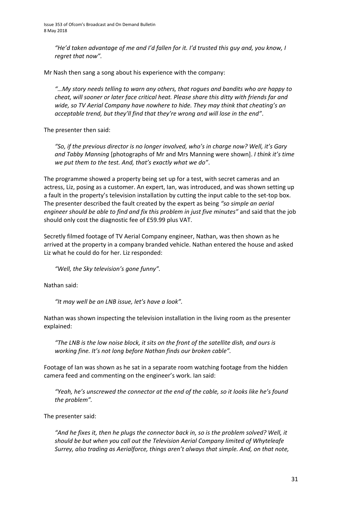*"He'd taken advantage of me and I'd fallen for it. I'd trusted this guy and, you know, I regret that now".*

Mr Nash then sang a song about his experience with the company:

*"…My story needs telling to warn any others, that rogues and bandits who are happy to cheat, will sooner or later face critical heat. Please share this ditty with friends far and wide, so TV Aerial Company have nowhere to hide. They may think that cheating's an acceptable trend, but they'll find that they're wrong and will lose in the end"*.

The presenter then said:

*"So, if the previous director is no longer involved, who's in charge now? Well, it's Gary and Tabby Manning* [photographs of Mr and Mrs Manning were shown]. *I think it's time we put them to the test. And, that's exactly what we do"*.

The programme showed a property being set up for a test, with secret cameras and an actress, Liz, posing as a customer. An expert, Ian, was introduced, and was shown setting up a fault in the property's television installation by cutting the input cable to the set-top box. The presenter described the fault created by the expert as being *"so simple an aerial engineer should be able to find and fix this problem in just five minutes"* and said that the job should only cost the diagnostic fee of £59.99 plus VAT.

Secretly filmed footage of TV Aerial Company engineer, Nathan, was then shown as he arrived at the property in a company branded vehicle. Nathan entered the house and asked Liz what he could do for her. Liz responded:

*"Well, the Sky television's gone funny".*

Nathan said:

*"It may well be an LNB issue, let's have a look".*

Nathan was shown inspecting the television installation in the living room as the presenter explained:

*"The LNB is the low noise block, it sits on the front of the satellite dish, and ours is working fine. It's not long before Nathan finds our broken cable".*

Footage of Ian was shown as he sat in a separate room watching footage from the hidden camera feed and commenting on the engineer's work. Ian said:

*"Yeah, he's unscrewed the connector at the end of the cable, so it looks like he's found the problem".*

The presenter said:

*"And he fixes it, then he plugs the connector back in, so is the problem solved? Well, it should be but when you call out the Television Aerial Company limited of Whyteleafe Surrey, also trading as Aerialforce, things aren't always that simple. And, on that note,*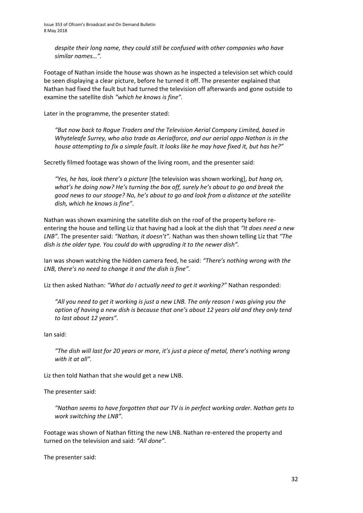*despite their long name, they could still be confused with other companies who have similar names…".*

Footage of Nathan inside the house was shown as he inspected a television set which could be seen displaying a clear picture, before he turned it off. The presenter explained that Nathan had fixed the fault but had turned the television off afterwards and gone outside to examine the satellite dish *"which he knows is fine".*

Later in the programme, the presenter stated:

*"But now back to Rogue Traders and the Television Aerial Company Limited, based in Whyteleafe Surrey, who also trade as Aerialforce, and our aerial oppo Nathan is in the house attempting to fix a simple fault. It looks like he may have fixed it, but has he?"*

Secretly filmed footage was shown of the living room, and the presenter said:

*"Yes, he has, look there's a picture* [the television was shown working], *but hang on, what's he doing now? He's turning the box off, surely he's about to go and break the good news to our stooge? No, he's about to go and look from a distance at the satellite dish, which he knows is fine"*.

Nathan was shown examining the satellite dish on the roof of the property before reentering the house and telling Liz that having had a look at the dish that *"It does need a new LNB".* The presenter said: *"Nathan, it doesn't".* Nathan was then shown telling Liz that *"The dish is the older type. You could do with upgrading it to the newer dish".*

Ian was shown watching the hidden camera feed, he said: *"There's nothing wrong with the LNB, there's no need to change it and the dish is fine".*

Liz then asked Nathan: *"What do I actually need to get it working?"* Nathan responded:

*"All you need to get it working is just a new LNB. The only reason I was giving you the option of having a new dish is because that one's about 12 years old and they only tend to last about 12 years"*.

Ian said:

*"The dish will last for 20 years or more, it's just a piece of metal, there's nothing wrong with it at all".*

Liz then told Nathan that she would get a new LNB.

The presenter said:

*"Nathan seems to have forgotten that our TV is in perfect working order. Nathan gets to work switching the LNB".*

Footage was shown of Nathan fitting the new LNB. Nathan re-entered the property and turned on the television and said: *"All done".*

The presenter said: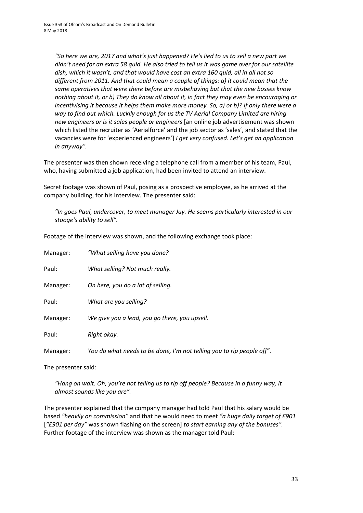*"So here we are, 2017 and what's just happened? He's lied to us to sell a new part we didn't need for an extra 58 quid. He also tried to tell us it was game over for our satellite dish, which it wasn't, and that would have cost an extra 160 quid, all in all not so different from 2011. And that could mean a couple of things: a) it could mean that the same operatives that were there before are misbehaving but that the new bosses know nothing about it, or b) They do know all about it, in fact they may even be encouraging or incentivising it because it helps them make more money. So, a) or b)? If only there were a way to find out which. Luckily enough for us the TV Aerial Company Limited are hiring new engineers or is it sales people or engineers* [an online job advertisement was shown which listed the recruiter as 'Aerialforce' and the job sector as 'sales', and stated that the vacancies were for 'experienced engineers'] *I get very confused. Let's get an application in anyway".*

The presenter was then shown receiving a telephone call from a member of his team, Paul, who, having submitted a job application, had been invited to attend an interview.

Secret footage was shown of Paul, posing as a prospective employee, as he arrived at the company building, for his interview. The presenter said:

*"In goes Paul, undercover, to meet manager Jay. He seems particularly interested in our stooge's ability to sell".*

Footage of the interview was shown, and the following exchange took place:

| Manager: | "What selling have you done?                                          |
|----------|-----------------------------------------------------------------------|
| Paul:    | What selling? Not much really.                                        |
| Manager: | On here, you do a lot of selling.                                     |
| Paul:    | What are you selling?                                                 |
| Manager: | We give you a lead, you go there, you upsell.                         |
| Paul:    | Right okay.                                                           |
| Manager: | You do what needs to be done, I'm not telling you to rip people off". |

The presenter said:

*"Hang on wait. Oh, you're not telling us to rip off people? Because in a funny way, it almost sounds like you are".*

The presenter explained that the company manager had told Paul that his salary would be based *"heavily on commission"* and that he would need to meet *"a huge daily target of £901*  [*"£901 per day"* was shown flashing on the screen] *to start earning any of the bonuses".* Further footage of the interview was shown as the manager told Paul: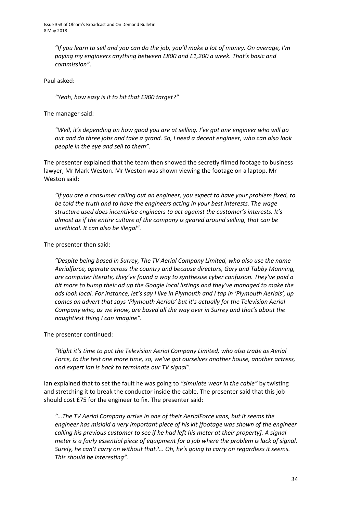*"If you learn to sell and you can do the job, you'll make a lot of money. On average, I'm paying my engineers anything between £800 and £1,200 a week. That's basic and commission"*.

Paul asked:

*"Yeah, how easy is it to hit that £900 target?"*

The manager said:

*"Well, it's depending on how good you are at selling. I've got one engineer who will go out and do three jobs and take a grand. So, I need a decent engineer, who can also look people in the eye and sell to them".*

The presenter explained that the team then showed the secretly filmed footage to business lawyer, Mr Mark Weston. Mr Weston was shown viewing the footage on a laptop. Mr Weston said:

*"If you are a consumer calling out an engineer, you expect to have your problem fixed, to be told the truth and to have the engineers acting in your best interests. The wage structure used does incentivise engineers to act against the customer's interests. It's almost as if the entire culture of the company is geared around selling, that can be unethical. It can also be illegal".*

The presenter then said:

*"Despite being based in Surrey, The TV Aerial Company Limited, who also use the name Aerialforce, operate across the country and because directors, Gary and Tabby Manning, are computer literate, they've found a way to synthesise cyber confusion. They've paid a bit more to bump their ad up the Google local listings and they've managed to make the ads look local. For instance, let's say I live in Plymouth and I tap in 'Plymouth Aerials', up comes an advert that says 'Plymouth Aerials' but it's actually for the Television Aerial Company who, as we know, are based all the way over in Surrey and that's about the naughtiest thing I can imagine".*

The presenter continued:

*"Right it's time to put the Television Aerial Company Limited, who also trade as Aerial Force, to the test one more time, so, we've got ourselves another house, another actress, and expert Ian is back to terminate our TV signal".*

Ian explained that to set the fault he was going to *"simulate wear in the cable"* by twisting and stretching it to break the conductor inside the cable. The presenter said that this job should cost £75 for the engineer to fix. The presenter said:

*"…The TV Aerial Company arrive in one of their AerialForce vans, but it seems the engineer has mislaid a very important piece of his kit [footage was shown of the engineer calling his previous customer to see if he had left his meter at their property]. A signal meter is a fairly essential piece of equipment for a job where the problem is lack of signal. Surely, he can't carry on without that?... Oh, he's going to carry on regardless it seems. This should be interesting"*.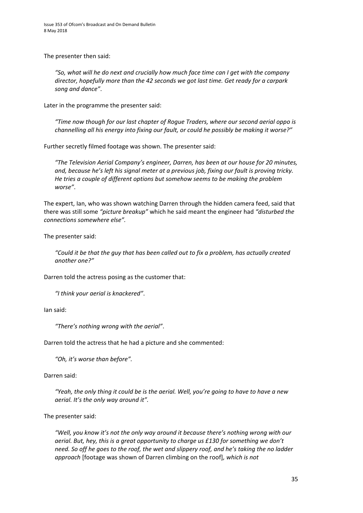The presenter then said:

*"So, what will he do next and crucially how much face time can I get with the company director, hopefully more than the 42 seconds we got last time. Get ready for a carpark song and dance"*.

Later in the programme the presenter said:

*"Time now though for our last chapter of Rogue Traders, where our second aerial oppo is channelling all his energy into fixing our fault, or could he possibly be making it worse?"*

Further secretly filmed footage was shown. The presenter said:

*"The Television Aerial Company's engineer, Darren, has been at our house for 20 minutes, and, because he's left his signal meter at a previous job, fixing our fault is proving tricky. He tries a couple of different options but somehow seems to be making the problem worse"*.

The expert, Ian, who was shown watching Darren through the hidden camera feed, said that there was still some *"picture breakup"* which he said meant the engineer had *"disturbed the connections somewhere else".*

The presenter said:

*"Could it be that the guy that has been called out to fix a problem, has actually created another one?"*

Darren told the actress posing as the customer that:

*"I think your aerial is knackered"*.

Ian said:

*"There's nothing wrong with the aerial"*.

Darren told the actress that he had a picture and she commented:

*"Oh, it's worse than before".*

Darren said:

*"Yeah, the only thing it could be is the aerial. Well, you're going to have to have a new aerial. It's the only way around it".*

The presenter said:

*"Well, you know it's not the only way around it because there's nothing wrong with our aerial. But, hey, this is a great opportunity to charge us £130 for something we don't need. So off he goes to the roof, the wet and slippery roof, and he's taking the no ladder approach* [footage was shown of Darren climbing on the roof]*, which is not*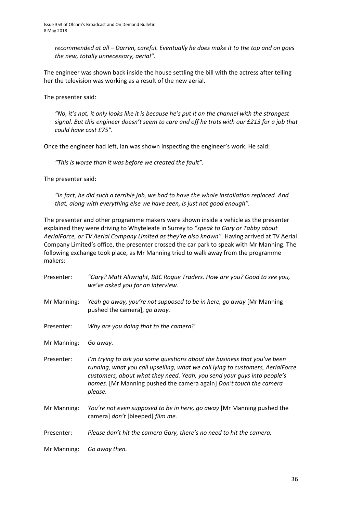*recommended at all – Darren, careful. Eventually he does make it to the top and on goes the new, totally unnecessary, aerial".*

The engineer was shown back inside the house settling the bill with the actress after telling her the television was working as a result of the new aerial.

The presenter said:

*"No, it's not, it only looks like it is because he's put it on the channel with the strongest signal. But this engineer doesn't seem to care and off he trots with our £213 for a job that could have cost £75".*

Once the engineer had left, Ian was shown inspecting the engineer's work. He said:

*"This is worse than it was before we created the fault".*

The presenter said:

*"In fact, he did such a terrible job, we had to have the whole installation replaced. And that, along with everything else we have seen, is just not good enough".*

The presenter and other programme makers were shown inside a vehicle as the presenter explained they were driving to Whyteleafe in Surrey to *"speak to Gary or Tabby about AerialForce, or TV Aerial Company Limited as they're also known".* Having arrived at TV Aerial Company Limited's office, the presenter crossed the car park to speak with Mr Manning. The following exchange took place, as Mr Manning tried to walk away from the programme makers:

| Presenter:  | "Gary? Matt Allwright, BBC Rogue Traders. How are you? Good to see you,<br>we've asked you for an interview.                                                                                                                                                                                                           |
|-------------|------------------------------------------------------------------------------------------------------------------------------------------------------------------------------------------------------------------------------------------------------------------------------------------------------------------------|
| Mr Manning: | Yeah go away, you're not supposed to be in here, go away [Mr Manning<br>pushed the camera], go away.                                                                                                                                                                                                                   |
| Presenter:  | Why are you doing that to the camera?                                                                                                                                                                                                                                                                                  |
| Mr Manning: | Go away.                                                                                                                                                                                                                                                                                                               |
| Presenter:  | I'm trying to ask you some questions about the business that you've been<br>running, what you call upselling, what we call lying to customers, AerialForce<br>customers, about what they need. Yeah, you send your guys into people's<br>homes. [Mr Manning pushed the camera again] Don't touch the camera<br>please. |
| Mr Manning: | You're not even supposed to be in here, go away [Mr Manning pushed the<br>camera] don't [bleeped] film me.                                                                                                                                                                                                             |
| Presenter:  | Please don't hit the camera Gary, there's no need to hit the camera.                                                                                                                                                                                                                                                   |
| Mr Manning: | Go away then.                                                                                                                                                                                                                                                                                                          |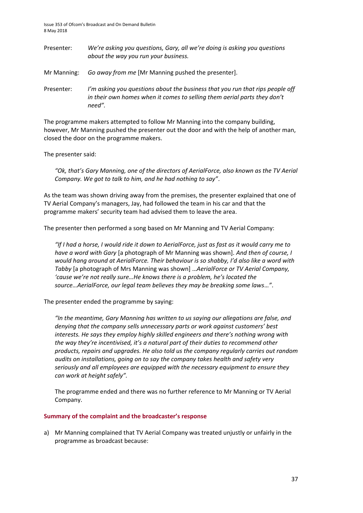Issue 353 of Ofcom's Broadcast and On Demand Bulletin 8 May 2018

| Presenter:  | We're asking you questions, Gary, all we're doing is asking you questions<br>about the way you run your business.                                                   |
|-------------|---------------------------------------------------------------------------------------------------------------------------------------------------------------------|
| Mr Manning: | Go away from me [Mr Manning pushed the presenter].                                                                                                                  |
| Presenter:  | I'm asking you questions about the business that you run that rips people off<br>in their own homes when it comes to selling them aerial parts they don't<br>need". |

The programme makers attempted to follow Mr Manning into the company building, however, Mr Manning pushed the presenter out the door and with the help of another man, closed the door on the programme makers.

The presenter said:

*"Ok, that's Gary Manning, one of the directors of AerialForce, also known as the TV Aerial Company. We got to talk to him, and he had nothing to say"*.

As the team was shown driving away from the premises, the presenter explained that one of TV Aerial Company's managers, Jay, had followed the team in his car and that the programme makers' security team had advised them to leave the area.

The presenter then performed a song based on Mr Manning and TV Aerial Company:

*"If I had a horse, I would ride it down to AerialForce, just as fast as it would carry me to have a word with Gary* [a photograph of Mr Manning was shown]. *And then of course, I would hang around at AerialForce. Their behaviour is so shabby, I'd also like a word with Tabby* [a photograph of Mrs Manning was shown] …*AerialForce or TV Aerial Company, 'cause we're not really sure…He knows there is a problem, he's located the source…AerialForce, our legal team believes they may be breaking some laws*…*"*.

The presenter ended the programme by saying:

*"In the meantime, Gary Manning has written to us saying our allegations are false, and denying that the company sells unnecessary parts or work against customers' best interests. He says they employ highly skilled engineers and there's nothing wrong with the way they're incentivised, it's a natural part of their duties to recommend other products, repairs and upgrades. He also told us the company regularly carries out random audits on installations, going on to say the company takes health and safety very seriously and all employees are equipped with the necessary equipment to ensure they can work at height safely".*

The programme ended and there was no further reference to Mr Manning or TV Aerial Company.

#### **Summary of the complaint and the broadcaster's response**

a) Mr Manning complained that TV Aerial Company was treated unjustly or unfairly in the programme as broadcast because: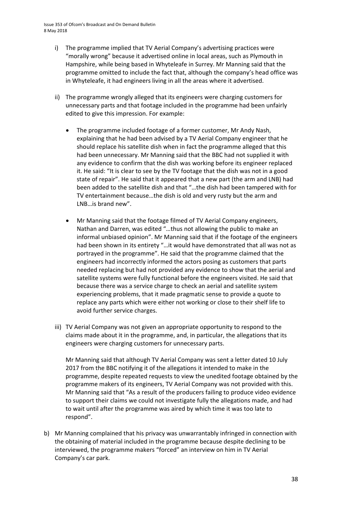- i) The programme implied that TV Aerial Company's advertising practices were "morally wrong" because it advertised online in local areas, such as Plymouth in Hampshire, while being based in Whyteleafe in Surrey. Mr Manning said that the programme omitted to include the fact that, although the company's head office was in Whyteleafe, it had engineers living in all the areas where it advertised.
- ii) The programme wrongly alleged that its engineers were charging customers for unnecessary parts and that footage included in the programme had been unfairly edited to give this impression. For example:
	- The programme included footage of a former customer, Mr Andy Nash, explaining that he had been advised by a TV Aerial Company engineer that he should replace his satellite dish when in fact the programme alleged that this had been unnecessary. Mr Manning said that the BBC had not supplied it with any evidence to confirm that the dish was working before its engineer replaced it. He said: "It is clear to see by the TV footage that the dish was not in a good state of repair". He said that it appeared that a new part (the arm and LNB) had been added to the satellite dish and that "…the dish had been tampered with for TV entertainment because…the dish is old and very rusty but the arm and LNB…is brand new".
	- Mr Manning said that the footage filmed of TV Aerial Company engineers, Nathan and Darren, was edited "…thus not allowing the public to make an informal unbiased opinion". Mr Manning said that if the footage of the engineers had been shown in its entirety "…it would have demonstrated that all was not as portrayed in the programme". He said that the programme claimed that the engineers had incorrectly informed the actors posing as customers that parts needed replacing but had not provided any evidence to show that the aerial and satellite systems were fully functional before the engineers visited. He said that because there was a service charge to check an aerial and satellite system experiencing problems, that it made pragmatic sense to provide a quote to replace any parts which were either not working or close to their shelf life to avoid further service charges.
- iii) TV Aerial Company was not given an appropriate opportunity to respond to the claims made about it in the programme, and, in particular, the allegations that its engineers were charging customers for unnecessary parts.

Mr Manning said that although TV Aerial Company was sent a letter dated 10 July 2017 from the BBC notifying it of the allegations it intended to make in the programme, despite repeated requests to view the unedited footage obtained by the programme makers of its engineers, TV Aerial Company was not provided with this. Mr Manning said that "As a result of the producers failing to produce video evidence to support their claims we could not investigate fully the allegations made, and had to wait until after the programme was aired by which time it was too late to respond".

b) Mr Manning complained that his privacy was unwarrantably infringed in connection with the obtaining of material included in the programme because despite declining to be interviewed, the programme makers "forced" an interview on him in TV Aerial Company's car park.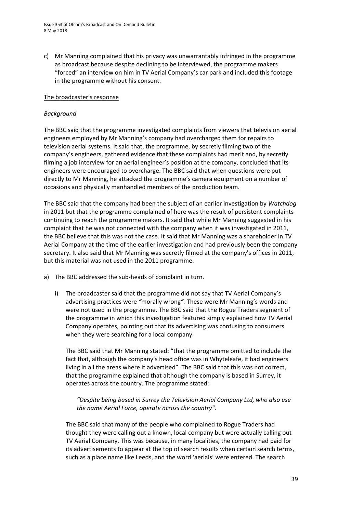c) Mr Manning complained that his privacy was unwarrantably infringed in the programme as broadcast because despite declining to be interviewed, the programme makers "forced" an interview on him in TV Aerial Company's car park and included this footage in the programme without his consent.

### The broadcaster's response

# *Background*

The BBC said that the programme investigated complaints from viewers that television aerial engineers employed by Mr Manning's company had overcharged them for repairs to television aerial systems. It said that, the programme, by secretly filming two of the company's engineers, gathered evidence that these complaints had merit and, by secretly filming a job interview for an aerial engineer's position at the company, concluded that its engineers were encouraged to overcharge. The BBC said that when questions were put directly to Mr Manning, he attacked the programme's camera equipment on a number of occasions and physically manhandled members of the production team.

The BBC said that the company had been the subject of an earlier investigation by *Watchdog* in 2011 but that the programme complained of here was the result of persistent complaints continuing to reach the programme makers. It said that while Mr Manning suggested in his complaint that he was not connected with the company when it was investigated in 2011, the BBC believe that this was not the case. It said that Mr Manning was a shareholder in TV Aerial Company at the time of the earlier investigation and had previously been the company secretary. It also said that Mr Manning was secretly filmed at the company's offices in 2011, but this material was not used in the 2011 programme.

- a) The BBC addressed the sub-heads of complaint in turn.
	- i) The broadcaster said that the programme did not say that TV Aerial Company's advertising practices were *"*morally wrong*".* These were Mr Manning's words and were not used in the programme. The BBC said that the Rogue Traders segment of the programme in which this investigation featured simply explained how TV Aerial Company operates, pointing out that its advertising was confusing to consumers when they were searching for a local company.

The BBC said that Mr Manning stated: "that the programme omitted to include the fact that, although the company's head office was in Whyteleafe, it had engineers living in all the areas where it advertised". The BBC said that this was not correct, that the programme explained that although the company is based in Surrey, it operates across the country. The programme stated:

*"Despite being based in Surrey the Television Aerial Company Ltd, who also use the name Aerial Force, operate across the country".*

The BBC said that many of the people who complained to Rogue Traders had thought they were calling out a known, local company but were actually calling out TV Aerial Company. This was because, in many localities, the company had paid for its advertisements to appear at the top of search results when certain search terms, such as a place name like Leeds, and the word 'aerials' were entered. The search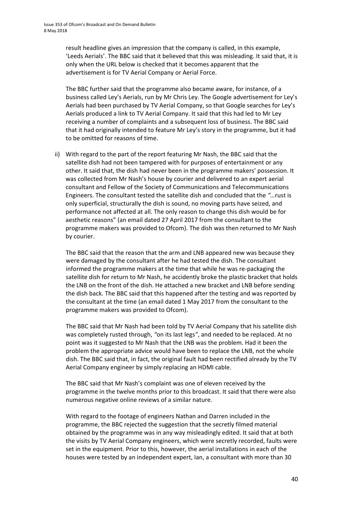result headline gives an impression that the company is called, in this example, 'Leeds Aerials'. The BBC said that it believed that this was misleading. It said that, it is only when the URL below is checked that it becomes apparent that the advertisement is for TV Aerial Company or Aerial Force.

The BBC further said that the programme also became aware, for instance, of a business called Ley's Aerials, run by Mr Chris Ley. The Google advertisement for Ley's Aerials had been purchased by TV Aerial Company, so that Google searches for Ley's Aerials produced a link to TV Aerial Company. It said that this had led to Mr Ley receiving a number of complaints and a subsequent loss of business. The BBC said that it had originally intended to feature Mr Ley's story in the programme, but it had to be omitted for reasons of time.

ii) With regard to the part of the report featuring Mr Nash, the BBC said that the satellite dish had not been tampered with for purposes of entertainment or any other. It said that, the dish had never been in the programme makers' possession. It was collected from Mr Nash's house by courier and delivered to an expert aerial consultant and Fellow of the Society of Communications and Telecommunications Engineers. The consultant tested the satellite dish and concluded that the *"…*rust is only superficial, structurally the dish is sound, no moving parts have seized, and performance not affected at all. The only reason to change this dish would be for aesthetic reasons" (an email dated 27 April 2017 from the consultant to the programme makers was provided to Ofcom). The dish was then returned to Mr Nash by courier.

The BBC said that the reason that the arm and LNB appeared new was because they were damaged by the consultant after he had tested the dish. The consultant informed the programme makers at the time that while he was re-packaging the satellite dish for return to Mr Nash, he accidently broke the plastic bracket that holds the LNB on the front of the dish. He attached a new bracket and LNB before sending the dish back. The BBC said that this happened after the testing and was reported by the consultant at the time (an email dated 1 May 2017 from the consultant to the programme makers was provided to Ofcom).

The BBC said that Mr Nash had been told by TV Aerial Company that his satellite dish was completely rusted through, *"*on its last legs*"*, and needed to be replaced. At no point was it suggested to Mr Nash that the LNB was the problem. Had it been the problem the appropriate advice would have been to replace the LNB, not the whole dish. The BBC said that, in fact, the original fault had been rectified already by the TV Aerial Company engineer by simply replacing an HDMI cable.

The BBC said that Mr Nash's complaint was one of eleven received by the programme in the twelve months prior to this broadcast. It said that there were also numerous negative online reviews of a similar nature.

With regard to the footage of engineers Nathan and Darren included in the programme, the BBC rejected the suggestion that the secretly filmed material obtained by the programme was in any way misleadingly edited. It said that at both the visits by TV Aerial Company engineers, which were secretly recorded, faults were set in the equipment. Prior to this, however, the aerial installations in each of the houses were tested by an independent expert, Ian, a consultant with more than 30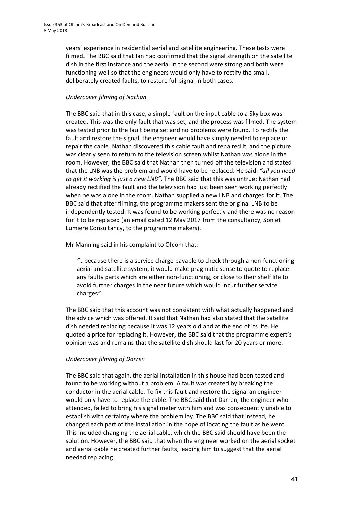years' experience in residential aerial and satellite engineering. These tests were filmed. The BBC said that Ian had confirmed that the signal strength on the satellite dish in the first instance and the aerial in the second were strong and both were functioning well so that the engineers would only have to rectify the small, deliberately created faults, to restore full signal in both cases.

# *Undercover filming of Nathan*

The BBC said that in this case, a simple fault on the input cable to a Sky box was created. This was the only fault that was set, and the process was filmed. The system was tested prior to the fault being set and no problems were found. To rectify the fault and restore the signal, the engineer would have simply needed to replace or repair the cable. Nathan discovered this cable fault and repaired it, and the picture was clearly seen to return to the television screen whilst Nathan was alone in the room. However, the BBC said that Nathan then turned off the television and stated that the LNB was the problem and would have to be replaced. He said: *"all you need to get it working is just a new LNB"*. The BBC said that this was untrue; Nathan had already rectified the fault and the television had just been seen working perfectly when he was alone in the room. Nathan supplied a new LNB and charged for it. The BBC said that after filming, the programme makers sent the original LNB to be independently tested. It was found to be working perfectly and there was no reason for it to be replaced (an email dated 12 May 2017 from the consultancy, Son et Lumiere Consultancy, to the programme makers).

Mr Manning said in his complaint to Ofcom that:

*"…*because there is a service charge payable to check through a non-functioning aerial and satellite system, it would make pragmatic sense to quote to replace any faulty parts which are either non-functioning, or close to their shelf life to avoid further charges in the near future which would incur further service charges*".*

The BBC said that this account was not consistent with what actually happened and the advice which was offered. It said that Nathan had also stated that the satellite dish needed replacing because it was 12 years old and at the end of its life. He quoted a price for replacing it. However, the BBC said that the programme expert's opinion was and remains that the satellite dish should last for 20 years or more.

# *Undercover filming of Darren*

The BBC said that again, the aerial installation in this house had been tested and found to be working without a problem. A fault was created by breaking the conductor in the aerial cable. To fix this fault and restore the signal an engineer would only have to replace the cable. The BBC said that Darren, the engineer who attended, failed to bring his signal meter with him and was consequently unable to establish with certainty where the problem lay. The BBC said that instead, he changed each part of the installation in the hope of locating the fault as he went. This included changing the aerial cable, which the BBC said should have been the solution. However, the BBC said that when the engineer worked on the aerial socket and aerial cable he created further faults, leading him to suggest that the aerial needed replacing.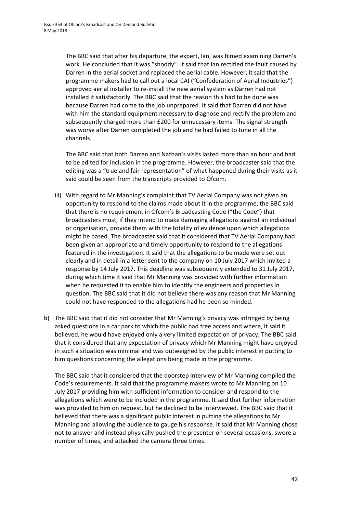The BBC said that after his departure, the expert, Ian, was filmed examining Darren's work. He concluded that it was "shoddy". It said that Ian rectified the fault caused by Darren in the aerial socket and replaced the aerial cable. However, it said that the programme makers had to call out a local CAI ("Confederation of Aerial Industries") approved aerial installer to re-install the new aerial system as Darren had not installed it satisfactorily. The BBC said that the reason this had to be done was because Darren had come to the job unprepared. It said that Darren did not have with him the standard equipment necessary to diagnose and rectify the problem and subsequently charged more than £200 for unnecessary items. The signal strength was worse after Darren completed the job and he had failed to tune in all the channels.

The BBC said that both Darren and Nathan's visits lasted more than an hour and had to be edited for inclusion in the programme. However, the broadcaster said that the editing was a "true and fair representation" of what happened during their visits as it said could be seen from the transcripts provided to Ofcom.

- iii) With regard to Mr Manning's complaint that TV Aerial Company was not given an opportunity to respond to the claims made about it in the programme, the BBC said that there is no requirement in Ofcom's Broadcasting Code ("the Code") that broadcasters must, if they intend to make damaging allegations against an individual or organisation, provide them with the totality of evidence upon which allegations might be based. The broadcaster said that it considered that TV Aerial Company had been given an appropriate and timely opportunity to respond to the allegations featured in the investigation. It said that the allegations to be made were set out clearly and in detail in a letter sent to the company on 10 July 2017 which invited a response by 14 July 2017. This deadline was subsequently extended to 31 July 2017, during which time it said that Mr Manning was provided with further information when he requested it to enable him to identify the engineers and properties in question. The BBC said that it did not believe there was any reason that Mr Manning could not have responded to the allegations had he been so minded.
- b) The BBC said that it did not consider that Mr Manning's privacy was infringed by being asked questions in a car park to which the public had free access and where, it said it believed, he would have enjoyed only a very limited expectation of privacy. The BBC said that it considered that any expectation of privacy which Mr Manning might have enjoyed in such a situation was minimal and was outweighed by the public interest in putting to him questions concerning the allegations being made in the programme.

The BBC said that it considered that the doorstep interview of Mr Manning complied the Code's requirements. It said that the programme makers wrote to Mr Manning on 10 July 2017 providing him with sufficient information to consider and respond to the allegations which were to be included in the programme. It said that further information was provided to him on request, but he declined to be interviewed. The BBC said that it believed that there was a significant public interest in putting the allegations to Mr Manning and allowing the audience to gauge his response. It said that Mr Manning chose not to answer and instead physically pushed the presenter on several occasions, swore a number of times, and attacked the camera three times.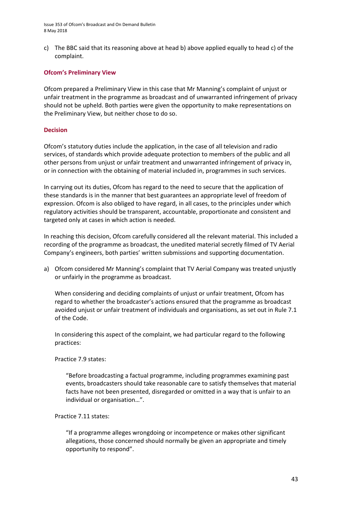Issue 353 of Ofcom's Broadcast and On Demand Bulletin 8 May 2018

c) The BBC said that its reasoning above at head b) above applied equally to head c) of the complaint.

#### **Ofcom's Preliminary View**

Ofcom prepared a Preliminary View in this case that Mr Manning's complaint of unjust or unfair treatment in the programme as broadcast and of unwarranted infringement of privacy should not be upheld. Both parties were given the opportunity to make representations on the Preliminary View, but neither chose to do so.

#### **Decision**

Ofcom's statutory duties include the application, in the case of all television and radio services, of standards which provide adequate protection to members of the public and all other persons from unjust or unfair treatment and unwarranted infringement of privacy in, or in connection with the obtaining of material included in, programmes in such services.

In carrying out its duties, Ofcom has regard to the need to secure that the application of these standards is in the manner that best guarantees an appropriate level of freedom of expression. Ofcom is also obliged to have regard, in all cases, to the principles under which regulatory activities should be transparent, accountable, proportionate and consistent and targeted only at cases in which action is needed.

In reaching this decision, Ofcom carefully considered all the relevant material. This included a recording of the programme as broadcast, the unedited material secretly filmed of TV Aerial Company's engineers, both parties' written submissions and supporting documentation.

a) Ofcom considered Mr Manning's complaint that TV Aerial Company was treated unjustly or unfairly in the programme as broadcast.

When considering and deciding complaints of unjust or unfair treatment, Ofcom has regard to whether the broadcaster's actions ensured that the programme as broadcast avoided unjust or unfair treatment of individuals and organisations, as set out in Rule 7.1 of the Code.

In considering this aspect of the complaint, we had particular regard to the following practices:

#### Practice 7.9 states:

"Before broadcasting a factual programme, including programmes examining past events, broadcasters should take reasonable care to satisfy themselves that material facts have not been presented, disregarded or omitted in a way that is unfair to an individual or organisation…".

Practice 7.11 states:

"If a programme alleges wrongdoing or incompetence or makes other significant allegations, those concerned should normally be given an appropriate and timely opportunity to respond".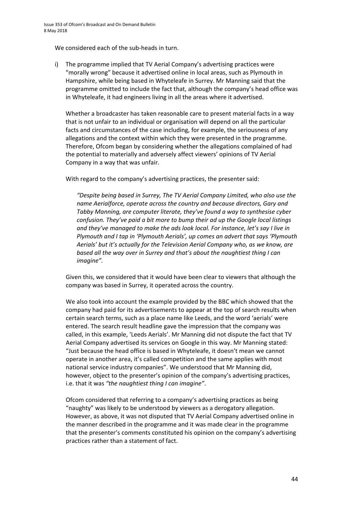We considered each of the sub-heads in turn.

i) The programme implied that TV Aerial Company's advertising practices were "morally wrong" because it advertised online in local areas, such as Plymouth in Hampshire, while being based in Whyteleafe in Surrey. Mr Manning said that the programme omitted to include the fact that, although the company's head office was in Whyteleafe, it had engineers living in all the areas where it advertised.

Whether a broadcaster has taken reasonable care to present material facts in a way that is not unfair to an individual or organisation will depend on all the particular facts and circumstances of the case including, for example, the seriousness of any allegations and the context within which they were presented in the programme. Therefore, Ofcom began by considering whether the allegations complained of had the potential to materially and adversely affect viewers' opinions of TV Aerial Company in a way that was unfair.

With regard to the company's advertising practices, the presenter said:

*"Despite being based in Surrey, The TV Aerial Company Limited, who also use the name Aerialforce, operate across the country and because directors, Gary and Tabby Manning, are computer literate, they've found a way to synthesise cyber confusion. They've paid a bit more to bump their ad up the Google local listings and they've managed to make the ads look local. For instance, let's say I live in Plymouth and I tap in 'Plymouth Aerials', up comes an advert that says 'Plymouth Aerials' but it's actually for the Television Aerial Company who, as we know, are based all the way over in Surrey and that's about the naughtiest thing I can imagine".*

Given this, we considered that it would have been clear to viewers that although the company was based in Surrey, it operated across the country.

We also took into account the example provided by the BBC which showed that the company had paid for its advertisements to appear at the top of search results when certain search terms, such as a place name like Leeds, and the word 'aerials' were entered. The search result headline gave the impression that the company was called, in this example, 'Leeds Aerials'. Mr Manning did not dispute the fact that TV Aerial Company advertised its services on Google in this way. Mr Manning stated: "Just because the head office is based in Whyteleafe, it doesn't mean we cannot operate in another area, it's called competition and the same applies with most national service industry companies". We understood that Mr Manning did, however, object to the presenter's opinion of the company's advertising practices, i.e. that it was *"the naughtiest thing I can imagine"*.

Ofcom considered that referring to a company's advertising practices as being "naughty" was likely to be understood by viewers as a derogatory allegation. However, as above, it was not disputed that TV Aerial Company advertised online in the manner described in the programme and it was made clear in the programme that the presenter's comments constituted his opinion on the company's advertising practices rather than a statement of fact.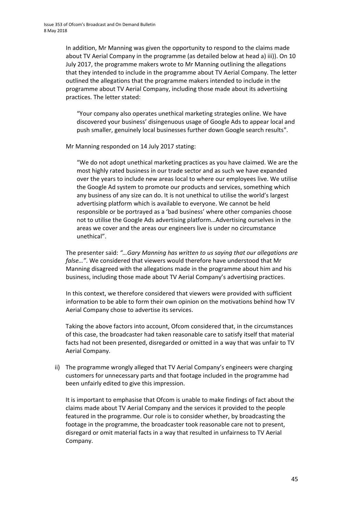In addition, Mr Manning was given the opportunity to respond to the claims made about TV Aerial Company in the programme (as detailed below at head a) iii)). On 10 July 2017, the programme makers wrote to Mr Manning outlining the allegations that they intended to include in the programme about TV Aerial Company. The letter outlined the allegations that the programme makers intended to include in the programme about TV Aerial Company, including those made about its advertising practices. The letter stated:

"Your company also operates unethical marketing strategies online. We have discovered your business' disingenuous usage of Google Ads to appear local and push smaller, genuinely local businesses further down Google search results".

Mr Manning responded on 14 July 2017 stating:

"We do not adopt unethical marketing practices as you have claimed. We are the most highly rated business in our trade sector and as such we have expanded over the years to include new areas local to where our employees live. We utilise the Google Ad system to promote our products and services, something which any business of any size can do. It is not unethical to utilise the world's largest advertising platform which is available to everyone. We cannot be held responsible or be portrayed as a 'bad business' where other companies choose not to utilise the Google Ads advertising platform…Advertising ourselves in the areas we cover and the areas our engineers live is under no circumstance unethical".

The presenter said: *"…Gary Manning has written to us saying that our allegations are false…"*. We considered that viewers would therefore have understood that Mr Manning disagreed with the allegations made in the programme about him and his business, including those made about TV Aerial Company's advertising practices.

In this context, we therefore considered that viewers were provided with sufficient information to be able to form their own opinion on the motivations behind how TV Aerial Company chose to advertise its services.

Taking the above factors into account, Ofcom considered that, in the circumstances of this case, the broadcaster had taken reasonable care to satisfy itself that material facts had not been presented, disregarded or omitted in a way that was unfair to TV Aerial Company.

ii) The programme wrongly alleged that TV Aerial Company's engineers were charging customers for unnecessary parts and that footage included in the programme had been unfairly edited to give this impression.

It is important to emphasise that Ofcom is unable to make findings of fact about the claims made about TV Aerial Company and the services it provided to the people featured in the programme. Our role is to consider whether, by broadcasting the footage in the programme, the broadcaster took reasonable care not to present, disregard or omit material facts in a way that resulted in unfairness to TV Aerial Company.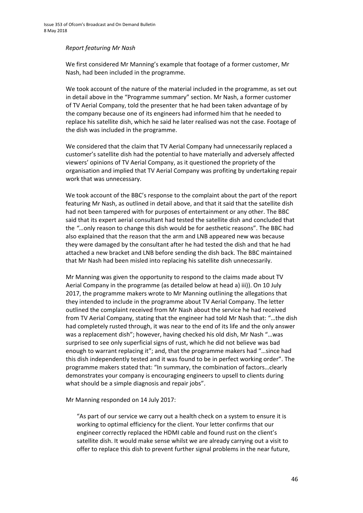#### *Report featuring Mr Nash*

We first considered Mr Manning's example that footage of a former customer, Mr Nash, had been included in the programme.

We took account of the nature of the material included in the programme, as set out in detail above in the "Programme summary" section. Mr Nash, a former customer of TV Aerial Company, told the presenter that he had been taken advantage of by the company because one of its engineers had informed him that he needed to replace his satellite dish, which he said he later realised was not the case. Footage of the dish was included in the programme.

We considered that the claim that TV Aerial Company had unnecessarily replaced a customer's satellite dish had the potential to have materially and adversely affected viewers' opinions of TV Aerial Company, as it questioned the propriety of the organisation and implied that TV Aerial Company was profiting by undertaking repair work that was unnecessary.

We took account of the BBC's response to the complaint about the part of the report featuring Mr Nash, as outlined in detail above, and that it said that the satellite dish had not been tampered with for purposes of entertainment or any other. The BBC said that its expert aerial consultant had tested the satellite dish and concluded that the *"…*only reason to change this dish would be for aesthetic reasons". The BBC had also explained that the reason that the arm and LNB appeared new was because they were damaged by the consultant after he had tested the dish and that he had attached a new bracket and LNB before sending the dish back. The BBC maintained that Mr Nash had been misled into replacing his satellite dish unnecessarily.

Mr Manning was given the opportunity to respond to the claims made about TV Aerial Company in the programme (as detailed below at head a) iii)). On 10 July 2017, the programme makers wrote to Mr Manning outlining the allegations that they intended to include in the programme about TV Aerial Company. The letter outlined the complaint received from Mr Nash about the service he had received from TV Aerial Company, stating that the engineer had told Mr Nash that: "…the dish had completely rusted through, it was near to the end of its life and the only answer was a replacement dish"; however, having checked his old dish, Mr Nash "…was surprised to see only superficial signs of rust, which he did not believe was bad enough to warrant replacing it"; and, that the programme makers had "…since had this dish independently tested and it was found to be in perfect working order". The programme makers stated that: "In summary, the combination of factors…clearly demonstrates your company is encouraging engineers to upsell to clients during what should be a simple diagnosis and repair jobs".

Mr Manning responded on 14 July 2017:

"As part of our service we carry out a health check on a system to ensure it is working to optimal efficiency for the client. Your letter confirms that our engineer correctly replaced the HDMI cable and found rust on the client's satellite dish. It would make sense whilst we are already carrying out a visit to offer to replace this dish to prevent further signal problems in the near future,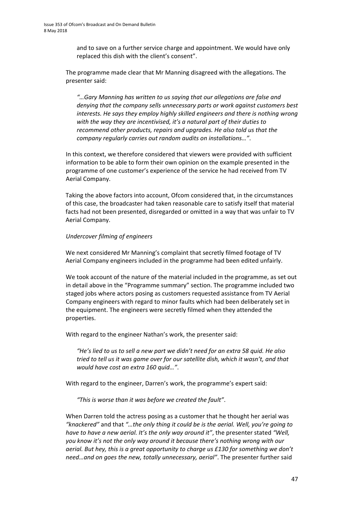and to save on a further service charge and appointment. We would have only replaced this dish with the client's consent".

The programme made clear that Mr Manning disagreed with the allegations. The presenter said:

*"…Gary Manning has written to us saying that our allegations are false and denying that the company sells unnecessary parts or work against customers best interests. He says they employ highly skilled engineers and there is nothing wrong with the way they are incentivised, it's a natural part of their duties to recommend other products, repairs and upgrades. He also told us that the company regularly carries out random audits on installations…"*.

In this context, we therefore considered that viewers were provided with sufficient information to be able to form their own opinion on the example presented in the programme of one customer's experience of the service he had received from TV Aerial Company.

Taking the above factors into account, Ofcom considered that, in the circumstances of this case, the broadcaster had taken reasonable care to satisfy itself that material facts had not been presented, disregarded or omitted in a way that was unfair to TV Aerial Company.

# *Undercover filming of engineers*

We next considered Mr Manning's complaint that secretly filmed footage of TV Aerial Company engineers included in the programme had been edited unfairly.

We took account of the nature of the material included in the programme, as set out in detail above in the "Programme summary" section. The programme included two staged jobs where actors posing as customers requested assistance from TV Aerial Company engineers with regard to minor faults which had been deliberately set in the equipment. The engineers were secretly filmed when they attended the properties.

With regard to the engineer Nathan's work, the presenter said:

*"He's lied to us to sell a new part we didn't need for an extra 58 quid. He also tried to tell us it was game over for our satellite dish, which it wasn't, and that would have cost an extra 160 quid…"*.

With regard to the engineer, Darren's work, the programme's expert said:

*"This is worse than it was before we created the fault"*.

When Darren told the actress posing as a customer that he thought her aerial was *"knackered"* and that *"…the only thing it could be is the aerial. Well, you're going to have to have a new aerial. It's the only way around it"*, the presenter stated *"Well, you know it's not the only way around it because there's nothing wrong with our aerial. But hey, this is a great opportunity to charge us £130 for something we don't need…and on goes the new, totally unnecessary, aerial"*. The presenter further said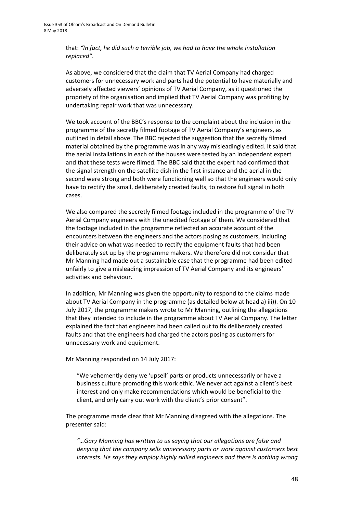that: *"In fact, he did such a terrible job, we had to have the whole installation replaced"*.

As above, we considered that the claim that TV Aerial Company had charged customers for unnecessary work and parts had the potential to have materially and adversely affected viewers' opinions of TV Aerial Company, as it questioned the propriety of the organisation and implied that TV Aerial Company was profiting by undertaking repair work that was unnecessary.

We took account of the BBC's response to the complaint about the inclusion in the programme of the secretly filmed footage of TV Aerial Company's engineers, as outlined in detail above. The BBC rejected the suggestion that the secretly filmed material obtained by the programme was in any way misleadingly edited. It said that the aerial installations in each of the houses were tested by an independent expert and that these tests were filmed. The BBC said that the expert had confirmed that the signal strength on the satellite dish in the first instance and the aerial in the second were strong and both were functioning well so that the engineers would only have to rectify the small, deliberately created faults, to restore full signal in both cases.

We also compared the secretly filmed footage included in the programme of the TV Aerial Company engineers with the unedited footage of them. We considered that the footage included in the programme reflected an accurate account of the encounters between the engineers and the actors posing as customers, including their advice on what was needed to rectify the equipment faults that had been deliberately set up by the programme makers. We therefore did not consider that Mr Manning had made out a sustainable case that the programme had been edited unfairly to give a misleading impression of TV Aerial Company and its engineers' activities and behaviour.

In addition, Mr Manning was given the opportunity to respond to the claims made about TV Aerial Company in the programme (as detailed below at head a) iii)). On 10 July 2017, the programme makers wrote to Mr Manning, outlining the allegations that they intended to include in the programme about TV Aerial Company. The letter explained the fact that engineers had been called out to fix deliberately created faults and that the engineers had charged the actors posing as customers for unnecessary work and equipment.

Mr Manning responded on 14 July 2017:

"We vehemently deny we 'upsell' parts or products unnecessarily or have a business culture promoting this work ethic. We never act against a client's best interest and only make recommendations which would be beneficial to the client, and only carry out work with the client's prior consent".

The programme made clear that Mr Manning disagreed with the allegations. The presenter said:

*"…Gary Manning has written to us saying that our allegations are false and denying that the company sells unnecessary parts or work against customers best interests. He says they employ highly skilled engineers and there is nothing wrong*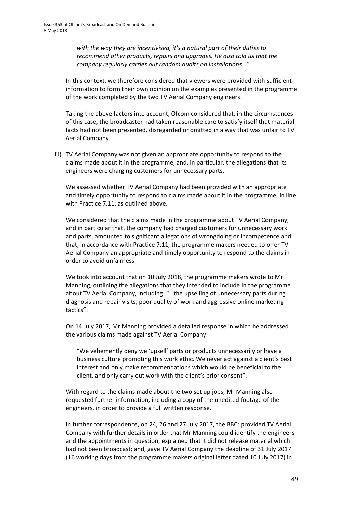*with the way they are incentivised, it's a natural part of their duties to recommend other products, repairs and upgrades. He also told us that the company regularly carries out random audits on installations…"*.

In this context, we therefore considered that viewers were provided with sufficient information to form their own opinion on the examples presented in the programme of the work completed by the two TV Aerial Company engineers.

Taking the above factors into account, Ofcom considered that, in the circumstances of this case, the broadcaster had taken reasonable care to satisfy itself that material facts had not been presented, disregarded or omitted in a way that was unfair to TV Aerial Company.

iii) TV Aerial Company was not given an appropriate opportunity to respond to the claims made about it in the programme, and, in particular, the allegations that its engineers were charging customers for unnecessary parts.

We assessed whether TV Aerial Company had been provided with an appropriate and timely opportunity to respond to claims made about it in the programme, in line with Practice 7.11, as outlined above.

We considered that the claims made in the programme about TV Aerial Company, and in particular that, the company had charged customers for unnecessary work and parts, amounted to significant allegations of wrongdoing or incompetence and that, in accordance with Practice 7.11, the programme makers needed to offer TV Aerial Company an appropriate and timely opportunity to respond to the claims in order to avoid unfairness.

We took into account that on 10 July 2018, the programme makers wrote to Mr Manning, outlining the allegations that they intended to include in the programme about TV Aerial Company, including: "…the upselling of unnecessary parts during diagnosis and repair visits, poor quality of work and aggressive online marketing tactics".

On 14 July 2017, Mr Manning provided a detailed response in which he addressed the various claims made against TV Aerial Company:

"We vehemently deny we 'upsell' parts or products unnecessarily or have a business culture promoting this work ethic. We never act against a client's best interest and only make recommendations which would be beneficial to the client, and only carry out work with the client's prior consent".

With regard to the claims made about the two set up jobs, Mr Manning also requested further information, including a copy of the unedited footage of the engineers, in order to provide a full written response.

In further correspondence, on 24, 26 and 27 July 2017, the BBC: provided TV Aerial Company with further details in order that Mr Manning could identify the engineers and the appointments in question; explained that it did not release material which had not been broadcast; and, gave TV Aerial Company the deadline of 31 July 2017 (16 working days from the programme makers original letter dated 10 July 2017) in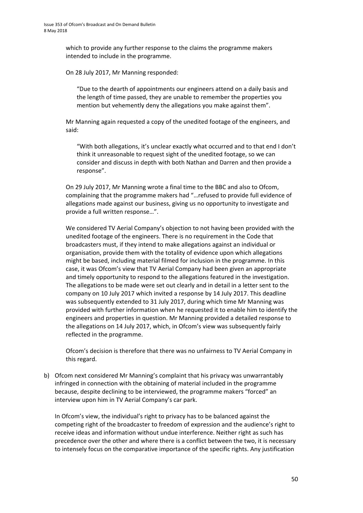which to provide any further response to the claims the programme makers intended to include in the programme.

On 28 July 2017, Mr Manning responded:

"Due to the dearth of appointments our engineers attend on a daily basis and the length of time passed, they are unable to remember the properties you mention but vehemently deny the allegations you make against them".

Mr Manning again requested a copy of the unedited footage of the engineers, and said:

"With both allegations, it's unclear exactly what occurred and to that end I don't think it unreasonable to request sight of the unedited footage, so we can consider and discuss in depth with both Nathan and Darren and then provide a response".

On 29 July 2017, Mr Manning wrote a final time to the BBC and also to Ofcom, complaining that the programme makers had "…refused to provide full evidence of allegations made against our business, giving us no opportunity to investigate and provide a full written response…".

We considered TV Aerial Company's objection to not having been provided with the unedited footage of the engineers. There is no requirement in the Code that broadcasters must, if they intend to make allegations against an individual or organisation, provide them with the totality of evidence upon which allegations might be based, including material filmed for inclusion in the programme. In this case, it was Ofcom's view that TV Aerial Company had been given an appropriate and timely opportunity to respond to the allegations featured in the investigation. The allegations to be made were set out clearly and in detail in a letter sent to the company on 10 July 2017 which invited a response by 14 July 2017. This deadline was subsequently extended to 31 July 2017, during which time Mr Manning was provided with further information when he requested it to enable him to identify the engineers and properties in question. Mr Manning provided a detailed response to the allegations on 14 July 2017, which, in Ofcom's view was subsequently fairly reflected in the programme.

Ofcom's decision is therefore that there was no unfairness to TV Aerial Company in this regard.

b) Ofcom next considered Mr Manning's complaint that his privacy was unwarrantably infringed in connection with the obtaining of material included in the programme because, despite declining to be interviewed, the programme makers "forced" an interview upon him in TV Aerial Company's car park.

In Ofcom's view, the individual's right to privacy has to be balanced against the competing right of the broadcaster to freedom of expression and the audience's right to receive ideas and information without undue interference. Neither right as such has precedence over the other and where there is a conflict between the two, it is necessary to intensely focus on the comparative importance of the specific rights. Any justification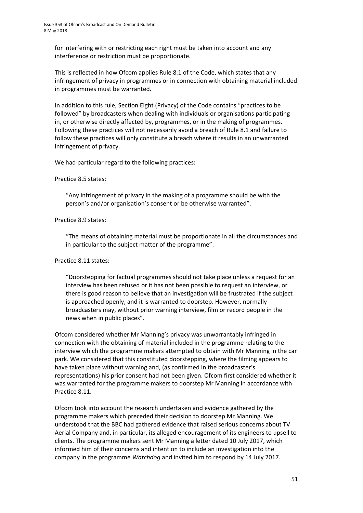for interfering with or restricting each right must be taken into account and any interference or restriction must be proportionate.

This is reflected in how Ofcom applies Rule 8.1 of the Code, which states that any infringement of privacy in programmes or in connection with obtaining material included in programmes must be warranted.

In addition to this rule, Section Eight (Privacy) of the Code contains "practices to be followed" by broadcasters when dealing with individuals or organisations participating in, or otherwise directly affected by, programmes, or in the making of programmes. Following these practices will not necessarily avoid a breach of Rule 8.1 and failure to follow these practices will only constitute a breach where it results in an unwarranted infringement of privacy.

We had particular regard to the following practices:

#### Practice 8.5 states:

"Any infringement of privacy in the making of a programme should be with the person's and/or organisation's consent or be otherwise warranted".

#### Practice 8.9 states:

"The means of obtaining material must be proportionate in all the circumstances and in particular to the subject matter of the programme".

#### Practice 8.11 states:

"Doorstepping for factual programmes should not take place unless a request for an interview has been refused or it has not been possible to request an interview, or there is good reason to believe that an investigation will be frustrated if the subject is approached openly, and it is warranted to doorstep. However, normally broadcasters may, without prior warning interview, film or record people in the news when in public places".

Ofcom considered whether Mr Manning's privacy was unwarrantably infringed in connection with the obtaining of material included in the programme relating to the interview which the programme makers attempted to obtain with Mr Manning in the car park. We considered that this constituted doorstepping, where the filming appears to have taken place without warning and, (as confirmed in the broadcaster's representations) his prior consent had not been given. Ofcom first considered whether it was warranted for the programme makers to doorstep Mr Manning in accordance with Practice 8.11.

Ofcom took into account the research undertaken and evidence gathered by the programme makers which preceded their decision to doorstep Mr Manning. We understood that the BBC had gathered evidence that raised serious concerns about TV Aerial Company and, in particular, its alleged encouragement of its engineers to upsell to clients. The programme makers sent Mr Manning a letter dated 10 July 2017, which informed him of their concerns and intention to include an investigation into the company in the programme *Watchdog* and invited him to respond by 14 July 2017.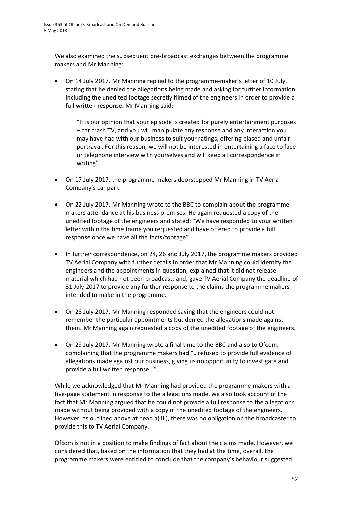We also examined the subsequent pre-broadcast exchanges between the programme makers and Mr Manning:

• On 14 July 2017, Mr Manning replied to the programme-maker's letter of 10 July, stating that he denied the allegations being made and asking for further information, including the unedited footage secretly filmed of the engineers in order to provide a full written response. Mr Manning said:

"It is our opinion that your episode is created for purely entertainment purposes – car crash TV, and you will manipulate any response and any interaction you may have had with our business to suit your ratings, offering biased and unfair portrayal. For this reason, we will not be interested in entertaining a face to face or telephone interview with yourselves and will keep all correspondence in writing".

- On 17 July 2017, the programme makers doorstepped Mr Manning in TV Aerial Company's car park.
- On 22 July 2017, Mr Manning wrote to the BBC to complain about the programme makers attendance at his business premises. He again requested a copy of the unedited footage of the engineers and stated: "We have responded to your written letter within the time frame you requested and have offered to provide a full response once we have all the facts/footage".
- In further correspondence, on 24, 26 and July 2017, the programme makers provided TV Aerial Company with further details in order that Mr Manning could identify the engineers and the appointments in question; explained that it did not release material which had not been broadcast; and, gave TV Aerial Company the deadline of 31 July 2017 to provide any further response to the claims the programme makers intended to make in the programme.
- On 28 July 2017, Mr Manning responded saying that the engineers could not remember the particular appointments but denied the allegations made against them. Mr Manning again requested a copy of the unedited footage of the engineers.
- On 29 July 2017, Mr Manning wrote a final time to the BBC and also to Ofcom, complaining that the programme makers had "…refused to provide full evidence of allegations made against our business, giving us no opportunity to investigate and provide a full written response…".

While we acknowledged that Mr Manning had provided the programme makers with a five-page statement in response to the allegations made, we also took account of the fact that Mr Manning argued that he could not provide a full response to the allegations made without being provided with a copy of the unedited footage of the engineers. However, as outlined above at head a) iii), there was no obligation on the broadcaster to provide this to TV Aerial Company.

Ofcom is not in a position to make findings of fact about the claims made. However, we considered that, based on the information that they had at the time, overall, the programme makers were entitled to conclude that the company's behaviour suggested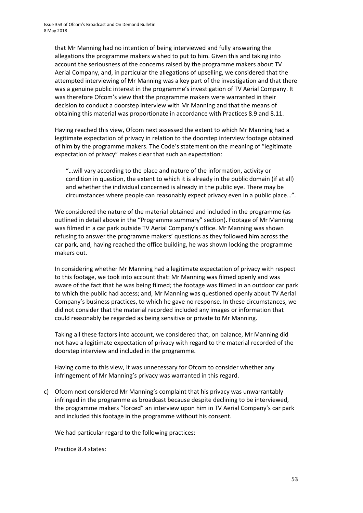that Mr Manning had no intention of being interviewed and fully answering the allegations the programme makers wished to put to him. Given this and taking into account the seriousness of the concerns raised by the programme makers about TV Aerial Company, and, in particular the allegations of upselling, we considered that the attempted interviewing of Mr Manning was a key part of the investigation and that there was a genuine public interest in the programme's investigation of TV Aerial Company. It was therefore Ofcom's view that the programme makers were warranted in their decision to conduct a doorstep interview with Mr Manning and that the means of obtaining this material was proportionate in accordance with Practices 8.9 and 8.11.

Having reached this view, Ofcom next assessed the extent to which Mr Manning had a legitimate expectation of privacy in relation to the doorstep interview footage obtained of him by the programme makers. The Code's statement on the meaning of "legitimate expectation of privacy" makes clear that such an expectation:

"…will vary according to the place and nature of the information, activity or condition in question, the extent to which it is already in the public domain (if at all) and whether the individual concerned is already in the public eye. There may be circumstances where people can reasonably expect privacy even in a public place…".

We considered the nature of the material obtained and included in the programme (as outlined in detail above in the "Programme summary" section). Footage of Mr Manning was filmed in a car park outside TV Aerial Company's office. Mr Manning was shown refusing to answer the programme makers' questions as they followed him across the car park, and, having reached the office building, he was shown locking the programme makers out.

In considering whether Mr Manning had a legitimate expectation of privacy with respect to this footage, we took into account that: Mr Manning was filmed openly and was aware of the fact that he was being filmed; the footage was filmed in an outdoor car park to which the public had access; and, Mr Manning was questioned openly about TV Aerial Company's business practices, to which he gave no response. In these circumstances, we did not consider that the material recorded included any images or information that could reasonably be regarded as being sensitive or private to Mr Manning.

Taking all these factors into account, we considered that, on balance, Mr Manning did not have a legitimate expectation of privacy with regard to the material recorded of the doorstep interview and included in the programme.

Having come to this view, it was unnecessary for Ofcom to consider whether any infringement of Mr Manning's privacy was warranted in this regard.

c) Ofcom next considered Mr Manning's complaint that his privacy was unwarrantably infringed in the programme as broadcast because despite declining to be interviewed, the programme makers "forced" an interview upon him in TV Aerial Company's car park and included this footage in the programme without his consent.

We had particular regard to the following practices:

Practice 8.4 states: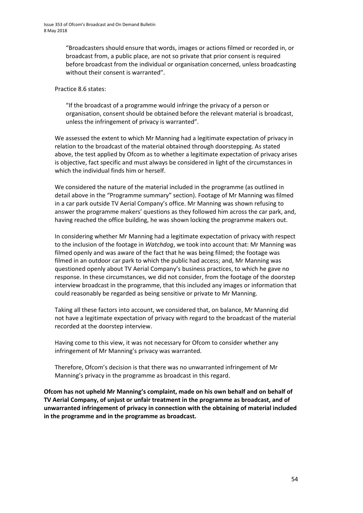"Broadcasters should ensure that words, images or actions filmed or recorded in, or broadcast from, a public place, are not so private that prior consent is required before broadcast from the individual or organisation concerned, unless broadcasting without their consent is warranted".

Practice 8.6 states:

"If the broadcast of a programme would infringe the privacy of a person or organisation, consent should be obtained before the relevant material is broadcast, unless the infringement of privacy is warranted".

We assessed the extent to which Mr Manning had a legitimate expectation of privacy in relation to the broadcast of the material obtained through doorstepping. As stated above, the test applied by Ofcom as to whether a legitimate expectation of privacy arises is objective, fact specific and must always be considered in light of the circumstances in which the individual finds him or herself.

We considered the nature of the material included in the programme (as outlined in detail above in the "Programme summary" section). Footage of Mr Manning was filmed in a car park outside TV Aerial Company's office. Mr Manning was shown refusing to answer the programme makers' questions as they followed him across the car park, and, having reached the office building, he was shown locking the programme makers out.

In considering whether Mr Manning had a legitimate expectation of privacy with respect to the inclusion of the footage in *Watchdog*, we took into account that: Mr Manning was filmed openly and was aware of the fact that he was being filmed; the footage was filmed in an outdoor car park to which the public had access; and, Mr Manning was questioned openly about TV Aerial Company's business practices, to which he gave no response. In these circumstances, we did not consider, from the footage of the doorstep interview broadcast in the programme, that this included any images or information that could reasonably be regarded as being sensitive or private to Mr Manning.

Taking all these factors into account, we considered that, on balance, Mr Manning did not have a legitimate expectation of privacy with regard to the broadcast of the material recorded at the doorstep interview.

Having come to this view, it was not necessary for Ofcom to consider whether any infringement of Mr Manning's privacy was warranted.

Therefore, Ofcom's decision is that there was no unwarranted infringement of Mr Manning's privacy in the programme as broadcast in this regard.

**Ofcom has not upheld Mr Manning's complaint, made on his own behalf and on behalf of TV Aerial Company, of unjust or unfair treatment in the programme as broadcast, and of unwarranted infringement of privacy in connection with the obtaining of material included in the programme and in the programme as broadcast.**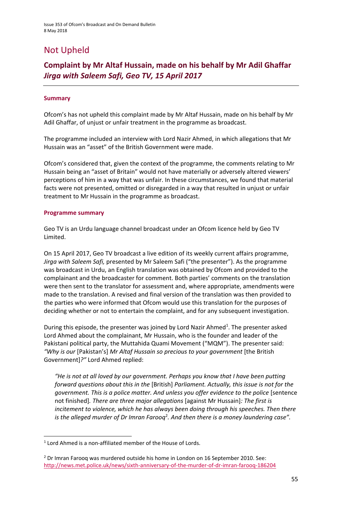# Not Upheld

# **Complaint by Mr Altaf Hussain, made on his behalf by Mr Adil Ghaffar**  *Jirga with Saleem Safi, Geo TV, 15 April 2017*

### **Summary**

Ofcom's has not upheld this complaint made by Mr Altaf Hussain, made on his behalf by Mr Adil Ghaffar, of unjust or unfair treatment in the programme as broadcast.

The programme included an interview with Lord Nazir Ahmed, in which allegations that Mr Hussain was an "asset" of the British Government were made.

Ofcom's considered that, given the context of the programme, the comments relating to Mr Hussain being an "asset of Britain" would not have materially or adversely altered viewers' perceptions of him in a way that was unfair. In these circumstances, we found that material facts were not presented, omitted or disregarded in a way that resulted in unjust or unfair treatment to Mr Hussain in the programme as broadcast.

#### **Programme summary**

**.** 

Geo TV is an Urdu language channel broadcast under an Ofcom licence held by Geo TV Limited.

On 15 April 2017, Geo TV broadcast a live edition of its weekly current affairs programme, *Jirga with Saleem Safi,* presented by Mr Saleem Safi ("the presenter"). As the programme was broadcast in Urdu, an English translation was obtained by Ofcom and provided to the complainant and the broadcaster for comment. Both parties' comments on the translation were then sent to the translator for assessment and, where appropriate, amendments were made to the translation. A revised and final version of the translation was then provided to the parties who were informed that Ofcom would use this translation for the purposes of deciding whether or not to entertain the complaint, and for any subsequent investigation.

During this episode, the presenter was joined by Lord Nazir Ahmed<sup>1</sup>. The presenter asked Lord Ahmed about the complainant, Mr Hussain, who is the founder and leader of the Pakistani political party, the Muttahida Quami Movement ("MQM"). The presenter said: *"Why is our* [Pakistan's] *Mr Altaf Hussain so precious to your government* [the British Government]*?"* Lord Ahmed replied:

*"He is not at all loved by our government. Perhaps you know that I have been putting forward questions about this in the* [British] *Parliament. Actually, this issue is not for the government. This is a police matter. And unless you offer evidence to the police* [sentence not finished]*. There are three major allegations* [against Mr Hussain]*: The first is incitement to violence, which he has always been doing through his speeches. Then there*  is the alleged murder of Dr Imran Farooq<sup>2</sup>. And then there is a money laundering case".

<sup>&</sup>lt;sup>1</sup> Lord Ahmed is a non-affiliated member of the House of Lords.

<sup>&</sup>lt;sup>2</sup> Dr Imran Farooq was murdered outside his home in London on 16 September 2010. See: <http://news.met.police.uk/news/sixth-anniversary-of-the-murder-of-dr-imran-farooq-186204>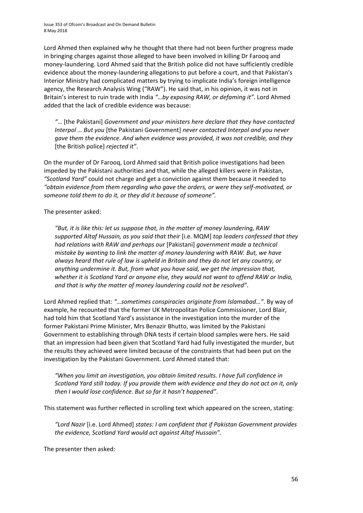Lord Ahmed then explained why he thought that there had not been further progress made in bringing charges against those alleged to have been involved in killing Dr Farooq and money-laundering. Lord Ahmed said that the British police did not have sufficiently credible evidence about the money-laundering allegations to put before a court, and that Pakistan's Interior Ministry had complicated matters by trying to implicate India's foreign intelligence agency, the Research Analysis Wing ("RAW"). He said that, in his opinion, it was not in Britain's interest to ruin trade with India *"…by exposing RAW, or defaming it"*. Lord Ahmed added that the lack of credible evidence was because:

*"*… [the Pakistani] *Government and your ministers here declare that they have contacted Interpol … But you* [the Pakistani Government] *never contacted Interpol and you never gave them the evidence. And when evidence was provided, it was not credible, and they*  [the British police] *rejected it"*.

On the murder of Dr Farooq, Lord Ahmed said that British police investigations had been impeded by the Pakistani authorities and that, while the alleged killers were in Pakistan, *"Scotland Yard"* could not charge and get a conviction against them because it needed to *"obtain evidence from them regarding who gave the orders, or were they self-motivated, or someone told them to do it, or they did it because of someone".* 

# The presenter asked:

*"But, it is like this: let us suppose that, in the matter of money laundering, RAW supported Altaf Hussain, as you said that their* [i.e. MQM] *top leaders confessed that they had relations with RAW and perhaps our* [Pakistani] *government made a technical mistake by wanting to link the matter of money laundering with RAW. But, we have always heard that rule of law is upheld in Britain and they do not let any country, or anything undermine it. But, from what you have said, we get the impression that, whether it is Scotland Yard or anyone else, they would not want to offend RAW or India, and that is why the matter of money laundering could not be resolved"*.

Lord Ahmed replied that: *"…sometimes conspiracies originate from Islamabad…"*. By way of example, he recounted that the former UK Metropolitan Police Commissioner, Lord Blair, had told him that Scotland Yard's assistance in the investigation into the murder of the former Pakistani Prime Minister, Mrs Benazir Bhutto, was limited by the Pakistani Government to establishing through DNA tests if certain blood samples were hers. He said that an impression had been given that Scotland Yard had fully investigated the murder, but the results they achieved were limited because of the constraints that had been put on the investigation by the Pakistani Government. Lord Ahmed stated that:

*"When you limit an investigation, you obtain limited results. I have full confidence in Scotland Yard still today. If you provide them with evidence and they do not act on it, only then I would lose confidence. But so far it hasn't happened"*.

This statement was further reflected in scrolling text which appeared on the screen, stating:

*"Lord Nazir* [i.e. Lord Ahmed] *states: I am confident that if Pakistan Government provides the evidence, Scotland Yard would act against Altaf Hussain"*.

The presenter then asked: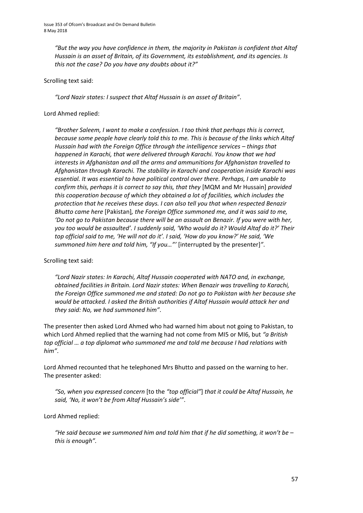*"But the way you have confidence in them, the majority in Pakistan is confident that Altaf Hussain is an asset of Britain, of its Government, its establishment, and its agencies. Is this not the case? Do you have any doubts about it?"*

### Scrolling text said:

*"Lord Nazir states: I suspect that Altaf Hussain is an asset of Britain"*.

### Lord Ahmed replied:

*"Brother Saleem, I want to make a confession. I too think that perhaps this is correct, because some people have clearly told this to me. This is because of the links which Altaf Hussain had with the Foreign Office through the intelligence services – things that happened in Karachi, that were delivered through Karachi. You know that we had interests in Afghanistan and all the arms and ammunitions for Afghanistan travelled to Afghanistan through Karachi. The stability in Karachi and cooperation inside Karachi was essential. It was essential to have political control over there. Perhaps, I am unable to confirm this, perhaps it is correct to say this, that they* [MQM and Mr Hussain] *provided this cooperation because of which they obtained a lot of facilities, which includes the protection that he receives these days. I can also tell you that when respected Benazir Bhutto came here* [Pakistan]*, the Foreign Office summoned me, and it was said to me, 'Do not go to Pakistan because there will be an assault on Benazir. If you were with her, you too would be assaulted'. I suddenly said, 'Who would do it? Would Altaf do it?' Their top official said to me, 'He will not do it'. I said, 'How do you know?' He said, 'We summoned him here and told him, "If you…"'* [interrupted by the presenter]*"*.

# Scrolling text said:

*"Lord Nazir states: In Karachi, Altaf Hussain cooperated with NATO and, in exchange, obtained facilities in Britain. Lord Nazir states: When Benazir was travelling to Karachi, the Foreign Office summoned me and stated: Do not go to Pakistan with her because she would be attacked. I asked the British authorities if Altaf Hussain would attack her and they said: No, we had summoned him"*.

The presenter then asked Lord Ahmed who had warned him about not going to Pakistan, to which Lord Ahmed replied that the warning had not come from MI5 or MI6, but *"a British top official … a top diplomat who summoned me and told me because I had relations with him"*.

Lord Ahmed recounted that he telephoned Mrs Bhutto and passed on the warning to her. The presenter asked:

*"So, when you expressed concern* [to the *"top official"*] *that it could be Altaf Hussain, he said, 'No, it won't be from Altaf Hussain's side'"*.

# Lord Ahmed replied:

*"He said because we summoned him and told him that if he did something, it won't be – this is enough".*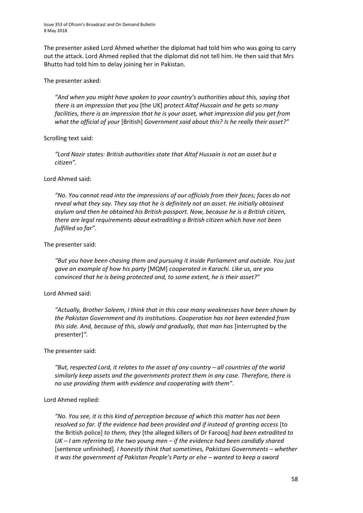The presenter asked Lord Ahmed whether the diplomat had told him who was going to carry out the attack. Lord Ahmed replied that the diplomat did not tell him. He then said that Mrs Bhutto had told him to delay joining her in Pakistan.

#### The presenter asked:

*"And when you might have spoken to your country's authorities about this, saying that there is an impression that you* [the UK] *protect Altaf Hussain and he gets so many facilities, there is an impression that he is your asset, what impression did you get from what the official of your* [British] *Government said about this? Is he really their asset?"*

# Scrolling text said:

*"Lord Nazir states: British authorities state that Altaf Hussain is not an asset but a citizen"*.

# Lord Ahmed said:

*"No. You cannot read into the impressions of our officials from their faces; faces do not reveal what they say. They say that he is definitely not an asset. He initially obtained asylum and then he obtained his British passport. Now, because he is a British citizen, there are legal requirements about extraditing a British citizen which have not been fulfilled so far"*.

# The presenter said:

*"But you have been chasing them and pursuing it inside Parliament and outside. You just gave an example of how his party* [MQM] *cooperated in Karachi. Like us, are you convinced that he is being protected and, to some extent, he is their asset?"*

# Lord Ahmed said:

*"Actually, Brother Saleem, I think that in this case many weaknesses have been shown by the Pakistan Government and its institutions. Cooperation has not been extended from this side. And, because of this, slowly and gradually, that man has* [interrupted by the presenter]*".*

#### The presenter said:

*"But, respected Lord, it relates to the asset of any country – all countries of the world similarly keep assets and the governments protect them in any case. Therefore, there is no use providing them with evidence and cooperating with them"*.

# Lord Ahmed replied:

*"No. You see, it is this kind of perception because of which this matter has not been resolved so far. If the evidence had been provided and if instead of granting access* [to the British police] *to them, they* [the alleged killers of Dr Farooq] *had been extradited to UK – I am referring to the two young men – if the evidence had been candidly shared* [sentence unfinished]*. I honestly think that sometimes, Pakistani Governments – whether it was the government of Pakistan People's Party or else – wanted to keep a sword*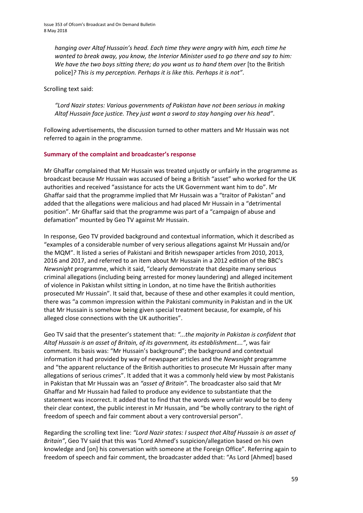*hanging over Altaf Hussain's head. Each time they were angry with him, each time he wanted to break away, you know, the Interior Minister used to go there and say to him: We have the two boys sitting there; do you want us to hand them over* [to the British police]*? This is my perception. Perhaps it is like this. Perhaps it is not"*.

Scrolling text said:

*"Lord Nazir states: Various governments of Pakistan have not been serious in making*  Altaf Hussain face justice. They just want a sword to stay hanging over his head".

Following advertisements, the discussion turned to other matters and Mr Hussain was not referred to again in the programme.

# **Summary of the complaint and broadcaster's response**

Mr Ghaffar complained that Mr Hussain was treated unjustly or unfairly in the programme as broadcast because Mr Hussain was accused of being a British "asset" who worked for the UK authorities and received "assistance for acts the UK Government want him to do". Mr Ghaffar said that the programme implied that Mr Hussain was a "traitor of Pakistan" and added that the allegations were malicious and had placed Mr Hussain in a "detrimental position". Mr Ghaffar said that the programme was part of a "campaign of abuse and defamation" mounted by Geo TV against Mr Hussain.

In response, Geo TV provided background and contextual information, which it described as "examples of a considerable number of very serious allegations against Mr Hussain and/or the MQM". It listed a series of Pakistani and British newspaper articles from 2010, 2013, 2016 and 2017, and referred to an item about Mr Hussain in a 2012 edition of the BBC's *Newsnight* programme, which it said, "clearly demonstrate that despite many serious criminal allegations (including being arrested for money laundering) and alleged incitement of violence in Pakistan whilst sitting in London, at no time have the British authorities prosecuted Mr Hussain". It said that, because of these and other examples it could mention, there was "a common impression within the Pakistani community in Pakistan and in the UK that Mr Hussain is somehow being given special treatment because, for example, of his alleged close connections with the UK authorities".

Geo TV said that the presenter's statement that: *"...the majority in Pakistan is confident that Altaf Hussain is an asset of Britain, of its government, its establishment…."*, was fair comment. Its basis was: "Mr Hussain's background"; the background and contextual information it had provided by way of newspaper articles and the *Newsnight* programme and "the apparent reluctance of the British authorities to prosecute Mr Hussain after many allegations of serious crimes". It added that it was a commonly held view by most Pakistanis in Pakistan that Mr Hussain was an *"asset of Britain"*. The broadcaster also said that Mr Ghaffar and Mr Hussain had failed to produce any evidence to substantiate that the statement was incorrect. It added that to find that the words were unfair would be to deny their clear context, the public interest in Mr Hussain, and "be wholly contrary to the right of freedom of speech and fair comment about a very controversial person".

Regarding the scrolling text line: *"Lord Nazir states: I suspect that Altaf Hussain is an asset of Britain"*, Geo TV said that this was "Lord Ahmed's suspicion/allegation based on his own knowledge and [on] his conversation with someone at the Foreign Office". Referring again to freedom of speech and fair comment, the broadcaster added that: "As Lord [Ahmed] based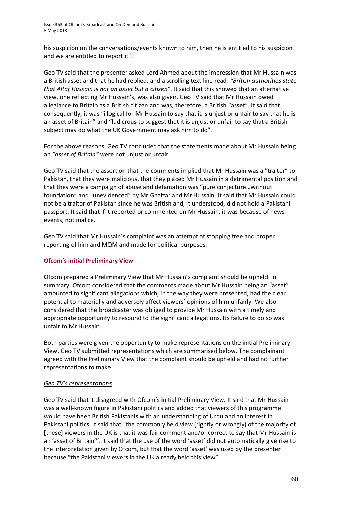his suspicion on the conversations/events known to him, then he is entitled to his suspicion and we are entitled to report it".

Geo TV said that the presenter asked Lord Ahmed about the impression that Mr Hussain was a British asset and that he had replied, and a scrolling text line read: *"British authorities state that Altaf Hussain is not an asset but a citizen"*. It said that this showed that an alternative view, one reflecting Mr Hussain's, was also given. Geo TV said that Mr Hussain owed allegiance to Britain as a British citizen and was, therefore, a British "asset". It said that, consequently, it was "illogical for Mr Hussain to say that it is unjust or unfair to say that he is an asset of Britain" and "ludicrous to suggest that it is unjust or unfair to say that a British subject may do what the UK Government may ask him to do".

For the above reasons, Geo TV concluded that the statements made about Mr Hussain being an *"asset of Britain"* were not unjust or unfair.

Geo TV said that the assertion that the comments implied that Mr Hussain was a "traitor" to Pakistan, that they were malicious, that they placed Mr Hussain in a detrimental position and that they were a campaign of abuse and defamation was "pure conjecture…without foundation" and "unevidenced" by Mr Ghaffar and Mr Hussain. It said that Mr Hussain could not be a traitor of Pakistan since he was British and, it understood, did not hold a Pakistani passport. It said that if it reported or commented on Mr Hussain, it was because of news events, not malice.

Geo TV said that Mr Hussain's complaint was an attempt at stopping free and proper reporting of him and MQM and made for political purposes.

# **Ofcom's initial Preliminary View**

Ofcom prepared a Preliminary View that Mr Hussain's complaint should be upheld. In summary, Ofcom considered that the comments made about Mr Hussain being an "asset" amounted to significant allegations which, in the way they were presented, had the clear potential to materially and adversely affect viewers' opinions of him unfairly. We also considered that the broadcaster was obliged to provide Mr Hussain with a timely and appropriate opportunity to respond to the significant allegations. Its failure to do so was unfair to Mr Hussain.

Both parties were given the opportunity to make representations on the initial Preliminary View. Geo TV submitted representations which are summarised below. The complainant agreed with the Preliminary View that the complaint should be upheld and had no further representations to make.

#### *Geo TV's representations*

Geo TV said that it disagreed with Ofcom's initial Preliminary View. It said that Mr Hussain was a well-known figure in Pakistani politics and added that viewers of this programme would have been British Pakistanis with an understanding of Urdu and an interest in Pakistani politics. It said that "the commonly held view (rightly or wrongly) of the majority of [these] viewers in the UK is that it was fair comment and/or correct to say that Mr Hussain is an 'asset of Britain'". It said that the use of the word 'asset' did not automatically give rise to the interpretation given by Ofcom, but that the word 'asset' was used by the presenter because "the Pakistani viewers in the UK already held this view".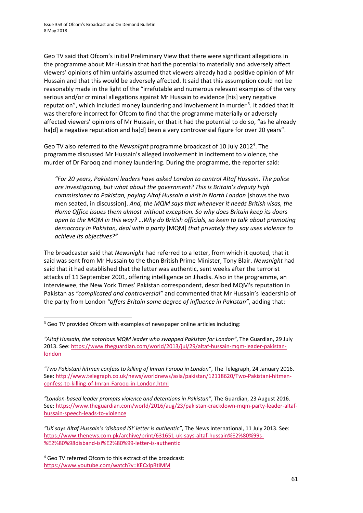Geo TV said that Ofcom's initial Preliminary View that there were significant allegations in the programme about Mr Hussain that had the potential to materially and adversely affect viewers' opinions of him unfairly assumed that viewers already had a positive opinion of Mr Hussain and that this would be adversely affected. It said that this assumption could not be reasonably made in the light of the "irrefutable and numerous relevant examples of the very serious and/or criminal allegations against Mr Hussain to evidence [his] very negative reputation", which included money laundering and involvement in murder<sup>3</sup>. It added that it was therefore incorrect for Ofcom to find that the programme materially or adversely affected viewers' opinions of Mr Hussain, or that it had the potential to do so, "as he already ha[d] a negative reputation and ha[d] been a very controversial figure for over 20 years".

Geo TV also referred to the *Newsnight* programme broadcast of 10 July 2012<sup>4</sup>. The programme discussed Mr Hussain's alleged involvement in incitement to violence, the murder of Dr Farooq and money laundering. During the programme, the reporter said:

*"For 20 years, Pakistani leaders have asked London to control Altaf Hussain. The police are investigating, but what about the government? This is Britain's deputy high commissioner to Pakistan, paying Altaf Hussain a visit in North London* [shows the two men seated, in discussion]. *And, the MQM says that whenever it needs British visas, the Home Office issues them almost without exception. So why does Britain keep its doors open to the MQM in this way?* …*Why do British officials, so keen to talk about promoting democracy in Pakistan, deal with a party* [MQM] *that privately they say uses violence to achieve its objectives?"*

The broadcaster said that *Newsnight* had referred to a letter, from which it quoted, that it said was sent from Mr Hussain to the then British Prime Minister, Tony Blair. *Newsnight* had said that it had established that the letter was authentic, sent weeks after the terrorist attacks of 11 September 2001, offering intelligence on Jihadis. Also in the programme, an interviewee, the New York Times' Pakistan correspondent, described MQM's reputation in Pakistan as *"complicated and controversial"* and commented that Mr Hussain's leadership of the party from London *"offers Britain some degree of influence in Pakistan"*, adding that:

<sup>-</sup><sup>3</sup> Geo TV provided Ofcom with examples of newspaper online articles including:

*<sup>&</sup>quot;Altaf Hussain, the notorious MQM leader who swapped Pakistan for London"*, The Guardian, 29 July 2013. See[: https://www.theguardian.com/world/2013/jul/29/altaf-hussain-mqm-leader-pakistan](https://www.theguardian.com/world/2013/jul/29/altaf-hussain-mqm-leader-pakistan-london)[london](https://www.theguardian.com/world/2013/jul/29/altaf-hussain-mqm-leader-pakistan-london)

*<sup>&</sup>quot;Two Pakistani hitmen confess to killing of Imran Farooq in London"*, The Telegraph, 24 January 2016. See[: http://www.telegraph.co.uk/news/worldnews/asia/pakistan/12118620/Two-Pakistani-hitmen](http://www.telegraph.co.uk/news/worldnews/asia/pakistan/12118620/Two-Pakistani-hitmen-confess-to-killing-of-Imran-Farooq-in-London.html)[confess-to-killing-of-Imran-Farooq-in-London.html](http://www.telegraph.co.uk/news/worldnews/asia/pakistan/12118620/Two-Pakistani-hitmen-confess-to-killing-of-Imran-Farooq-in-London.html)

*<sup>&</sup>quot;London-based leader prompts violence and detentions in Pakistan"*, The Guardian, 23 August 2016. See: [https://www.theguardian.com/world/2016/aug/23/pakistan-crackdown-mqm-party-leader-altaf](https://www.theguardian.com/world/2016/aug/23/pakistan-crackdown-mqm-party-leader-altaf-hussain-speech-leads-to-violence)[hussain-speech-leads-to-violence](https://www.theguardian.com/world/2016/aug/23/pakistan-crackdown-mqm-party-leader-altaf-hussain-speech-leads-to-violence)

*<sup>&</sup>quot;UK says Altaf Hussain's 'disband ISI' letter is authentic"*, The News International, 11 July 2013. See: [https://www.thenews.com.pk/archive/print/631651-uk-says-altaf-hussain%E2%80%99s-](https://www.thenews.com.pk/archive/print/631651-uk-says-altaf-hussain%E2%80%99s-%E2%80%98disband-isi%E2%80%99-letter-is-authentic) [%E2%80%98disband-isi%E2%80%99-letter-is-authentic](https://www.thenews.com.pk/archive/print/631651-uk-says-altaf-hussain%E2%80%99s-%E2%80%98disband-isi%E2%80%99-letter-is-authentic)

<sup>4</sup> Geo TV referred Ofcom to this extract of the broadcast: <https://www.youtube.com/watch?v=KECxlpRtiMM>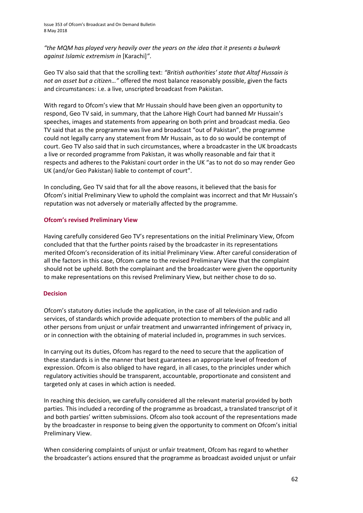*"the MQM has played very heavily over the years on the idea that it presents a bulwark against Islamic extremism in* [Karachi]*"*.

Geo TV also said that that the scrolling text: *"British authorities' state that Altaf Hussain is not an asset but a citizen…"* offered the most balance reasonably possible, given the facts and circumstances: i.e. a live, unscripted broadcast from Pakistan.

With regard to Ofcom's view that Mr Hussain should have been given an opportunity to respond, Geo TV said, in summary, that the Lahore High Court had banned Mr Hussain's speeches, images and statements from appearing on both print and broadcast media. Geo TV said that as the programme was live and broadcast "out of Pakistan", the programme could not legally carry any statement from Mr Hussain, as to do so would be contempt of court. Geo TV also said that in such circumstances, where a broadcaster in the UK broadcasts a live or recorded programme from Pakistan, it was wholly reasonable and fair that it respects and adheres to the Pakistani court order in the UK "as to not do so may render Geo UK (and/or Geo Pakistan) liable to contempt of court".

In concluding, Geo TV said that for all the above reasons, it believed that the basis for Ofcom's initial Preliminary View to uphold the complaint was incorrect and that Mr Hussain's reputation was not adversely or materially affected by the programme.

# **Ofcom's revised Preliminary View**

Having carefully considered Geo TV's representations on the initial Preliminary View, Ofcom concluded that that the further points raised by the broadcaster in its representations merited Ofcom's reconsideration of its initial Preliminary View. After careful consideration of all the factors in this case, Ofcom came to the revised Preliminary View that the complaint should not be upheld. Both the complainant and the broadcaster were given the opportunity to make representations on this revised Preliminary View, but neither chose to do so.

#### **Decision**

Ofcom's statutory duties include the application, in the case of all television and radio services, of standards which provide adequate protection to members of the public and all other persons from unjust or unfair treatment and unwarranted infringement of privacy in, or in connection with the obtaining of material included in, programmes in such services.

In carrying out its duties, Ofcom has regard to the need to secure that the application of these standards is in the manner that best guarantees an appropriate level of freedom of expression. Ofcom is also obliged to have regard, in all cases, to the principles under which regulatory activities should be transparent, accountable, proportionate and consistent and targeted only at cases in which action is needed.

In reaching this decision, we carefully considered all the relevant material provided by both parties. This included a recording of the programme as broadcast, a translated transcript of it and both parties' written submissions. Ofcom also took account of the representations made by the broadcaster in response to being given the opportunity to comment on Ofcom's initial Preliminary View.

When considering complaints of unjust or unfair treatment, Ofcom has regard to whether the broadcaster's actions ensured that the programme as broadcast avoided unjust or unfair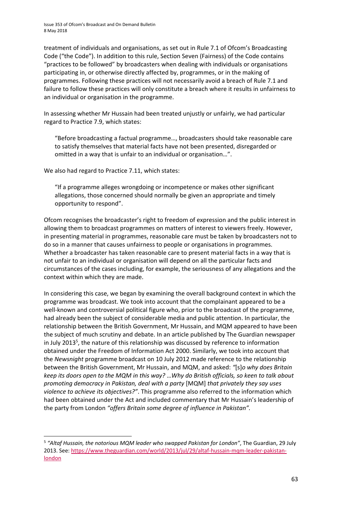treatment of individuals and organisations, as set out in Rule 7.1 of Ofcom's Broadcasting Code ("the Code"). In addition to this rule, Section Seven (Fairness) of the Code contains "practices to be followed" by broadcasters when dealing with individuals or organisations participating in, or otherwise directly affected by, programmes, or in the making of programmes. Following these practices will not necessarily avoid a breach of Rule 7.1 and failure to follow these practices will only constitute a breach where it results in unfairness to an individual or organisation in the programme.

In assessing whether Mr Hussain had been treated unjustly or unfairly, we had particular regard to Practice 7.9, which states:

"Before broadcasting a factual programme…, broadcasters should take reasonable care to satisfy themselves that material facts have not been presented, disregarded or omitted in a way that is unfair to an individual or organisation…".

We also had regard to Practice 7.11, which states:

**.** 

"If a programme alleges wrongdoing or incompetence or makes other significant allegations, those concerned should normally be given an appropriate and timely opportunity to respond".

Ofcom recognises the broadcaster's right to freedom of expression and the public interest in allowing them to broadcast programmes on matters of interest to viewers freely. However, in presenting material in programmes, reasonable care must be taken by broadcasters not to do so in a manner that causes unfairness to people or organisations in programmes. Whether a broadcaster has taken reasonable care to present material facts in a way that is not unfair to an individual or organisation will depend on all the particular facts and circumstances of the cases including, for example, the seriousness of any allegations and the context within which they are made.

In considering this case, we began by examining the overall background context in which the programme was broadcast. We took into account that the complainant appeared to be a well-known and controversial political figure who, prior to the broadcast of the programme, had already been the subject of considerable media and public attention. In particular, the relationship between the British Government, Mr Hussain, and MQM appeared to have been the subject of much scrutiny and debate. In an article published by The Guardian newspaper in July 2013<sup>5</sup>, the nature of this relationship was discussed by reference to information obtained under the Freedom of Information Act 2000. Similarly, we took into account that the *Newsnight* programme broadcast on 10 July 2012 made reference to the relationship between the British Government, Mr Hussain, and MQM, and asked: *"*[s]*o why does Britain keep its doors open to the MQM in this way?* …*Why do British officials, so keen to talk about promoting democracy in Pakistan, deal with a party* [MQM] *that privately they say uses violence to achieve its objectives?"*. This programme also referred to the information which had been obtained under the Act and included commentary that Mr Hussain's leadership of the party from London *"offers Britain some degree of influence in Pakistan".*

<sup>&</sup>lt;sup>5</sup> "Altaf Hussain, the notorious MQM leader who swapped Pakistan for London", The Guardian, 29 July 2013. See[: https://www.theguardian.com/world/2013/jul/29/altaf-hussain-mqm-leader-pakistan](https://www.theguardian.com/world/2013/jul/29/altaf-hussain-mqm-leader-pakistan-london)[london](https://www.theguardian.com/world/2013/jul/29/altaf-hussain-mqm-leader-pakistan-london)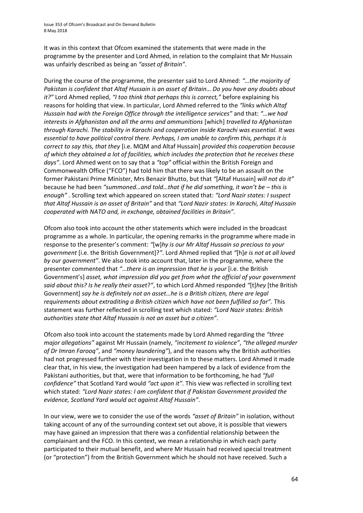Issue 353 of Ofcom's Broadcast and On Demand Bulletin 8 May 2018

It was in this context that Ofcom examined the statements that were made in the programme by the presenter and Lord Ahmed, in relation to the complaint that Mr Hussain was unfairly described as being an *"asset of Britain"*.

During the course of the programme, the presenter said to Lord Ahmed: *"…the majority of Pakistan is confident that Altaf Hussain is an asset of Britain… Do you have any doubts about it?"* Lord Ahmed replied, *"I too think that perhaps this is correct,"* before explaining his reasons for holding that view. In particular, Lord Ahmed referred to the *"links which Altaf Hussain had with the Foreign Office through the intelligence services"* and that: *"*…*we had interests in Afghanistan and all the arms and ammunitions* [which] *travelled to Afghanistan through Karachi. The stability in Karachi and cooperation inside Karachi was essential. It was essential to have political control there. Perhaps, I am unable to confirm this, perhaps it is correct to say this, that they* [i.e. MQM and Altaf Hussain] *provided this cooperation because of which they obtained a lot of facilities, which includes the protection that he receives these days"*. Lord Ahmed went on to say that a *"top"* official within the British Foreign and Commonwealth Office ("FCO") had told him that there was likely to be an assault on the former Pakistani Prime Minister, Mrs Benazir Bhutto, but that *"*[Altaf Hussain] *will not do it"* because he had been *"summoned…and told…that if he did something, it won't be – this is enough" .* Scrolling text which appeared on screen stated that: *"Lord Nazir states: I suspect that Altaf Hussain is an asset of Britain"* and that *"Lord Nazir states: In Karachi, Altaf Hussain cooperated with NATO and, in exchange, obtained facilities in Britain".*

Ofcom also took into account the other statements which were included in the broadcast programme as a whole. In particular, the opening remarks in the programme where made in response to the presenter's comment: *"*[w]*hy is our Mr Altaf Hussain so precious to your government* [i.e. the British Government]?*"*. Lord Ahmed replied that *"*[h]*e is not at all loved by our government"*. We also took into account that, later in the programme, where the presenter commented that *"*…*there is an impression that he is your* [i.e. the British Government's] *asset, what impression did you get from what the official of your government said about this? Is he really their asset*?*"*, to which Lord Ahmed responded *"*[t]*hey* [the British Government] *say he is definitely not an asset…he is a British citizen, there are legal requirements about extraditing a British citizen which have not been fulfilled so far".* This statement was further reflected in scrolling text which stated: *"Lord Nazir states: British authorities state that Altaf Hussain is not an asset but a citizen"*.

Ofcom also took into account the statements made by Lord Ahmed regarding the *"three major allegations"* against Mr Hussain (namely, *"incitement to violence"*, *"the alleged murder of Dr Imran Farooq"*, and *"money laundering"*), and the reasons why the British authorities had not progressed further with their investigation in to these matters. Lord Ahmed it made clear that, in his view, the investigation had been hampered by a lack of evidence from the Pakistani authorities, but that, were that information to be forthcoming, he had *"full confidence"* that Scotland Yard would *"act upon it"*. This view was reflected in scrolling text which stated: *"Lord Nazir states: I am confident that if Pakistan Government provided the evidence, Scotland Yard would act against Altaf Hussain"*.

In our view, were we to consider the use of the words *"asset of Britain"* in isolation, without taking account of any of the surrounding context set out above, it is possible that viewers may have gained an impression that there was a confidential relationship between the complainant and the FCO. In this context, we mean a relationship in which each party participated to their mutual benefit, and where Mr Hussain had received special treatment (or "protection") from the British Government which he should not have received. Such a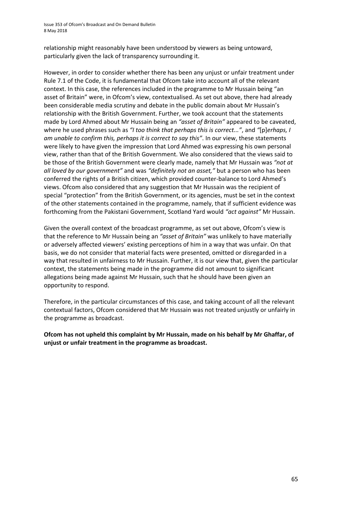Issue 353 of Ofcom's Broadcast and On Demand Bulletin 8 May 2018

relationship might reasonably have been understood by viewers as being untoward, particularly given the lack of transparency surrounding it.

However, in order to consider whether there has been any unjust or unfair treatment under Rule 7.1 of the Code, it is fundamental that Ofcom take into account all of the relevant context. In this case, the references included in the programme to Mr Hussain being "an asset of Britain" were, in Ofcom's view, contextualised. As set out above, there had already been considerable media scrutiny and debate in the public domain about Mr Hussain's relationship with the British Government. Further, we took account that the statements made by Lord Ahmed about Mr Hussain being an *"asset of Britain"* appeared to be caveated, where he used phrases such as *"I too think that perhaps this is correct..."*, and *"*[p]*erhaps, I am unable to confirm this, perhaps it is correct to say this"*. In our view, these statements were likely to have given the impression that Lord Ahmed was expressing his own personal view, rather than that of the British Government. We also considered that the views said to be those of the British Government were clearly made, namely that Mr Hussain was *"not at all loved by our government"* and was *"definitely not an asset,"* but a person who has been conferred the rights of a British citizen, which provided counter-balance to Lord Ahmed's views. Ofcom also considered that any suggestion that Mr Hussain was the recipient of special "protection" from the British Government, or its agencies, must be set in the context of the other statements contained in the programme, namely, that if sufficient evidence was forthcoming from the Pakistani Government, Scotland Yard would *"act against"* Mr Hussain.

Given the overall context of the broadcast programme, as set out above, Ofcom's view is that the reference to Mr Hussain being an *"asset of Britain"* was unlikely to have materially or adversely affected viewers' existing perceptions of him in a way that was unfair. On that basis, we do not consider that material facts were presented, omitted or disregarded in a way that resulted in unfairness to Mr Hussain. Further, it is our view that, given the particular context, the statements being made in the programme did not amount to significant allegations being made against Mr Hussain, such that he should have been given an opportunity to respond.

Therefore, in the particular circumstances of this case, and taking account of all the relevant contextual factors, Ofcom considered that Mr Hussain was not treated unjustly or unfairly in the programme as broadcast.

**Ofcom has not upheld this complaint by Mr Hussain, made on his behalf by Mr Ghaffar, of unjust or unfair treatment in the programme as broadcast.**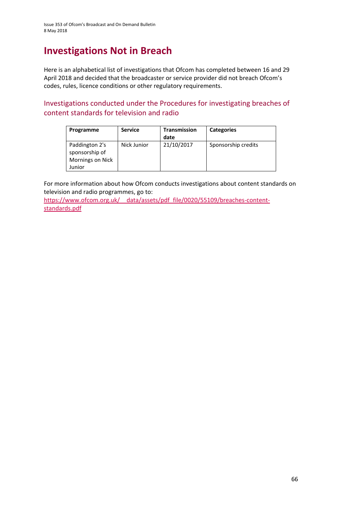# **Investigations Not in Breach**

Here is an alphabetical list of investigations that Ofcom has completed between 16 and 29 April 2018 and decided that the broadcaster or service provider did not breach Ofcom's codes, rules, licence conditions or other regulatory requirements.

Investigations conducted under the Procedures for investigating breaches of content standards for television and radio

| Programme                                                      | <b>Service</b> | <b>Transmission</b><br>date | <b>Categories</b>   |
|----------------------------------------------------------------|----------------|-----------------------------|---------------------|
| Paddington 2's<br>sponsorship of<br>Mornings on Nick<br>Junior | Nick Junior    | 21/10/2017                  | Sponsorship credits |

For more information about how Ofcom conducts investigations about content standards on television and radio programmes, go to:

https://www.ofcom.org.uk/ data/assets/pdf file/0020/55109/breaches-content[standards.pdf](https://www.ofcom.org.uk/__data/assets/pdf_file/0020/55109/breaches-content-standards.pdf)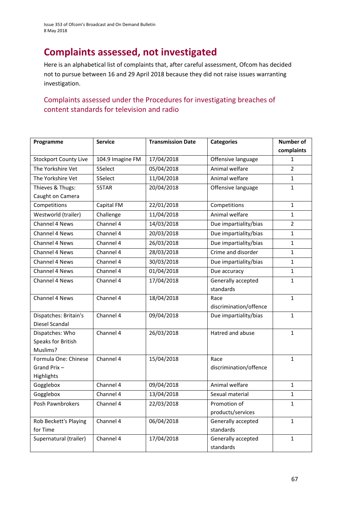# **Complaints assessed, not investigated**

Here is an alphabetical list of complaints that, after careful assessment, Ofcom has decided not to pursue between 16 and 29 April 2018 because they did not raise issues warranting investigation.

# Complaints assessed under the Procedures for investigating breaches of content standards for television and radio

| Programme                    | <b>Service</b>   | <b>Transmission Date</b> | <b>Categories</b>      | <b>Number of</b> |
|------------------------------|------------------|--------------------------|------------------------|------------------|
|                              |                  |                          |                        | complaints       |
| <b>Stockport County Live</b> | 104.9 Imagine FM | 17/04/2018               | Offensive language     | 1                |
| The Yorkshire Vet            | 5Select          | 05/04/2018               | Animal welfare         | $\overline{2}$   |
| The Yorkshire Vet            | 5Select          | 11/04/2018               | Animal welfare         | $\mathbf{1}$     |
| Thieves & Thugs:             | 5STAR            | 20/04/2018               | Offensive language     | $\mathbf{1}$     |
| Caught on Camera             |                  |                          |                        |                  |
| Competitions                 | Capital FM       | 22/01/2018               | Competitions           | $\mathbf{1}$     |
| Westworld (trailer)          | Challenge        | 11/04/2018               | Animal welfare         | $\mathbf{1}$     |
| Channel 4 News               | Channel 4        | 14/03/2018               | Due impartiality/bias  | $\overline{2}$   |
| Channel 4 News               | Channel 4        | 20/03/2018               | Due impartiality/bias  | $\mathbf{1}$     |
| Channel 4 News               | Channel 4        | 26/03/2018               | Due impartiality/bias  | $\mathbf{1}$     |
| Channel 4 News               | Channel 4        | 28/03/2018               | Crime and disorder     | $\mathbf{1}$     |
| Channel 4 News               | Channel 4        | 30/03/2018               | Due impartiality/bias  | $\mathbf{1}$     |
| <b>Channel 4 News</b>        | Channel 4        | 01/04/2018               | Due accuracy           | $\mathbf{1}$     |
| Channel 4 News               | Channel 4        | 17/04/2018               | Generally accepted     | $\mathbf{1}$     |
|                              |                  |                          | standards              |                  |
| Channel 4 News               | Channel 4        | 18/04/2018               | Race                   | $\mathbf{1}$     |
|                              |                  |                          | discrimination/offence |                  |
| Dispatches: Britain's        | Channel 4        | 09/04/2018               | Due impartiality/bias  | $\mathbf{1}$     |
| Diesel Scandal               |                  |                          |                        |                  |
| Dispatches: Who              | Channel 4        | 26/03/2018               | Hatred and abuse       | $\mathbf{1}$     |
| Speaks for British           |                  |                          |                        |                  |
| Muslims?                     |                  |                          |                        |                  |
| Formula One: Chinese         | Channel 4        | 15/04/2018               | Race                   | $\mathbf{1}$     |
| Grand Prix-                  |                  |                          | discrimination/offence |                  |
| Highlights<br>Gogglebox      | Channel 4        | 09/04/2018               | Animal welfare         | $\mathbf{1}$     |
| Gogglebox                    | Channel 4        | 13/04/2018               | Sexual material        | $\mathbf{1}$     |
| Posh Pawnbrokers             | Channel 4        | 22/03/2018               | Promotion of           | $\mathbf{1}$     |
|                              |                  |                          | products/services      |                  |
| Rob Beckett's Playing        | Channel 4        | 06/04/2018               | Generally accepted     | $\mathbf{1}$     |
| for Time                     |                  |                          | standards              |                  |
| Supernatural (trailer)       | Channel 4        | 17/04/2018               | Generally accepted     | $\mathbf{1}$     |
|                              |                  |                          | standards              |                  |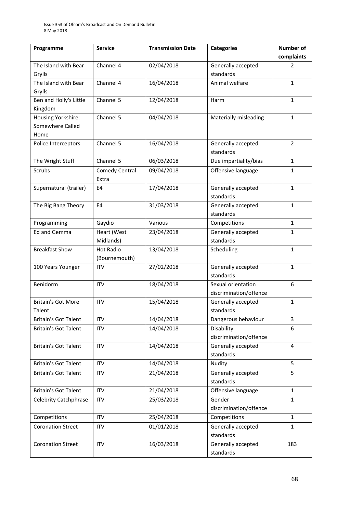| Programme                    | <b>Service</b>        | <b>Transmission Date</b> | <b>Categories</b>      | <b>Number of</b> |
|------------------------------|-----------------------|--------------------------|------------------------|------------------|
|                              |                       |                          |                        | complaints       |
| The Island with Bear         | Channel 4             | 02/04/2018               | Generally accepted     | 2                |
| Grylls                       |                       |                          | standards              |                  |
| The Island with Bear         | Channel 4             | 16/04/2018               | Animal welfare         | $\mathbf{1}$     |
| Grylls                       |                       |                          |                        |                  |
| Ben and Holly's Little       | Channel 5             | 12/04/2018               | <b>Harm</b>            | $\mathbf{1}$     |
| Kingdom                      |                       |                          |                        |                  |
| Housing Yorkshire:           | Channel 5             | 04/04/2018               | Materially misleading  | $\mathbf{1}$     |
| Somewhere Called             |                       |                          |                        |                  |
| Home                         |                       |                          |                        |                  |
| Police Interceptors          | Channel 5             | 16/04/2018               | Generally accepted     | $\overline{2}$   |
|                              |                       |                          | standards              |                  |
| The Wright Stuff             | Channel 5             | 06/03/2018               | Due impartiality/bias  | $\mathbf{1}$     |
| Scrubs                       | <b>Comedy Central</b> | 09/04/2018               | Offensive language     | $\mathbf{1}$     |
|                              | Extra                 |                          |                        |                  |
| Supernatural (trailer)       | E4                    | 17/04/2018               | Generally accepted     | $\mathbf{1}$     |
|                              |                       |                          | standards              |                  |
| The Big Bang Theory          | E4                    | 31/03/2018               | Generally accepted     | $\mathbf{1}$     |
|                              |                       |                          | standards              |                  |
| Programming                  | Gaydio                | Various                  | Competitions           | $\mathbf{1}$     |
| Ed and Gemma                 | Heart (West           | 23/04/2018               | Generally accepted     | $\mathbf{1}$     |
|                              | Midlands)             |                          | standards              |                  |
| <b>Breakfast Show</b>        | <b>Hot Radio</b>      | 13/04/2018               | Scheduling             | $\mathbf{1}$     |
|                              | (Bournemouth)         |                          |                        |                  |
| 100 Years Younger            | <b>ITV</b>            | 27/02/2018               | Generally accepted     | $\mathbf{1}$     |
|                              |                       |                          | standards              |                  |
| Benidorm                     | <b>ITV</b>            | 18/04/2018               | Sexual orientation     | 6                |
|                              |                       |                          | discrimination/offence |                  |
| <b>Britain's Got More</b>    | <b>ITV</b>            | 15/04/2018               | Generally accepted     | $\mathbf{1}$     |
| Talent                       |                       |                          | standards              |                  |
| <b>Britain's Got Talent</b>  | <b>ITV</b>            | 14/04/2018               | Dangerous behaviour    | 3                |
| <b>Britain's Got Talent</b>  | <b>ITV</b>            | 14/04/2018               | Disability             | 6                |
|                              |                       |                          | discrimination/offence |                  |
| <b>Britain's Got Talent</b>  | <b>ITV</b>            | 14/04/2018               | Generally accepted     | $\overline{4}$   |
|                              |                       |                          | standards              |                  |
| <b>Britain's Got Talent</b>  | <b>ITV</b>            | 14/04/2018               | Nudity                 | 5                |
| <b>Britain's Got Talent</b>  | <b>ITV</b>            | 21/04/2018               | Generally accepted     | 5                |
|                              |                       |                          | standards              |                  |
| <b>Britain's Got Talent</b>  | <b>ITV</b>            | 21/04/2018               | Offensive language     | $\mathbf{1}$     |
| <b>Celebrity Catchphrase</b> | <b>ITV</b>            | 25/03/2018               | Gender                 | $\mathbf{1}$     |
|                              |                       |                          | discrimination/offence |                  |
| Competitions                 | <b>ITV</b>            | 25/04/2018               | Competitions           | $\mathbf{1}$     |
| <b>Coronation Street</b>     | <b>ITV</b>            | 01/01/2018               | Generally accepted     | $\mathbf{1}$     |
|                              |                       |                          | standards              |                  |
| <b>Coronation Street</b>     | <b>ITV</b>            | 16/03/2018               | Generally accepted     | 183              |
|                              |                       |                          | standards              |                  |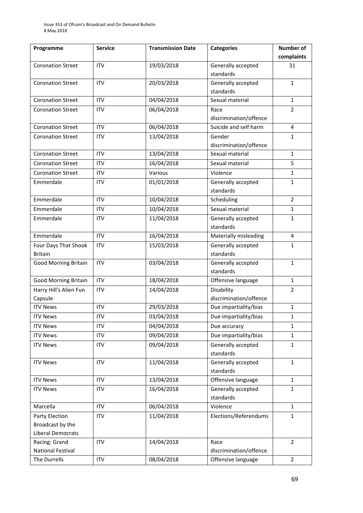| Programme                   | <b>Service</b> | <b>Transmission Date</b> | <b>Categories</b>      | <b>Number of</b> |
|-----------------------------|----------------|--------------------------|------------------------|------------------|
|                             |                |                          |                        | complaints       |
| <b>Coronation Street</b>    | <b>ITV</b>     | 19/03/2018               | Generally accepted     | 31               |
|                             |                |                          | standards              |                  |
| <b>Coronation Street</b>    | <b>ITV</b>     | 20/03/2018               | Generally accepted     | $\mathbf{1}$     |
|                             |                |                          | standards              |                  |
| <b>Coronation Street</b>    | <b>ITV</b>     | 04/04/2018               | Sexual material        | $\mathbf{1}$     |
| <b>Coronation Street</b>    | <b>ITV</b>     | 06/04/2018               | Race                   | $\overline{2}$   |
|                             |                |                          | discrimination/offence |                  |
| <b>Coronation Street</b>    | <b>ITV</b>     | 06/04/2018               | Suicide and self harm  | $\overline{4}$   |
| <b>Coronation Street</b>    | <b>ITV</b>     | 13/04/2018               | Gender                 | $\mathbf{1}$     |
|                             |                |                          | discrimination/offence |                  |
| <b>Coronation Street</b>    | <b>ITV</b>     | 13/04/2018               | Sexual material        | $\mathbf{1}$     |
| <b>Coronation Street</b>    | <b>ITV</b>     | 16/04/2018               | Sexual material        | 5                |
| <b>Coronation Street</b>    | <b>ITV</b>     | Various                  | Violence               | $\mathbf{1}$     |
| Emmerdale                   | <b>ITV</b>     | 01/01/2018               | Generally accepted     | $\mathbf{1}$     |
|                             |                |                          | standards              |                  |
| Emmerdale                   | <b>ITV</b>     | 10/04/2018               | Scheduling             | $\overline{2}$   |
| Emmerdale                   | <b>ITV</b>     | 10/04/2018               | Sexual material        | $\mathbf{1}$     |
| Emmerdale                   | <b>ITV</b>     | 11/04/2018               | Generally accepted     | $\mathbf{1}$     |
|                             |                |                          | standards              |                  |
| Emmerdale                   | <b>ITV</b>     | 16/04/2018               | Materially misleading  | 4                |
| Four Days That Shook        | <b>ITV</b>     | 15/03/2018               | Generally accepted     | $\mathbf{1}$     |
| <b>Britain</b>              |                |                          | standards              |                  |
| <b>Good Morning Britain</b> | <b>ITV</b>     | 03/04/2018               | Generally accepted     | $\mathbf{1}$     |
|                             |                |                          | standards              |                  |
| <b>Good Morning Britain</b> | <b>ITV</b>     | 18/04/2018               | Offensive language     | $\mathbf{1}$     |
| Harry Hill's Alien Fun      | <b>ITV</b>     | 14/04/2018               | Disability             | $\overline{2}$   |
| Capsule                     |                |                          | discrimination/offence |                  |
| <b>ITV News</b>             | <b>ITV</b>     | 29/03/2018               | Due impartiality/bias  | $\mathbf{1}$     |
| <b>ITV News</b>             | <b>ITV</b>     | 03/04/2018               | Due impartiality/bias  | 1                |
| <b>ITV News</b>             | <b>ITV</b>     | 04/04/2018               | Due accuracy           | $\mathbf{1}$     |
| <b>ITV News</b>             | <b>ITV</b>     | 09/04/2018               | Due impartiality/bias  | $\mathbf{1}$     |
| <b>ITV News</b>             | <b>ITV</b>     | 09/04/2018               | Generally accepted     | $\mathbf{1}$     |
|                             |                |                          | standards              |                  |
| <b>ITV News</b>             | <b>ITV</b>     | 11/04/2018               | Generally accepted     | $\mathbf{1}$     |
|                             |                |                          | standards              |                  |
| <b>ITV News</b>             | <b>ITV</b>     | 13/04/2018               | Offensive language     | $\mathbf{1}$     |
| <b>ITV News</b>             | <b>ITV</b>     | 16/04/2018               | Generally accepted     | $\mathbf{1}$     |
|                             |                |                          | standards              |                  |
| Marcella                    | <b>ITV</b>     | 06/04/2018               | Violence               | $\mathbf{1}$     |
| Party Election              | <b>ITV</b>     | 11/04/2018               | Elections/Referendums  | $\mathbf{1}$     |
| Broadcast by the            |                |                          |                        |                  |
| Liberal Democrats           |                |                          |                        |                  |
| Racing: Grand               | <b>ITV</b>     | 14/04/2018               | Race                   | $\overline{2}$   |
| National Festival           |                |                          | discrimination/offence |                  |
| The Durrells                | <b>ITV</b>     | 08/04/2018               | Offensive language     | $\overline{2}$   |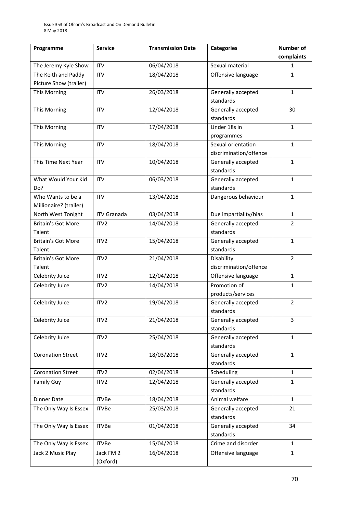| Programme                 | <b>Service</b>     | <b>Transmission Date</b> | <b>Categories</b>      | <b>Number of</b> |
|---------------------------|--------------------|--------------------------|------------------------|------------------|
|                           |                    |                          |                        | complaints       |
| The Jeremy Kyle Show      | <b>ITV</b>         | 06/04/2018               | Sexual material        | 1                |
| The Keith and Paddy       | <b>ITV</b>         | 18/04/2018               | Offensive language     | 1                |
| Picture Show (trailer)    |                    |                          |                        |                  |
| This Morning              | <b>ITV</b>         | 26/03/2018               | Generally accepted     | $\mathbf{1}$     |
|                           |                    |                          | standards              |                  |
| This Morning              | <b>ITV</b>         | 12/04/2018               | Generally accepted     | 30               |
|                           |                    |                          | standards              |                  |
| This Morning              | <b>ITV</b>         | 17/04/2018               | Under 18s in           | $\mathbf{1}$     |
|                           |                    |                          | programmes             |                  |
| This Morning              | <b>ITV</b>         | 18/04/2018               | Sexual orientation     | $\mathbf{1}$     |
|                           |                    |                          | discrimination/offence |                  |
| This Time Next Year       | <b>ITV</b>         | 10/04/2018               | Generally accepted     | $\mathbf{1}$     |
|                           |                    |                          | standards              |                  |
| What Would Your Kid       | <b>ITV</b>         | 06/03/2018               | Generally accepted     | $\mathbf{1}$     |
| Do?                       |                    |                          | standards              |                  |
| Who Wants to be a         | <b>ITV</b>         | 13/04/2018               | Dangerous behaviour    | $\mathbf{1}$     |
| Millionaire? (trailer)    |                    |                          |                        |                  |
| North West Tonight        | <b>ITV Granada</b> | 03/04/2018               | Due impartiality/bias  | $\mathbf{1}$     |
| <b>Britain's Got More</b> | ITV <sub>2</sub>   | 14/04/2018               | Generally accepted     | $\overline{2}$   |
| Talent                    |                    |                          | standards              |                  |
| <b>Britain's Got More</b> | ITV <sub>2</sub>   | 15/04/2018               | Generally accepted     | $\mathbf 1$      |
| Talent                    |                    |                          | standards              |                  |
| <b>Britain's Got More</b> | ITV <sub>2</sub>   | 21/04/2018               | Disability             | $\overline{2}$   |
| Talent                    |                    |                          | discrimination/offence |                  |
| Celebrity Juice           | ITV2               | 12/04/2018               | Offensive language     | $\mathbf{1}$     |
| Celebrity Juice           | ITV <sub>2</sub>   | 14/04/2018               | Promotion of           | 1                |
|                           |                    |                          | products/services      |                  |
| Celebrity Juice           | ITV <sub>2</sub>   | 19/04/2018               | Generally accepted     | $\overline{2}$   |
|                           |                    |                          | standards              |                  |
| Celebrity Juice           | ITV <sub>2</sub>   | 21/04/2018               | Generally accepted     | 3                |
|                           |                    |                          | standards              |                  |
| Celebrity Juice           | ITV2               | 25/04/2018               | Generally accepted     | $\mathbf{1}$     |
|                           |                    |                          | standards              |                  |
| <b>Coronation Street</b>  | ITV <sub>2</sub>   | 18/03/2018               | Generally accepted     | $\mathbf{1}$     |
|                           |                    |                          | standards              |                  |
| <b>Coronation Street</b>  | ITV <sub>2</sub>   | 02/04/2018               | Scheduling             | $\mathbf{1}$     |
| <b>Family Guy</b>         | ITV <sub>2</sub>   | 12/04/2018               | Generally accepted     | $\mathbf{1}$     |
|                           |                    |                          | standards              |                  |
| <b>Dinner Date</b>        | <b>ITVBe</b>       | 18/04/2018               | Animal welfare         | $\mathbf{1}$     |
| The Only Way Is Essex     | <b>ITVBe</b>       | 25/03/2018               | Generally accepted     | 21               |
|                           |                    |                          | standards              |                  |
| The Only Way Is Essex     | <b>ITVBe</b>       | 01/04/2018               | Generally accepted     | 34               |
|                           |                    |                          | standards              |                  |
| The Only Way is Essex     | <b>ITVBe</b>       | 15/04/2018               | Crime and disorder     | $\mathbf{1}$     |
| Jack 2 Music Play         | Jack FM 2          | 16/04/2018               | Offensive language     | $\mathbf{1}$     |
|                           | (Oxford)           |                          |                        |                  |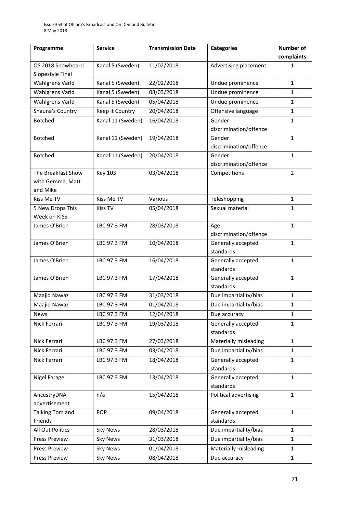| Programme            | <b>Service</b>    | <b>Transmission Date</b> | <b>Categories</b>                | Number of      |
|----------------------|-------------------|--------------------------|----------------------------------|----------------|
|                      |                   |                          |                                  | complaints     |
| OS 2018 Snowboard    | Kanal 5 (Sweden)  | 11/02/2018               | Advertising placement            | 1              |
| Slopestyle Final     |                   |                          |                                  |                |
| Wahlgrens Värld      | Kanal 5 (Sweden)  | 22/02/2018               | Undue prominence                 | $\mathbf{1}$   |
| Wahlgrens Värld      | Kanal 5 (Sweden)  | 08/03/2018               | Undue prominence                 | $\mathbf{1}$   |
| Wahlgrens Värld      | Kanal 5 (Sweden)  | 05/04/2018               | Undue prominence                 | $\mathbf{1}$   |
| Shauna's Country     | Keep it Country   | 20/04/2018               | Offensive language               | $\mathbf{1}$   |
| <b>Botched</b>       | Kanal 11 (Sweden) | 16/04/2018               | Gender<br>discrimination/offence | $\mathbf{1}$   |
| <b>Botched</b>       | Kanal 11 (Sweden) | 19/04/2018               | Gender<br>discrimination/offence | $\mathbf{1}$   |
| <b>Botched</b>       | Kanal 11 (Sweden) | 20/04/2018               | Gender<br>discrimination/offence | $\mathbf{1}$   |
| The Breakfast Show   | <b>Key 103</b>    | 03/04/2018               | Competitions                     | $\overline{2}$ |
| with Gemma, Matt     |                   |                          |                                  |                |
| and Mike             |                   |                          |                                  |                |
| Kiss Me TV           | Kiss Me TV        | Various                  | Teleshopping                     | $\mathbf{1}$   |
| 5 New Drops This     | <b>Kiss TV</b>    | 05/04/2018               | Sexual material                  | $\mathbf{1}$   |
| Week on KISS         |                   |                          |                                  |                |
| James O'Brien        | LBC 97.3 FM       | 28/03/2018               | Age<br>discrimination/offence    | $\mathbf{1}$   |
| James O'Brien        | LBC 97.3 FM       | 10/04/2018               | Generally accepted               | $\mathbf{1}$   |
|                      |                   |                          | standards                        |                |
| James O'Brien        | LBC 97.3 FM       | 16/04/2018               | Generally accepted<br>standards  | $\mathbf{1}$   |
| James O'Brien        | LBC 97.3 FM       | 17/04/2018               | Generally accepted<br>standards  | $\mathbf{1}$   |
| Maajid Nawaz         | LBC 97.3 FM       | 31/03/2018               | Due impartiality/bias            | $\mathbf{1}$   |
| Maajid Nawaz         | LBC 97.3 FM       | 01/04/2018               | Due impartiality/bias            | $\mathbf{1}$   |
| <b>News</b>          | LBC 97.3 FM       | 12/04/2018               | Due accuracy                     | 1              |
| Nick Ferrari         | LBC 97.3 FM       | 19/03/2018               | Generally accepted<br>standards  | $\mathbf{1}$   |
| Nick Ferrari         | LBC 97.3 FM       | 27/03/2018               | Materially misleading            | $\mathbf{1}$   |
| Nick Ferrari         | LBC 97.3 FM       | 03/04/2018               | Due impartiality/bias            | 1              |
| Nick Ferrari         | LBC 97.3 FM       | 18/04/2018               | Generally accepted<br>standards  | $\mathbf{1}$   |
| Nigel Farage         | LBC 97.3 FM       | 13/04/2018               | Generally accepted<br>standards  | $\mathbf{1}$   |
| AncestryDNA          | n/a               | 15/04/2018               | Political advertising            | $\mathbf{1}$   |
| advertisement        |                   |                          |                                  |                |
| Talking Tom and      | <b>POP</b>        | 09/04/2018               | Generally accepted               | $\mathbf{1}$   |
| Friends              |                   |                          | standards                        |                |
| All Out Politics     | <b>Sky News</b>   | 28/03/2018               | Due impartiality/bias            | $\mathbf{1}$   |
| <b>Press Preview</b> | <b>Sky News</b>   | 31/03/2018               | Due impartiality/bias            | $\mathbf{1}$   |
| Press Preview        | <b>Sky News</b>   | 01/04/2018               | Materially misleading            | $\mathbf{1}$   |
| <b>Press Preview</b> | <b>Sky News</b>   | 08/04/2018               | Due accuracy                     | $\mathbf{1}$   |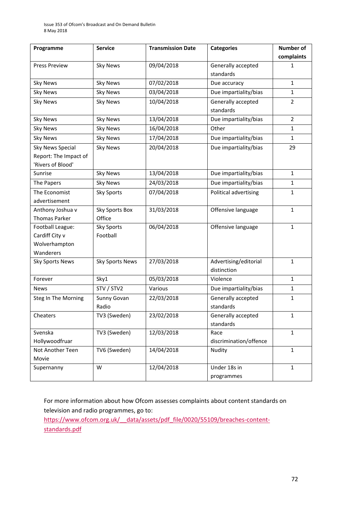| Programme                 | <b>Service</b>    | <b>Transmission Date</b> | <b>Categories</b>              | <b>Number of</b> |
|---------------------------|-------------------|--------------------------|--------------------------------|------------------|
|                           |                   |                          |                                | complaints       |
| <b>Press Preview</b>      | <b>Sky News</b>   | 09/04/2018               | Generally accepted             | 1                |
|                           |                   |                          | standards                      |                  |
| <b>Sky News</b>           | <b>Sky News</b>   | 07/02/2018               | Due accuracy                   | $\mathbf{1}$     |
| <b>Sky News</b>           | <b>Sky News</b>   | 03/04/2018               | Due impartiality/bias          | $\mathbf{1}$     |
| <b>Sky News</b>           | <b>Sky News</b>   | 10/04/2018               | Generally accepted             | $\overline{2}$   |
|                           |                   |                          | standards                      |                  |
| <b>Sky News</b>           | <b>Sky News</b>   | 13/04/2018               | Due impartiality/bias          | $\overline{2}$   |
| <b>Sky News</b>           | <b>Sky News</b>   | 16/04/2018               | Other                          | $\mathbf{1}$     |
| <b>Sky News</b>           | <b>Sky News</b>   | 17/04/2018               | Due impartiality/bias          | $\mathbf{1}$     |
| <b>Sky News Special</b>   | <b>Sky News</b>   | 20/04/2018               | Due impartiality/bias          | 29               |
| Report: The Impact of     |                   |                          |                                |                  |
| 'Rivers of Blood'         |                   |                          |                                |                  |
| Sunrise                   | <b>Sky News</b>   | 13/04/2018               | Due impartiality/bias          | $\mathbf{1}$     |
| The Papers                | <b>Sky News</b>   | 24/03/2018               | Due impartiality/bias          | $\mathbf{1}$     |
| The Economist             | <b>Sky Sports</b> | 07/04/2018               | Political advertising          | $\mathbf{1}$     |
| advertisement             |                   |                          |                                |                  |
| Anthony Joshua v          | Sky Sports Box    | 31/03/2018               | Offensive language             | $\mathbf{1}$     |
| <b>Thomas Parker</b>      | Office            |                          |                                |                  |
| Football League:          | <b>Sky Sports</b> | 06/04/2018               | Offensive language             | $\mathbf{1}$     |
| Cardiff City v            | Football          |                          |                                |                  |
| Wolverhampton             |                   |                          |                                |                  |
| Wanderers                 |                   |                          |                                |                  |
| <b>Sky Sports News</b>    | Sky Sports News   | 27/03/2018               | Advertising/editorial          | $\mathbf{1}$     |
|                           |                   |                          | distinction                    |                  |
| Forever                   | Sky1              | 05/03/2018               | Violence                       | $\mathbf{1}$     |
| <b>News</b>               | STV / STV2        | Various                  | Due impartiality/bias          | 1                |
| Steg In The Morning       | Sunny Govan       | 22/03/2018               | Generally accepted             | $\mathbf{1}$     |
|                           | Radio             |                          | standards                      |                  |
| Cheaters                  | TV3 (Sweden)      | 23/02/2018               | Generally accepted             | $\mathbf{1}$     |
|                           |                   |                          | standards                      |                  |
| Svenska<br>Hollywoodfruar | TV3 (Sweden)      | 12/03/2018               | Race<br>discrimination/offence | $\mathbf{1}$     |
| Not Another Teen          | TV6 (Sweden)      | 14/04/2018               | Nudity                         | $\mathbf{1}$     |
| Movie                     |                   |                          |                                |                  |
| Supernanny                | W                 | 12/04/2018               | Under 18s in                   | $\mathbf{1}$     |
|                           |                   |                          | programmes                     |                  |

For more information about how Ofcom assesses complaints about content standards on television and radio programmes, go to:

https://www.ofcom.org.uk/ data/assets/pdf\_file/0020/55109/breaches-content[standards.pdf](https://www.ofcom.org.uk/__data/assets/pdf_file/0020/55109/breaches-content-standards.pdf)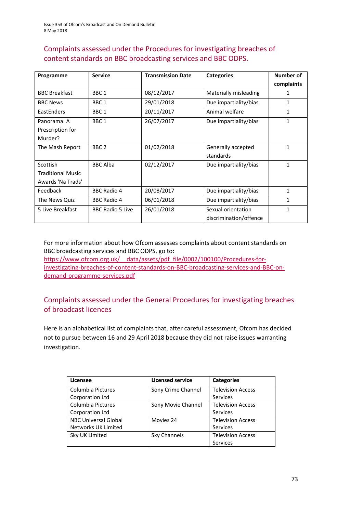### Complaints assessed under the Procedures for investigating breaches of content standards on BBC broadcasting services and BBC ODPS.

| Programme                | <b>Service</b>          | <b>Transmission Date</b> | <b>Categories</b>      | Number of    |
|--------------------------|-------------------------|--------------------------|------------------------|--------------|
|                          |                         |                          |                        | complaints   |
| <b>BBC Breakfast</b>     | BBC <sub>1</sub>        | 08/12/2017               | Materially misleading  | 1            |
| <b>BBC News</b>          | BBC <sub>1</sub>        | 29/01/2018               | Due impartiality/bias  | 1            |
| EastEnders               | BBC <sub>1</sub>        | 20/11/2017               | Animal welfare         | 1            |
| Panorama: A              | BBC <sub>1</sub>        | 26/07/2017               | Due impartiality/bias  | 1            |
| Prescription for         |                         |                          |                        |              |
| Murder?                  |                         |                          |                        |              |
| The Mash Report          | BBC <sub>2</sub>        | 01/02/2018               | Generally accepted     | 1            |
|                          |                         |                          | standards              |              |
| Scottish                 | <b>BBC Alba</b>         | 02/12/2017               | Due impartiality/bias  | $\mathbf{1}$ |
| <b>Traditional Music</b> |                         |                          |                        |              |
| Awards 'Na Trads'        |                         |                          |                        |              |
| Feedback                 | <b>BBC Radio 4</b>      | 20/08/2017               | Due impartiality/bias  | $\mathbf{1}$ |
| The News Quiz            | <b>BBC Radio 4</b>      | 06/01/2018               | Due impartiality/bias  | 1            |
| 5 Live Breakfast         | <b>BBC Radio 5 Live</b> | 26/01/2018               | Sexual orientation     | 1            |
|                          |                         |                          | discrimination/offence |              |

For more information about how Ofcom assesses complaints about content standards on BBC broadcasting services and BBC ODPS, go to: [https://www.ofcom.org.uk/\\_\\_data/assets/pdf\\_file/0002/100100/Procedures-for-](https://www.ofcom.org.uk/__data/assets/pdf_file/0002/100100/Procedures-for-investigating-breaches-of-content-standards-on-BBC-broadcasting-services-and-BBC-on-demand-programme-services.pdf)

[investigating-breaches-of-content-standards-on-BBC-broadcasting-services-and-BBC-on](https://www.ofcom.org.uk/__data/assets/pdf_file/0002/100100/Procedures-for-investigating-breaches-of-content-standards-on-BBC-broadcasting-services-and-BBC-on-demand-programme-services.pdf)[demand-programme-services.pdf](https://www.ofcom.org.uk/__data/assets/pdf_file/0002/100100/Procedures-for-investigating-breaches-of-content-standards-on-BBC-broadcasting-services-and-BBC-on-demand-programme-services.pdf)

### Complaints assessed under the General Procedures for investigating breaches of broadcast licences

Here is an alphabetical list of complaints that, after careful assessment, Ofcom has decided not to pursue between 16 and 29 April 2018 because they did not raise issues warranting investigation.

| Licensee                    | <b>Licensed service</b> | <b>Categories</b>        |
|-----------------------------|-------------------------|--------------------------|
| Columbia Pictures           | Sony Crime Channel      | <b>Television Access</b> |
| Corporation Ltd             |                         | <b>Services</b>          |
| Columbia Pictures           | Sony Movie Channel      | <b>Television Access</b> |
| Corporation Ltd             |                         | <b>Services</b>          |
| <b>NBC Universal Global</b> | Movies 24               | <b>Television Access</b> |
| Networks UK Limited         |                         | Services                 |
| Sky UK Limited              | Sky Channels            | <b>Television Access</b> |
|                             |                         | Services                 |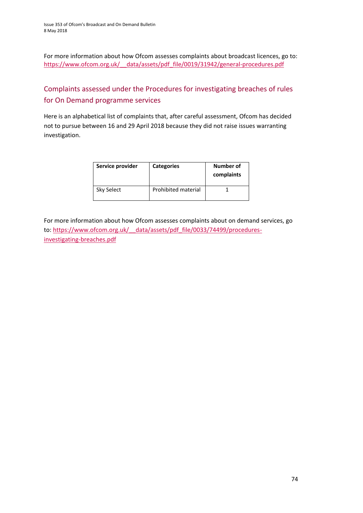For more information about how Ofcom assesses complaints about broadcast licences, go to: [https://www.ofcom.org.uk/\\_\\_data/assets/pdf\\_file/0019/31942/general-procedures.pdf](https://www.ofcom.org.uk/__data/assets/pdf_file/0019/31942/general-procedures.pdf)

## Complaints assessed under the Procedures for investigating breaches of rules for On Demand programme services

Here is an alphabetical list of complaints that, after careful assessment, Ofcom has decided not to pursue between 16 and 29 April 2018 because they did not raise issues warranting investigation.

| Service provider | <b>Categories</b>   | Number of<br>complaints |
|------------------|---------------------|-------------------------|
| Sky Select       | Prohibited material |                         |

For more information about how Ofcom assesses complaints about on demand services, go to: [https://www.ofcom.org.uk/\\_\\_data/assets/pdf\\_file/0033/74499/procedures](https://www.ofcom.org.uk/__data/assets/pdf_file/0033/74499/procedures-investigating-breaches.pdf)[investigating-breaches.pdf](https://www.ofcom.org.uk/__data/assets/pdf_file/0033/74499/procedures-investigating-breaches.pdf)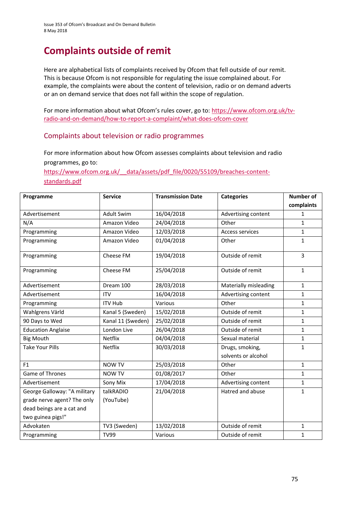Issue 353 of Ofcom's Broadcast and On Demand Bulletin 8 May 2018

# **Complaints outside of remit**

Here are alphabetical lists of complaints received by Ofcom that fell outside of our remit. This is because Ofcom is not responsible for regulating the issue complained about. For example, the complaints were about the content of television, radio or on demand adverts or an on demand service that does not fall within the scope of regulation.

For more information about what Ofcom's rules cover, go to: [https://www.ofcom.org.uk/tv](https://www.ofcom.org.uk/tv-radio-and-on-demand/how-to-report-a-complaint/what-does-ofcom-cover)[radio-and-on-demand/how-to-report-a-complaint/what-does-ofcom-cover](https://www.ofcom.org.uk/tv-radio-and-on-demand/how-to-report-a-complaint/what-does-ofcom-cover)

#### Complaints about television or radio programmes

For more information about how Ofcom assesses complaints about television and radio programmes, go to:

[https://www.ofcom.org.uk/\\_\\_data/assets/pdf\\_file/0020/55109/breaches-content](https://www.ofcom.org.uk/__data/assets/pdf_file/0020/55109/breaches-content-standards.pdf)[standards.pdf](https://www.ofcom.org.uk/__data/assets/pdf_file/0020/55109/breaches-content-standards.pdf)

| Programme                    | <b>Service</b>    | <b>Transmission Date</b> | <b>Categories</b>                      | <b>Number of</b> |
|------------------------------|-------------------|--------------------------|----------------------------------------|------------------|
|                              |                   |                          |                                        | complaints       |
| Advertisement                | <b>Adult Swim</b> | 16/04/2018               | Advertising content                    | $\mathbf{1}$     |
| N/A                          | Amazon Video      | 24/04/2018               | Other                                  | $\mathbf{1}$     |
| Programming                  | Amazon Video      | 12/03/2018               | <b>Access services</b>                 | $\mathbf{1}$     |
| Programming                  | Amazon Video      | 01/04/2018               | Other                                  | $\mathbf{1}$     |
| Programming                  | Cheese FM         | 19/04/2018               | Outside of remit                       | 3                |
| Programming                  | Cheese FM         | 25/04/2018               | Outside of remit                       | $\mathbf{1}$     |
| Advertisement                | Dream 100         | 28/03/2018               | Materially misleading                  | $\mathbf{1}$     |
| Advertisement                | <b>ITV</b>        | 16/04/2018               | Advertising content                    | $\mathbf{1}$     |
| Programming                  | <b>ITV Hub</b>    | Various                  | Other                                  | $\mathbf{1}$     |
| Wahlgrens Värld              | Kanal 5 (Sweden)  | 15/02/2018               | Outside of remit                       | $\mathbf{1}$     |
| 90 Days to Wed               | Kanal 11 (Sweden) | 25/02/2018               | Outside of remit                       | $\mathbf{1}$     |
| <b>Education Anglaise</b>    | London Live       | 26/04/2018               | Outside of remit                       | $\mathbf{1}$     |
| <b>Big Mouth</b>             | Netflix           | 04/04/2018               | Sexual material                        | $\mathbf{1}$     |
| <b>Take Your Pills</b>       | Netflix           | 30/03/2018               | Drugs, smoking,<br>solvents or alcohol | $\mathbf{1}$     |
| F1                           | <b>NOW TV</b>     | 25/03/2018               | Other                                  | $\mathbf{1}$     |
| Game of Thrones              | <b>NOW TV</b>     | 01/08/2017               | Other                                  | $\mathbf{1}$     |
| Advertisement                | Sony Mix          | 17/04/2018               | Advertising content                    | 1                |
| George Galloway: "A military | talkRADIO         | 21/04/2018               | Hatred and abuse                       | $\mathbf{1}$     |
| grade nerve agent? The only  | (YouTube)         |                          |                                        |                  |
| dead beings are a cat and    |                   |                          |                                        |                  |
| two guinea pigs!"            |                   |                          |                                        |                  |
| Advokaten                    | TV3 (Sweden)      | 13/02/2018               | Outside of remit                       | $\mathbf{1}$     |
| Programming                  | <b>TV99</b>       | Various                  | Outside of remit                       | $\mathbf{1}$     |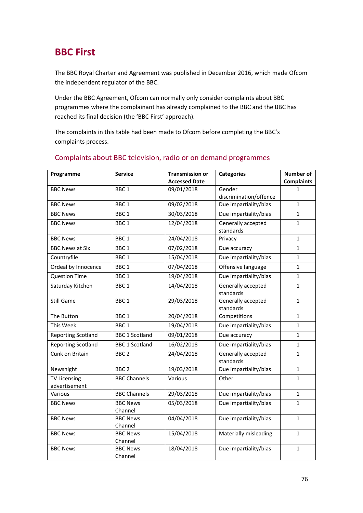# **BBC First**

The BBC Royal Charter and Agreement was published in December 2016, which made Ofcom the independent regulator of the BBC.

Under the BBC Agreement, Ofcom can normally only consider complaints about BBC programmes where the complainant has already complained to the BBC and the BBC has reached its final decision (the 'BBC First' approach).

The complaints in this table had been made to Ofcom before completing the BBC's complaints process.

| Programme                            | <b>Service</b>             | <b>Transmission or</b> | <b>Categories</b>               | <b>Number of</b>  |
|--------------------------------------|----------------------------|------------------------|---------------------------------|-------------------|
|                                      |                            | <b>Accessed Date</b>   |                                 | <b>Complaints</b> |
| <b>BBC News</b>                      | BBC <sub>1</sub>           | 09/01/2018             | Gender                          | 1                 |
|                                      |                            |                        | discrimination/offence          |                   |
| <b>BBC News</b>                      | BBC <sub>1</sub>           | 09/02/2018             | Due impartiality/bias           | $\mathbf{1}$      |
| <b>BBC News</b>                      | BBC <sub>1</sub>           | 30/03/2018             | Due impartiality/bias           | $\mathbf{1}$      |
| <b>BBC News</b>                      | BBC <sub>1</sub>           | 12/04/2018             | Generally accepted<br>standards | $\mathbf{1}$      |
| <b>BBC News</b>                      | BBC <sub>1</sub>           | 24/04/2018             | Privacy                         | $\mathbf{1}$      |
| <b>BBC News at Six</b>               | BBC <sub>1</sub>           | 07/02/2018             | Due accuracy                    | $\mathbf{1}$      |
| Countryfile                          | BBC <sub>1</sub>           | 15/04/2018             | Due impartiality/bias           | $\mathbf{1}$      |
| Ordeal by Innocence                  | BBC <sub>1</sub>           | 07/04/2018             | Offensive language              | $\mathbf{1}$      |
| <b>Question Time</b>                 | BBC <sub>1</sub>           | 19/04/2018             | Due impartiality/bias           | $\mathbf{1}$      |
| Saturday Kitchen                     | BBC <sub>1</sub>           | 14/04/2018             | Generally accepted<br>standards | $\mathbf{1}$      |
| <b>Still Game</b>                    | BBC <sub>1</sub>           | 29/03/2018             | Generally accepted<br>standards | $\mathbf{1}$      |
| The Button                           | BBC <sub>1</sub>           | 20/04/2018             | Competitions                    | $\mathbf{1}$      |
| This Week                            | BBC <sub>1</sub>           | 19/04/2018             | Due impartiality/bias           | $\mathbf{1}$      |
| <b>Reporting Scotland</b>            | <b>BBC 1 Scotland</b>      | 09/01/2018             | Due accuracy                    | $\mathbf{1}$      |
| <b>Reporting Scotland</b>            | <b>BBC 1 Scotland</b>      | 16/02/2018             | Due impartiality/bias           | $\mathbf{1}$      |
| Cunk on Britain                      | BBC <sub>2</sub>           | 24/04/2018             | Generally accepted<br>standards | $\mathbf{1}$      |
| Newsnight                            | BBC <sub>2</sub>           | 19/03/2018             | Due impartiality/bias           | $\mathbf{1}$      |
| <b>TV Licensing</b><br>advertisement | <b>BBC Channels</b>        | Various                | Other                           | $\mathbf{1}$      |
| Various                              | <b>BBC Channels</b>        | 29/03/2018             | Due impartiality/bias           | $\mathbf{1}$      |
| <b>BBC News</b>                      | <b>BBC News</b><br>Channel | 05/03/2018             | Due impartiality/bias           | $\mathbf{1}$      |
| <b>BBC News</b>                      | <b>BBC News</b><br>Channel | 04/04/2018             | Due impartiality/bias           | $\mathbf{1}$      |
| <b>BBC News</b>                      | <b>BBC News</b><br>Channel | 15/04/2018             | Materially misleading           | $\mathbf{1}$      |
| <b>BBC News</b>                      | <b>BBC News</b><br>Channel | 18/04/2018             | Due impartiality/bias           | $\mathbf{1}$      |

### Complaints about BBC television, radio or on demand programmes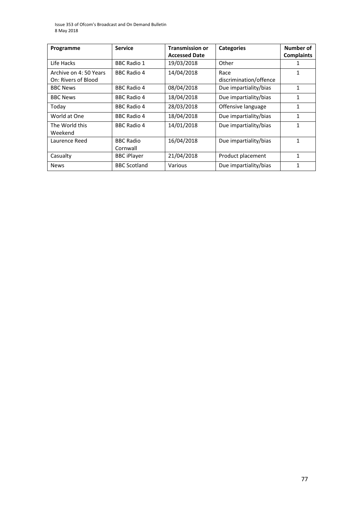Issue 353 of Ofcom's Broadcast and On Demand Bulletin 8 May 2018

| Programme              | <b>Service</b>      | <b>Transmission or</b> | <b>Categories</b>      | Number of         |
|------------------------|---------------------|------------------------|------------------------|-------------------|
|                        |                     | <b>Accessed Date</b>   |                        | <b>Complaints</b> |
| Life Hacks             | <b>BBC Radio 1</b>  | 19/03/2018             | Other                  |                   |
| Archive on 4: 50 Years | <b>BBC Radio 4</b>  | 14/04/2018             | Race                   | 1                 |
| On: Rivers of Blood    |                     |                        | discrimination/offence |                   |
| <b>BBC News</b>        | <b>BBC Radio 4</b>  | 08/04/2018             | Due impartiality/bias  | 1                 |
| <b>BBC News</b>        | <b>BBC Radio 4</b>  | 18/04/2018             | Due impartiality/bias  | 1                 |
| Today                  | <b>BBC Radio 4</b>  | 28/03/2018             | Offensive language     | 1                 |
| World at One           | <b>BBC Radio 4</b>  | 18/04/2018             | Due impartiality/bias  | 1                 |
| The World this         | <b>BBC Radio 4</b>  | 14/01/2018             | Due impartiality/bias  | 1                 |
| Weekend                |                     |                        |                        |                   |
| Laurence Reed          | <b>BBC Radio</b>    | 16/04/2018             | Due impartiality/bias  | 1                 |
|                        | Cornwall            |                        |                        |                   |
| Casualty               | <b>BBC</b> iPlayer  | 21/04/2018             | Product placement      | 1                 |
| <b>News</b>            | <b>BBC Scotland</b> | Various                | Due impartiality/bias  | 1                 |